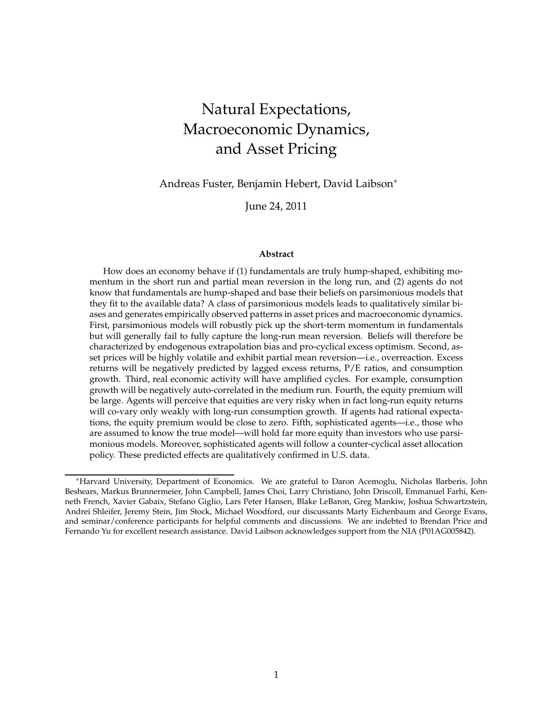# Natural Expectations, Macroeconomic Dynamics, and Asset Pricing

Andreas Fuster, Benjamin Hebert, David Laibson∗

June 24, 2011

#### **Abstract**

How does an economy behave if (1) fundamentals are truly hump-shaped, exhibiting momentum in the short run and partial mean reversion in the long run, and (2) agents do not know that fundamentals are hump-shaped and base their beliefs on parsimonious models that they fit to the available data? A class of parsimonious models leads to qualitatively similar biases and generates empirically observed patterns in asset prices and macroeconomic dynamics. First, parsimonious models will robustly pick up the short-term momentum in fundamentals but will generally fail to fully capture the long-run mean reversion. Beliefs will therefore be characterized by endogenous extrapolation bias and pro-cyclical excess optimism. Second, asset prices will be highly volatile and exhibit partial mean reversion—i.e., overreaction. Excess returns will be negatively predicted by lagged excess returns, P/E ratios, and consumption growth. Third, real economic activity will have amplified cycles. For example, consumption growth will be negatively auto-correlated in the medium run. Fourth, the equity premium will be large. Agents will perceive that equities are very risky when in fact long-run equity returns will co-vary only weakly with long-run consumption growth. If agents had rational expectations, the equity premium would be close to zero. Fifth, sophisticated agents—i.e., those who are assumed to know the true model—will hold far more equity than investors who use parsimonious models. Moreover, sophisticated agents will follow a counter-cyclical asset allocation policy. These predicted effects are qualitatively confirmed in U.S. data.

<sup>∗</sup>Harvard University, Department of Economics. We are grateful to Daron Acemoglu, Nicholas Barberis, John Beshears, Markus Brunnermeier, John Campbell, James Choi, Larry Christiano, John Driscoll, Emmanuel Farhi, Kenneth French, Xavier Gabaix, Stefano Giglio, Lars Peter Hansen, Blake LeBaron, Greg Mankiw, Joshua Schwartzstein, Andrei Shleifer, Jeremy Stein, Jim Stock, Michael Woodford, our discussants Marty Eichenbaum and George Evans, and seminar/conference participants for helpful comments and discussions. We are indebted to Brendan Price and Fernando Yu for excellent research assistance. David Laibson acknowledges support from the NIA (P01AG005842).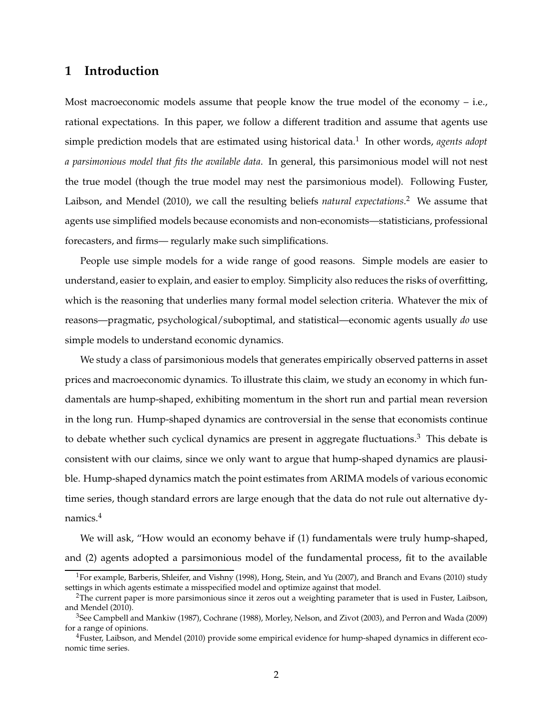# **1 Introduction**

Most macroeconomic models assume that people know the true model of the economy – i.e., rational expectations. In this paper, we follow a different tradition and assume that agents use simple prediction models that are estimated using historical data.<sup>1</sup> In other words, agents adopt *a parsimonious model that fits the available data*. In general, this parsimonious model will not nest the true model (though the true model may nest the parsimonious model). Following Fuster, Laibson, and Mendel (2010), we call the resulting beliefs *natural expectations*. <sup>2</sup> We assume that agents use simplified models because economists and non-economists—statisticians, professional forecasters, and firms— regularly make such simplifications.

People use simple models for a wide range of good reasons. Simple models are easier to understand, easier to explain, and easier to employ. Simplicity also reduces the risks of overfitting, which is the reasoning that underlies many formal model selection criteria. Whatever the mix of reasons—pragmatic, psychological/suboptimal, and statistical—economic agents usually *do* use simple models to understand economic dynamics.

We study a class of parsimonious models that generates empirically observed patterns in asset prices and macroeconomic dynamics. To illustrate this claim, we study an economy in which fundamentals are hump-shaped, exhibiting momentum in the short run and partial mean reversion in the long run. Hump-shaped dynamics are controversial in the sense that economists continue to debate whether such cyclical dynamics are present in aggregate fluctuations.<sup>3</sup> This debate is consistent with our claims, since we only want to argue that hump-shaped dynamics are plausible. Hump-shaped dynamics match the point estimates from ARIMA models of various economic time series, though standard errors are large enough that the data do not rule out alternative dynamics.<sup>4</sup>

We will ask, "How would an economy behave if (1) fundamentals were truly hump-shaped, and (2) agents adopted a parsimonious model of the fundamental process, fit to the available

<sup>&</sup>lt;sup>1</sup>For example, Barberis, Shleifer, and Vishny (1998), Hong, Stein, and Yu (2007), and Branch and Evans (2010) study settings in which agents estimate a misspecified model and optimize against that model.

 $2$ The current paper is more parsimonious since it zeros out a weighting parameter that is used in Fuster, Laibson, and Mendel (2010).

<sup>3</sup>See Campbell and Mankiw (1987), Cochrane (1988), Morley, Nelson, and Zivot (2003), and Perron and Wada (2009) for a range of opinions.

<sup>&</sup>lt;sup>4</sup>Fuster, Laibson, and Mendel (2010) provide some empirical evidence for hump-shaped dynamics in different economic time series.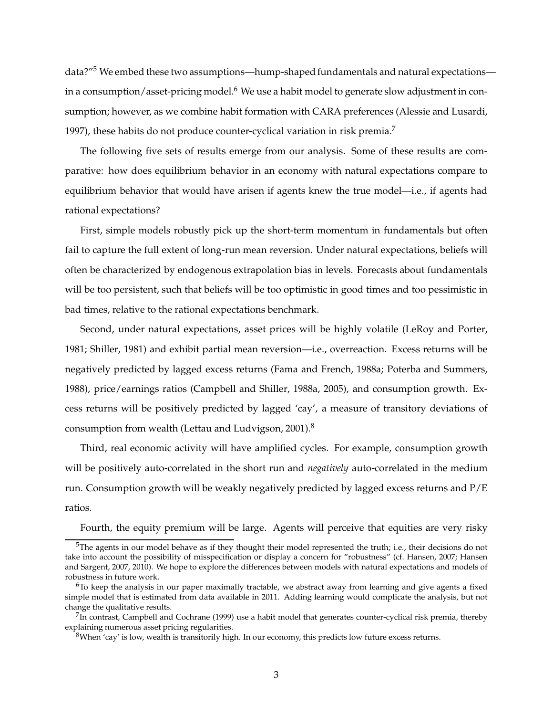data?"<sup>5</sup> We embed these two assumptions—hump-shaped fundamentals and natural expectations in a consumption/asset-pricing model.<sup>6</sup> We use a habit model to generate slow adjustment in consumption; however, as we combine habit formation with CARA preferences (Alessie and Lusardi, 1997), these habits do not produce counter-cyclical variation in risk premia.<sup>7</sup>

The following five sets of results emerge from our analysis. Some of these results are comparative: how does equilibrium behavior in an economy with natural expectations compare to equilibrium behavior that would have arisen if agents knew the true model—i.e., if agents had rational expectations?

First, simple models robustly pick up the short-term momentum in fundamentals but often fail to capture the full extent of long-run mean reversion. Under natural expectations, beliefs will often be characterized by endogenous extrapolation bias in levels. Forecasts about fundamentals will be too persistent, such that beliefs will be too optimistic in good times and too pessimistic in bad times, relative to the rational expectations benchmark.

Second, under natural expectations, asset prices will be highly volatile (LeRoy and Porter, 1981; Shiller, 1981) and exhibit partial mean reversion—i.e., overreaction. Excess returns will be negatively predicted by lagged excess returns (Fama and French, 1988a; Poterba and Summers, 1988), price/earnings ratios (Campbell and Shiller, 1988a, 2005), and consumption growth. Excess returns will be positively predicted by lagged 'cay', a measure of transitory deviations of consumption from wealth (Lettau and Ludvigson, 2001).<sup>8</sup>

Third, real economic activity will have amplified cycles. For example, consumption growth will be positively auto-correlated in the short run and *negatively* auto-correlated in the medium run. Consumption growth will be weakly negatively predicted by lagged excess returns and  $P/E$ ratios.

Fourth, the equity premium will be large. Agents will perceive that equities are very risky

 $5$ The agents in our model behave as if they thought their model represented the truth; i.e., their decisions do not take into account the possibility of misspecification or display a concern for "robustness" (cf. Hansen, 2007; Hansen and Sargent, 2007, 2010). We hope to explore the differences between models with natural expectations and models of robustness in future work.

 $6T<sub>6</sub>$  fo keep the analysis in our paper maximally tractable, we abstract away from learning and give agents a fixed simple model that is estimated from data available in 2011. Adding learning would complicate the analysis, but not change the qualitative results.

 $^{7}$ In contrast, Campbell and Cochrane (1999) use a habit model that generates counter-cyclical risk premia, thereby explaining numerous asset pricing regularities.

 $8$ When 'cay' is low, wealth is transitorily high. In our economy, this predicts low future excess returns.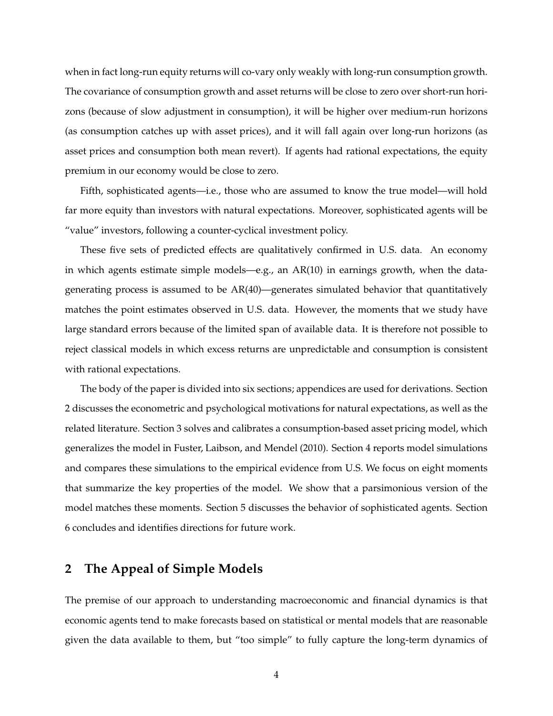when in fact long-run equity returns will co-vary only weakly with long-run consumption growth. The covariance of consumption growth and asset returns will be close to zero over short-run horizons (because of slow adjustment in consumption), it will be higher over medium-run horizons (as consumption catches up with asset prices), and it will fall again over long-run horizons (as asset prices and consumption both mean revert). If agents had rational expectations, the equity premium in our economy would be close to zero.

Fifth, sophisticated agents—i.e., those who are assumed to know the true model—will hold far more equity than investors with natural expectations. Moreover, sophisticated agents will be "value" investors, following a counter-cyclical investment policy.

These five sets of predicted effects are qualitatively confirmed in U.S. data. An economy in which agents estimate simple models—e.g., an AR(10) in earnings growth, when the datagenerating process is assumed to be AR(40)—generates simulated behavior that quantitatively matches the point estimates observed in U.S. data. However, the moments that we study have large standard errors because of the limited span of available data. It is therefore not possible to reject classical models in which excess returns are unpredictable and consumption is consistent with rational expectations.

The body of the paper is divided into six sections; appendices are used for derivations. Section 2 discusses the econometric and psychological motivations for natural expectations, as well as the related literature. Section 3 solves and calibrates a consumption-based asset pricing model, which generalizes the model in Fuster, Laibson, and Mendel (2010). Section 4 reports model simulations and compares these simulations to the empirical evidence from U.S. We focus on eight moments that summarize the key properties of the model. We show that a parsimonious version of the model matches these moments. Section 5 discusses the behavior of sophisticated agents. Section 6 concludes and identifies directions for future work.

# **2 The Appeal of Simple Models**

The premise of our approach to understanding macroeconomic and financial dynamics is that economic agents tend to make forecasts based on statistical or mental models that are reasonable given the data available to them, but "too simple" to fully capture the long-term dynamics of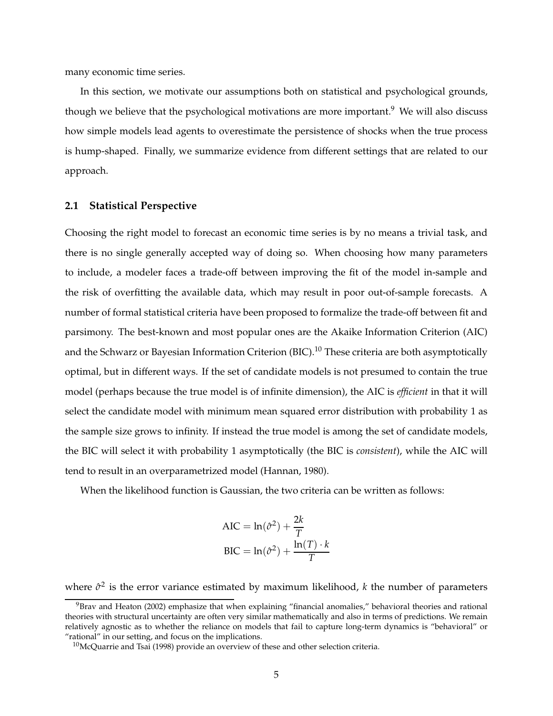many economic time series.

In this section, we motivate our assumptions both on statistical and psychological grounds, though we believe that the psychological motivations are more important.<sup>9</sup> We will also discuss how simple models lead agents to overestimate the persistence of shocks when the true process is hump-shaped. Finally, we summarize evidence from different settings that are related to our approach.

### **2.1 Statistical Perspective**

Choosing the right model to forecast an economic time series is by no means a trivial task, and there is no single generally accepted way of doing so. When choosing how many parameters to include, a modeler faces a trade-off between improving the fit of the model in-sample and the risk of overfitting the available data, which may result in poor out-of-sample forecasts. A number of formal statistical criteria have been proposed to formalize the trade-off between fit and parsimony. The best-known and most popular ones are the Akaike Information Criterion (AIC) and the Schwarz or Bayesian Information Criterion (BIC).<sup>10</sup> These criteria are both asymptotically optimal, but in different ways. If the set of candidate models is not presumed to contain the true model (perhaps because the true model is of infinite dimension), the AIC is *efficient* in that it will select the candidate model with minimum mean squared error distribution with probability 1 as the sample size grows to infinity. If instead the true model is among the set of candidate models, the BIC will select it with probability 1 asymptotically (the BIC is *consistent*), while the AIC will tend to result in an overparametrized model (Hannan, 1980).

When the likelihood function is Gaussian, the two criteria can be written as follows:

$$
AIC = \ln(\hat{\sigma}^2) + \frac{2k}{T}
$$

$$
BIC = \ln(\hat{\sigma}^2) + \frac{\ln(T) \cdot k}{T}
$$

where  $\hat{\sigma}^2$  is the error variance estimated by maximum likelihood, *k* the number of parameters

 $9$ Brav and Heaton (2002) emphasize that when explaining "financial anomalies," behavioral theories and rational theories with structural uncertainty are often very similar mathematically and also in terms of predictions. We remain relatively agnostic as to whether the reliance on models that fail to capture long-term dynamics is "behavioral" or "rational" in our setting, and focus on the implications.

 $10$ McQuarrie and Tsai (1998) provide an overview of these and other selection criteria.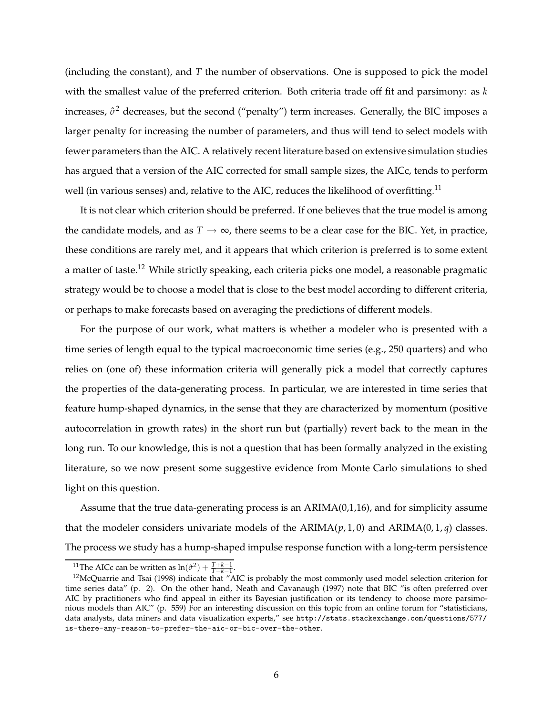(including the constant), and *T* the number of observations. One is supposed to pick the model with the smallest value of the preferred criterion. Both criteria trade off fit and parsimony: as *k* increases,  $\hat{\sigma}^2$  decreases, but the second ("penalty") term increases. Generally, the BIC imposes a larger penalty for increasing the number of parameters, and thus will tend to select models with fewer parameters than the AIC. A relatively recent literature based on extensive simulation studies has argued that a version of the AIC corrected for small sample sizes, the AICc, tends to perform well (in various senses) and, relative to the AIC, reduces the likelihood of overfitting.<sup>11</sup>

It is not clear which criterion should be preferred. If one believes that the true model is among the candidate models, and as  $T \rightarrow \infty$ , there seems to be a clear case for the BIC. Yet, in practice, these conditions are rarely met, and it appears that which criterion is preferred is to some extent a matter of taste.<sup>12</sup> While strictly speaking, each criteria picks one model, a reasonable pragmatic strategy would be to choose a model that is close to the best model according to different criteria, or perhaps to make forecasts based on averaging the predictions of different models.

For the purpose of our work, what matters is whether a modeler who is presented with a time series of length equal to the typical macroeconomic time series (e.g., 250 quarters) and who relies on (one of) these information criteria will generally pick a model that correctly captures the properties of the data-generating process. In particular, we are interested in time series that feature hump-shaped dynamics, in the sense that they are characterized by momentum (positive autocorrelation in growth rates) in the short run but (partially) revert back to the mean in the long run. To our knowledge, this is not a question that has been formally analyzed in the existing literature, so we now present some suggestive evidence from Monte Carlo simulations to shed light on this question.

Assume that the true data-generating process is an ARIMA(0,1,16), and for simplicity assume that the modeler considers univariate models of the  $ARIMA(p, 1, 0)$  and  $ARIMA(0, 1, q)$  classes. The process we study has a hump-shaped impulse response function with a long-term persistence

<sup>&</sup>lt;sup>11</sup>The AICc can be written as  $ln(\hat{\sigma}^2) + \frac{T+k-1}{T-k-1}$ .

The FICC can be written as  $m(v) + T-k-1$ .<br><sup>12</sup>McQuarrie and Tsai (1998) indicate that "AIC is probably the most commonly used model selection criterion for time series data" (p. 2). On the other hand, Neath and Cavanaugh (1997) note that BIC "is often preferred over AIC by practitioners who find appeal in either its Bayesian justification or its tendency to choose more parsimonious models than AIC" (p. 559) For an interesting discussion on this topic from an online forum for "statisticians, data analysts, data miners and data visualization experts," see http://stats.stackexchange.com/questions/577/ is-there-any-reason-to-prefer-the-aic-or-bic-over-the-other.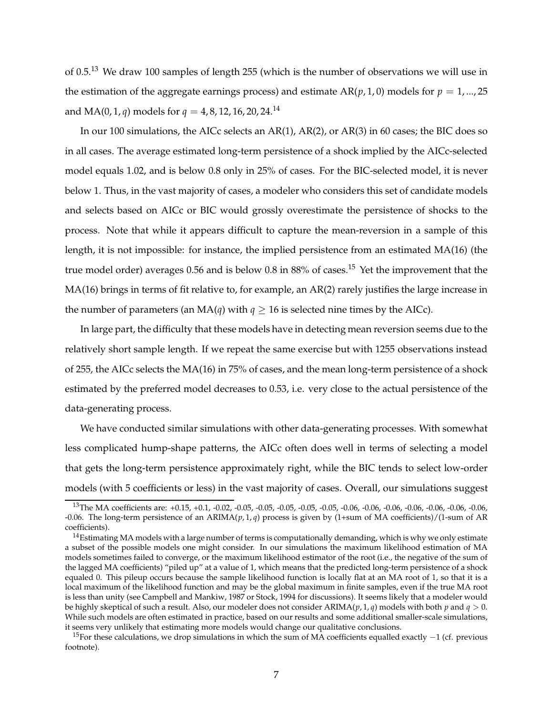of 0.5.<sup>13</sup> We draw 100 samples of length 255 (which is the number of observations we will use in the estimation of the aggregate earnings process) and estimate  $AR(p, 1, 0)$  models for  $p = 1, ..., 25$ and MA(0, 1, *q*) models for  $q = 4, 8, 12, 16, 20, 24$ .<sup>14</sup>

In our 100 simulations, the AICc selects an AR(1), AR(2), or AR(3) in 60 cases; the BIC does so in all cases. The average estimated long-term persistence of a shock implied by the AICc-selected model equals 1.02, and is below 0.8 only in 25% of cases. For the BIC-selected model, it is never below 1. Thus, in the vast majority of cases, a modeler who considers this set of candidate models and selects based on AICc or BIC would grossly overestimate the persistence of shocks to the process. Note that while it appears difficult to capture the mean-reversion in a sample of this length, it is not impossible: for instance, the implied persistence from an estimated MA(16) (the true model order) averages 0.56 and is below 0.8 in 88% of cases.<sup>15</sup> Yet the improvement that the MA(16) brings in terms of fit relative to, for example, an AR(2) rarely justifies the large increase in the number of parameters (an  $MA(q)$  with  $q \ge 16$  is selected nine times by the AICc).

In large part, the difficulty that these models have in detecting mean reversion seems due to the relatively short sample length. If we repeat the same exercise but with 1255 observations instead of 255, the AICc selects the MA(16) in 75% of cases, and the mean long-term persistence of a shock estimated by the preferred model decreases to 0.53, i.e. very close to the actual persistence of the data-generating process.

We have conducted similar simulations with other data-generating processes. With somewhat less complicated hump-shape patterns, the AICc often does well in terms of selecting a model that gets the long-term persistence approximately right, while the BIC tends to select low-order models (with 5 coefficients or less) in the vast majority of cases. Overall, our simulations suggest

<sup>&</sup>lt;sup>13</sup>The MA coefficients are: +0.15, +0.1, -0.02, -0.05, -0.05, -0.05, -0.05, -0.06, -0.06, -0.06, -0.06, -0.06, -0.06, -0.06, -0.06, -0.06. The long-term persistence of an ARIMA(*p*, 1, *q*) process is given by (1+sum of MA coefficients)/(1-sum of AR coefficients).

 $14$ Estimating MA models with a large number of terms is computationally demanding, which is why we only estimate a subset of the possible models one might consider. In our simulations the maximum likelihood estimation of MA models sometimes failed to converge, or the maximum likelihood estimator of the root (i.e., the negative of the sum of the lagged MA coefficients) "piled up" at a value of 1, which means that the predicted long-term persistence of a shock equaled 0. This pileup occurs because the sample likelihood function is locally flat at an MA root of 1, so that it is a local maximum of the likelihood function and may be the global maximum in finite samples, even if the true MA root is less than unity (see Campbell and Mankiw, 1987 or Stock, 1994 for discussions). It seems likely that a modeler would be highly skeptical of such a result. Also, our modeler does not consider  $ARIMA(p, 1, q)$  models with both *p* and  $q > 0$ . While such models are often estimated in practice, based on our results and some additional smaller-scale simulations, it seems very unlikely that estimating more models would change our qualitative conclusions.

<sup>&</sup>lt;sup>15</sup>For these calculations, we drop simulations in which the sum of MA coefficients equalled exactly  $-1$  (cf. previous footnote).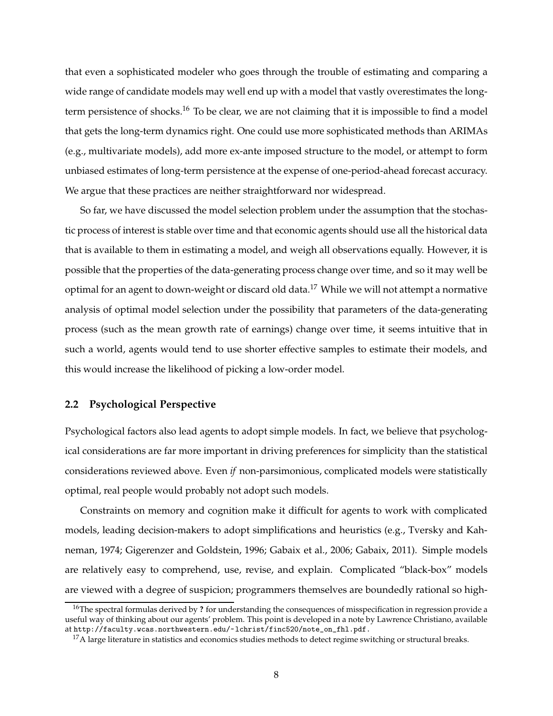that even a sophisticated modeler who goes through the trouble of estimating and comparing a wide range of candidate models may well end up with a model that vastly overestimates the longterm persistence of shocks.<sup>16</sup> To be clear, we are not claiming that it is impossible to find a model that gets the long-term dynamics right. One could use more sophisticated methods than ARIMAs (e.g., multivariate models), add more ex-ante imposed structure to the model, or attempt to form unbiased estimates of long-term persistence at the expense of one-period-ahead forecast accuracy. We argue that these practices are neither straightforward nor widespread.

So far, we have discussed the model selection problem under the assumption that the stochastic process of interest is stable over time and that economic agents should use all the historical data that is available to them in estimating a model, and weigh all observations equally. However, it is possible that the properties of the data-generating process change over time, and so it may well be optimal for an agent to down-weight or discard old data.<sup>17</sup> While we will not attempt a normative analysis of optimal model selection under the possibility that parameters of the data-generating process (such as the mean growth rate of earnings) change over time, it seems intuitive that in such a world, agents would tend to use shorter effective samples to estimate their models, and this would increase the likelihood of picking a low-order model.

### **2.2 Psychological Perspective**

Psychological factors also lead agents to adopt simple models. In fact, we believe that psychological considerations are far more important in driving preferences for simplicity than the statistical considerations reviewed above. Even *if* non-parsimonious, complicated models were statistically optimal, real people would probably not adopt such models.

Constraints on memory and cognition make it difficult for agents to work with complicated models, leading decision-makers to adopt simplifications and heuristics (e.g., Tversky and Kahneman, 1974; Gigerenzer and Goldstein, 1996; Gabaix et al., 2006; Gabaix, 2011). Simple models are relatively easy to comprehend, use, revise, and explain. Complicated "black-box" models are viewed with a degree of suspicion; programmers themselves are boundedly rational so high-

<sup>16</sup>The spectral formulas derived by **?** for understanding the consequences of misspecification in regression provide a useful way of thinking about our agents' problem. This point is developed in a note by Lawrence Christiano, available at http://faculty.wcas.northwestern.edu/~lchrist/finc520/note\_on\_fhl.pdf.

 $^{17}$ A large literature in statistics and economics studies methods to detect regime switching or structural breaks.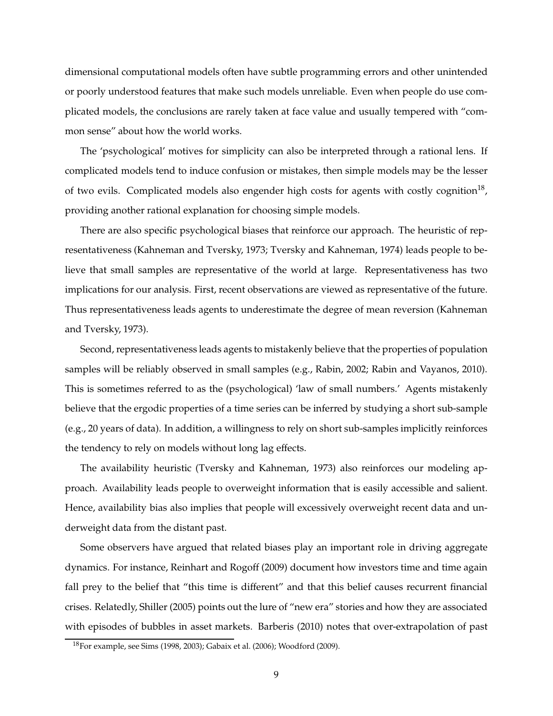dimensional computational models often have subtle programming errors and other unintended or poorly understood features that make such models unreliable. Even when people do use complicated models, the conclusions are rarely taken at face value and usually tempered with "common sense" about how the world works.

The 'psychological' motives for simplicity can also be interpreted through a rational lens. If complicated models tend to induce confusion or mistakes, then simple models may be the lesser of two evils. Complicated models also engender high costs for agents with costly cognition<sup>18</sup>, providing another rational explanation for choosing simple models.

There are also specific psychological biases that reinforce our approach. The heuristic of representativeness (Kahneman and Tversky, 1973; Tversky and Kahneman, 1974) leads people to believe that small samples are representative of the world at large. Representativeness has two implications for our analysis. First, recent observations are viewed as representative of the future. Thus representativeness leads agents to underestimate the degree of mean reversion (Kahneman and Tversky, 1973).

Second, representativeness leads agents to mistakenly believe that the properties of population samples will be reliably observed in small samples (e.g., Rabin, 2002; Rabin and Vayanos, 2010). This is sometimes referred to as the (psychological) 'law of small numbers.' Agents mistakenly believe that the ergodic properties of a time series can be inferred by studying a short sub-sample (e.g., 20 years of data). In addition, a willingness to rely on short sub-samples implicitly reinforces the tendency to rely on models without long lag effects.

The availability heuristic (Tversky and Kahneman, 1973) also reinforces our modeling approach. Availability leads people to overweight information that is easily accessible and salient. Hence, availability bias also implies that people will excessively overweight recent data and underweight data from the distant past.

Some observers have argued that related biases play an important role in driving aggregate dynamics. For instance, Reinhart and Rogoff (2009) document how investors time and time again fall prey to the belief that "this time is different" and that this belief causes recurrent financial crises. Relatedly, Shiller (2005) points out the lure of "new era" stories and how they are associated with episodes of bubbles in asset markets. Barberis (2010) notes that over-extrapolation of past

<sup>18</sup>For example, see Sims (1998, 2003); Gabaix et al. (2006); Woodford (2009).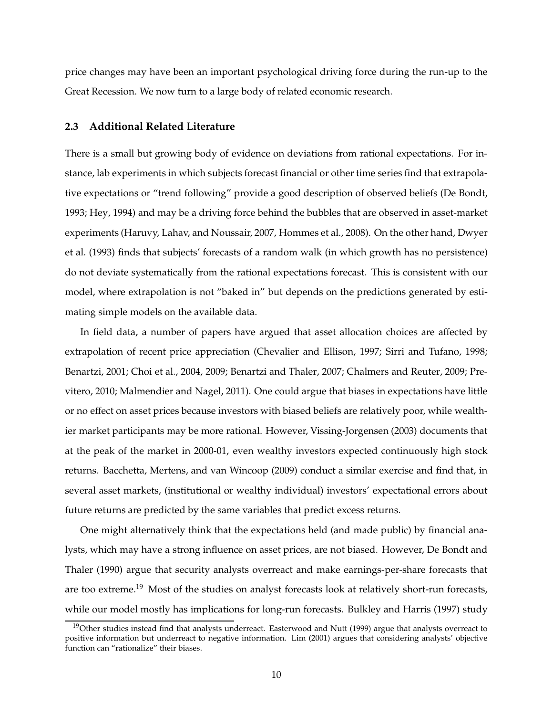price changes may have been an important psychological driving force during the run-up to the Great Recession. We now turn to a large body of related economic research.

### **2.3 Additional Related Literature**

There is a small but growing body of evidence on deviations from rational expectations. For instance, lab experiments in which subjects forecast financial or other time series find that extrapolative expectations or "trend following" provide a good description of observed beliefs (De Bondt, 1993; Hey, 1994) and may be a driving force behind the bubbles that are observed in asset-market experiments (Haruvy, Lahav, and Noussair, 2007, Hommes et al., 2008). On the other hand, Dwyer et al. (1993) finds that subjects' forecasts of a random walk (in which growth has no persistence) do not deviate systematically from the rational expectations forecast. This is consistent with our model, where extrapolation is not "baked in" but depends on the predictions generated by estimating simple models on the available data.

In field data, a number of papers have argued that asset allocation choices are affected by extrapolation of recent price appreciation (Chevalier and Ellison, 1997; Sirri and Tufano, 1998; Benartzi, 2001; Choi et al., 2004, 2009; Benartzi and Thaler, 2007; Chalmers and Reuter, 2009; Previtero, 2010; Malmendier and Nagel, 2011). One could argue that biases in expectations have little or no effect on asset prices because investors with biased beliefs are relatively poor, while wealthier market participants may be more rational. However, Vissing-Jorgensen (2003) documents that at the peak of the market in 2000-01, even wealthy investors expected continuously high stock returns. Bacchetta, Mertens, and van Wincoop (2009) conduct a similar exercise and find that, in several asset markets, (institutional or wealthy individual) investors' expectational errors about future returns are predicted by the same variables that predict excess returns.

One might alternatively think that the expectations held (and made public) by financial analysts, which may have a strong influence on asset prices, are not biased. However, De Bondt and Thaler (1990) argue that security analysts overreact and make earnings-per-share forecasts that are too extreme.<sup>19</sup> Most of the studies on analyst forecasts look at relatively short-run forecasts, while our model mostly has implications for long-run forecasts. Bulkley and Harris (1997) study

 $19$ Other studies instead find that analysts underreact. Easterwood and Nutt (1999) argue that analysts overreact to positive information but underreact to negative information. Lim (2001) argues that considering analysts' objective function can "rationalize" their biases.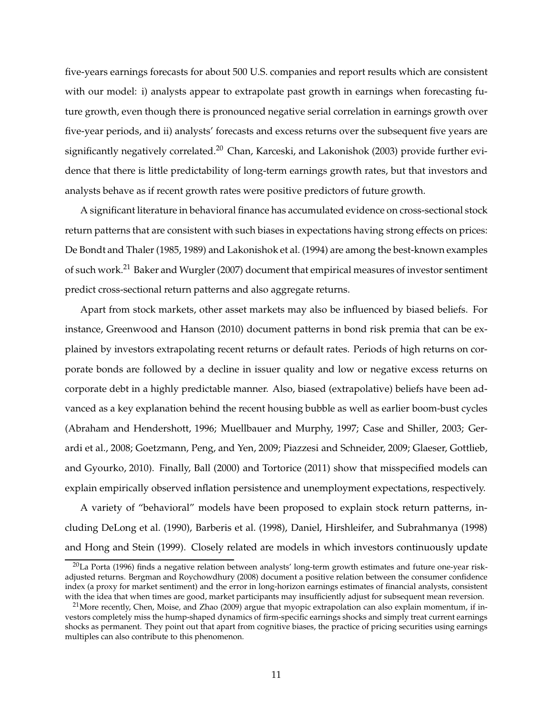five-years earnings forecasts for about 500 U.S. companies and report results which are consistent with our model: i) analysts appear to extrapolate past growth in earnings when forecasting future growth, even though there is pronounced negative serial correlation in earnings growth over five-year periods, and ii) analysts' forecasts and excess returns over the subsequent five years are significantly negatively correlated.<sup>20</sup> Chan, Karceski, and Lakonishok (2003) provide further evidence that there is little predictability of long-term earnings growth rates, but that investors and analysts behave as if recent growth rates were positive predictors of future growth.

A significant literature in behavioral finance has accumulated evidence on cross-sectional stock return patterns that are consistent with such biases in expectations having strong effects on prices: De Bondt and Thaler (1985, 1989) and Lakonishok et al. (1994) are among the best-known examples of such work.<sup>21</sup> Baker and Wurgler (2007) document that empirical measures of investor sentiment predict cross-sectional return patterns and also aggregate returns.

Apart from stock markets, other asset markets may also be influenced by biased beliefs. For instance, Greenwood and Hanson (2010) document patterns in bond risk premia that can be explained by investors extrapolating recent returns or default rates. Periods of high returns on corporate bonds are followed by a decline in issuer quality and low or negative excess returns on corporate debt in a highly predictable manner. Also, biased (extrapolative) beliefs have been advanced as a key explanation behind the recent housing bubble as well as earlier boom-bust cycles (Abraham and Hendershott, 1996; Muellbauer and Murphy, 1997; Case and Shiller, 2003; Gerardi et al., 2008; Goetzmann, Peng, and Yen, 2009; Piazzesi and Schneider, 2009; Glaeser, Gottlieb, and Gyourko, 2010). Finally, Ball (2000) and Tortorice (2011) show that misspecified models can explain empirically observed inflation persistence and unemployment expectations, respectively.

A variety of "behavioral" models have been proposed to explain stock return patterns, including DeLong et al. (1990), Barberis et al. (1998), Daniel, Hirshleifer, and Subrahmanya (1998) and Hong and Stein (1999). Closely related are models in which investors continuously update

 $20$ La Porta (1996) finds a negative relation between analysts' long-term growth estimates and future one-year riskadjusted returns. Bergman and Roychowdhury (2008) document a positive relation between the consumer confidence index (a proxy for market sentiment) and the error in long-horizon earnings estimates of financial analysts, consistent with the idea that when times are good, market participants may insufficiently adjust for subsequent mean reversion.

<sup>&</sup>lt;sup>21</sup>More recently, Chen, Moise, and Zhao (2009) argue that myopic extrapolation can also explain momentum, if investors completely miss the hump-shaped dynamics of firm-specific earnings shocks and simply treat current earnings shocks as permanent. They point out that apart from cognitive biases, the practice of pricing securities using earnings multiples can also contribute to this phenomenon.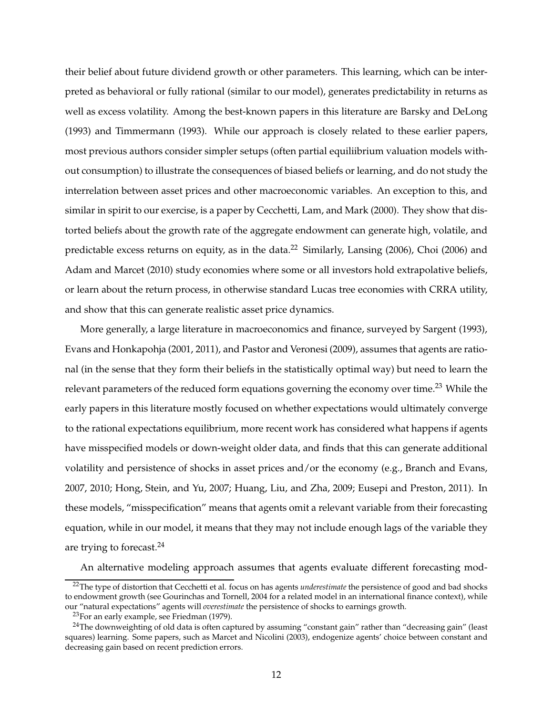their belief about future dividend growth or other parameters. This learning, which can be interpreted as behavioral or fully rational (similar to our model), generates predictability in returns as well as excess volatility. Among the best-known papers in this literature are Barsky and DeLong (1993) and Timmermann (1993). While our approach is closely related to these earlier papers, most previous authors consider simpler setups (often partial equiliibrium valuation models without consumption) to illustrate the consequences of biased beliefs or learning, and do not study the interrelation between asset prices and other macroeconomic variables. An exception to this, and similar in spirit to our exercise, is a paper by Cecchetti, Lam, and Mark (2000). They show that distorted beliefs about the growth rate of the aggregate endowment can generate high, volatile, and predictable excess returns on equity, as in the data.<sup>22</sup> Similarly, Lansing (2006), Choi (2006) and Adam and Marcet (2010) study economies where some or all investors hold extrapolative beliefs, or learn about the return process, in otherwise standard Lucas tree economies with CRRA utility, and show that this can generate realistic asset price dynamics.

More generally, a large literature in macroeconomics and finance, surveyed by Sargent (1993), Evans and Honkapohja (2001, 2011), and Pastor and Veronesi (2009), assumes that agents are rational (in the sense that they form their beliefs in the statistically optimal way) but need to learn the relevant parameters of the reduced form equations governing the economy over time.<sup>23</sup> While the early papers in this literature mostly focused on whether expectations would ultimately converge to the rational expectations equilibrium, more recent work has considered what happens if agents have misspecified models or down-weight older data, and finds that this can generate additional volatility and persistence of shocks in asset prices and/or the economy (e.g., Branch and Evans, 2007, 2010; Hong, Stein, and Yu, 2007; Huang, Liu, and Zha, 2009; Eusepi and Preston, 2011). In these models, "misspecification" means that agents omit a relevant variable from their forecasting equation, while in our model, it means that they may not include enough lags of the variable they are trying to forecast.<sup>24</sup>

An alternative modeling approach assumes that agents evaluate different forecasting mod-

<sup>22</sup>The type of distortion that Cecchetti et al. focus on has agents *underestimate* the persistence of good and bad shocks to endowment growth (see Gourinchas and Tornell, 2004 for a related model in an international finance context), while our "natural expectations" agents will *overestimate* the persistence of shocks to earnings growth.

 $23$ For an early example, see Friedman (1979).

 $24$ The downweighting of old data is often captured by assuming "constant gain" rather than "decreasing gain" (least squares) learning. Some papers, such as Marcet and Nicolini (2003), endogenize agents' choice between constant and decreasing gain based on recent prediction errors.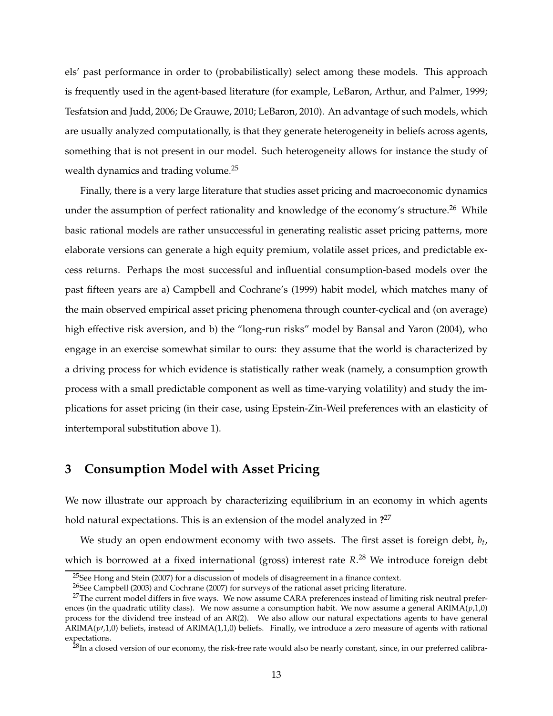els' past performance in order to (probabilistically) select among these models. This approach is frequently used in the agent-based literature (for example, LeBaron, Arthur, and Palmer, 1999; Tesfatsion and Judd, 2006; De Grauwe, 2010; LeBaron, 2010). An advantage of such models, which are usually analyzed computationally, is that they generate heterogeneity in beliefs across agents, something that is not present in our model. Such heterogeneity allows for instance the study of wealth dynamics and trading volume.<sup>25</sup>

Finally, there is a very large literature that studies asset pricing and macroeconomic dynamics under the assumption of perfect rationality and knowledge of the economy's structure.<sup>26</sup> While basic rational models are rather unsuccessful in generating realistic asset pricing patterns, more elaborate versions can generate a high equity premium, volatile asset prices, and predictable excess returns. Perhaps the most successful and influential consumption-based models over the past fifteen years are a) Campbell and Cochrane's (1999) habit model, which matches many of the main observed empirical asset pricing phenomena through counter-cyclical and (on average) high effective risk aversion, and b) the "long-run risks" model by Bansal and Yaron (2004), who engage in an exercise somewhat similar to ours: they assume that the world is characterized by a driving process for which evidence is statistically rather weak (namely, a consumption growth process with a small predictable component as well as time-varying volatility) and study the implications for asset pricing (in their case, using Epstein-Zin-Weil preferences with an elasticity of intertemporal substitution above 1).

## **3 Consumption Model with Asset Pricing**

We now illustrate our approach by characterizing equilibrium in an economy in which agents hold natural expectations. This is an extension of the model analyzed in **?** 27

We study an open endowment economy with two assets. The first asset is foreign debt, *b<sup>t</sup>* , which is borrowed at a fixed international (gross) interest rate *R*. <sup>28</sup> We introduce foreign debt

 $25$ See Hong and Stein (2007) for a discussion of models of disagreement in a finance context.

<sup>&</sup>lt;sup>26</sup>See Campbell (2003) and Cochrane (2007) for surveys of the rational asset pricing literature.

 $^{27}$ The current model differs in five ways. We now assume CARA preferences instead of limiting risk neutral preferences (in the quadratic utility class). We now assume a consumption habit. We now assume a general  $ARIMA(p,1,0)$ process for the dividend tree instead of an AR(2). We also allow our natural expectations agents to have general  $ARIMA(p,1,0)$  beliefs, instead of  $ARIMA(1,1,0)$  beliefs. Finally, we introduce a zero measure of agents with rational expectations.

 $^{28}$ In a closed version of our economy, the risk-free rate would also be nearly constant, since, in our preferred calibra-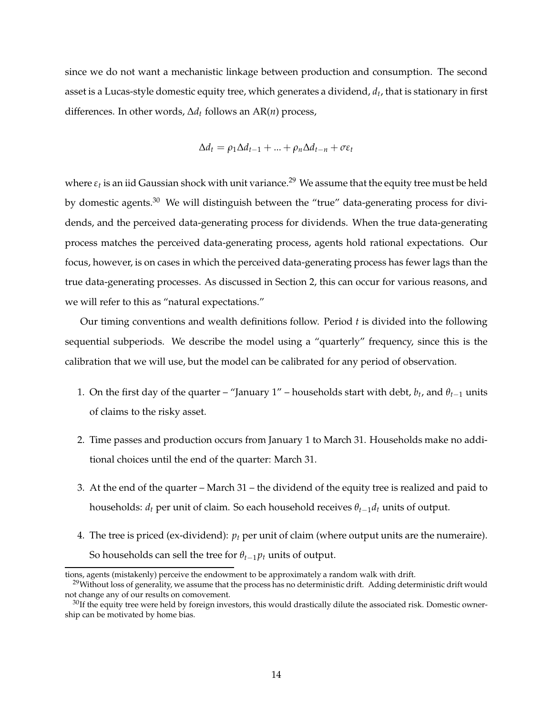since we do not want a mechanistic linkage between production and consumption. The second asset is a Lucas-style domestic equity tree, which generates a dividend, *d<sup>t</sup>* , that is stationary in first differences. In other words, ∆*d<sup>t</sup>* follows an AR(*n*) process,

$$
\Delta d_t = \rho_1 \Delta d_{t-1} + \dots + \rho_n \Delta d_{t-n} + \sigma \varepsilon_t
$$

where  $\varepsilon_t$  is an iid Gaussian shock with unit variance.<sup>29</sup> We assume that the equity tree must be held by domestic agents.<sup>30</sup> We will distinguish between the "true" data-generating process for dividends, and the perceived data-generating process for dividends. When the true data-generating process matches the perceived data-generating process, agents hold rational expectations. Our focus, however, is on cases in which the perceived data-generating process has fewer lags than the true data-generating processes. As discussed in Section 2, this can occur for various reasons, and we will refer to this as "natural expectations."

Our timing conventions and wealth definitions follow. Period *t* is divided into the following sequential subperiods. We describe the model using a "quarterly" frequency, since this is the calibration that we will use, but the model can be calibrated for any period of observation.

- 1. On the first day of the quarter "January  $1"$  households start with debt,  $b_t$ , and  $\theta_{t-1}$  units of claims to the risky asset.
- 2. Time passes and production occurs from January 1 to March 31. Households make no additional choices until the end of the quarter: March 31.
- 3. At the end of the quarter March 31 the dividend of the equity tree is realized and paid to households: *d<sup>t</sup>* per unit of claim. So each household receives *θt*−1*d<sup>t</sup>* units of output.
- 4. The tree is priced (ex-dividend):  $p_t$  per unit of claim (where output units are the numeraire). So households can sell the tree for  $\theta_{t-1} p_t$  units of output.

tions, agents (mistakenly) perceive the endowment to be approximately a random walk with drift.

 $29$ Without loss of generality, we assume that the process has no deterministic drift. Adding deterministic drift would not change any of our results on comovement.

 $30$ If the equity tree were held by foreign investors, this would drastically dilute the associated risk. Domestic ownership can be motivated by home bias.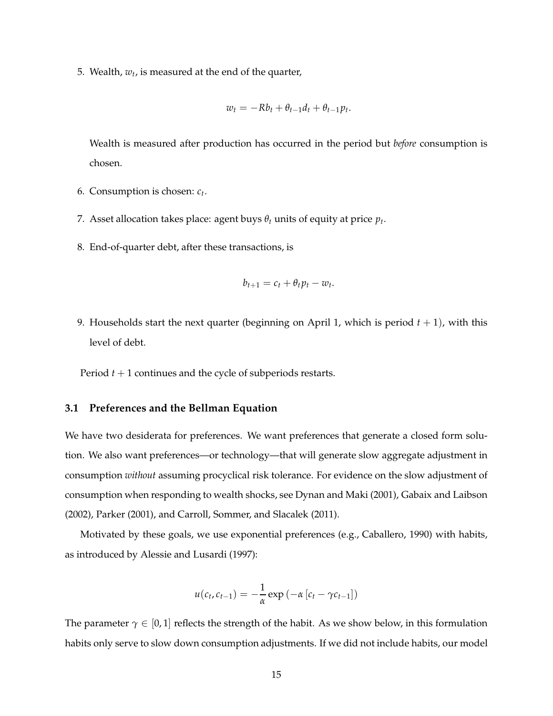5. Wealth, *w<sup>t</sup>* , is measured at the end of the quarter,

$$
w_t = -Rb_t + \theta_{t-1}d_t + \theta_{t-1}p_t.
$$

Wealth is measured after production has occurred in the period but *before* consumption is chosen.

- 6. Consumption is chosen: *c<sup>t</sup>* .
- 7. Asset allocation takes place: agent buys  $\theta_t$  units of equity at price  $p_t$ .
- 8. End-of-quarter debt, after these transactions, is

$$
b_{t+1}=c_t+\theta_t p_t-w_t.
$$

9. Households start the next quarter (beginning on April 1, which is period  $t + 1$ ), with this level of debt.

Period *t* + 1 continues and the cycle of subperiods restarts.

### **3.1 Preferences and the Bellman Equation**

We have two desiderata for preferences. We want preferences that generate a closed form solution. We also want preferences—or technology—that will generate slow aggregate adjustment in consumption *without* assuming procyclical risk tolerance. For evidence on the slow adjustment of consumption when responding to wealth shocks, see Dynan and Maki (2001), Gabaix and Laibson (2002), Parker (2001), and Carroll, Sommer, and Slacalek (2011).

Motivated by these goals, we use exponential preferences (e.g., Caballero, 1990) with habits, as introduced by Alessie and Lusardi (1997):

$$
u(c_t, c_{t-1}) = -\frac{1}{\alpha} \exp(-\alpha [c_t - \gamma c_{t-1}])
$$

The parameter  $\gamma \in [0,1]$  reflects the strength of the habit. As we show below, in this formulation habits only serve to slow down consumption adjustments. If we did not include habits, our model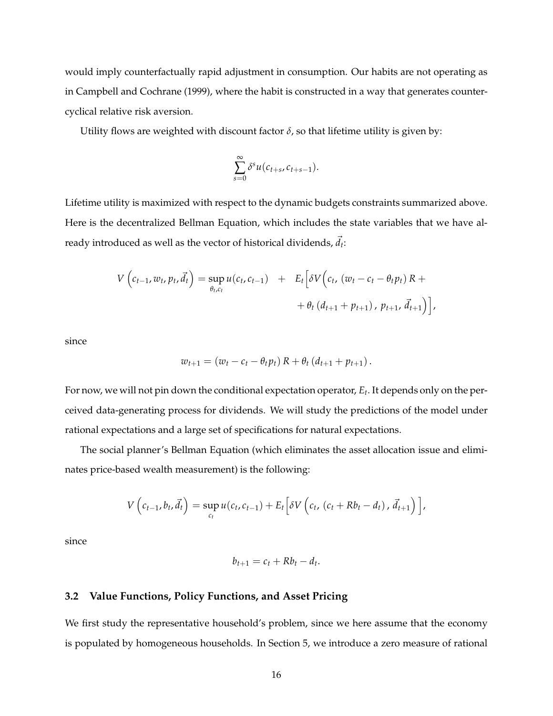would imply counterfactually rapid adjustment in consumption. Our habits are not operating as in Campbell and Cochrane (1999), where the habit is constructed in a way that generates countercyclical relative risk aversion.

Utility flows are weighted with discount factor  $\delta$ , so that lifetime utility is given by:

$$
\sum_{s=0}^{\infty} \delta^s u(c_{t+s}, c_{t+s-1}).
$$

Lifetime utility is maximized with respect to the dynamic budgets constraints summarized above. Here is the decentralized Bellman Equation, which includes the state variables that we have already introduced as well as the vector of historical dividends,  $\vec{d}_t$ :

$$
V\left(c_{t-1}, w_t, p_t, \vec{d}_t\right) = \sup_{\theta_t, c_t} u(c_t, c_{t-1}) + E_t\left[\delta V\left(c_t, (w_t - c_t - \theta_t p_t) R + \theta_t \left(d_{t+1} + p_{t+1}\right), p_{t+1}, \vec{d}_{t+1}\right)\right],
$$

since

$$
w_{t+1} = (w_t - c_t - \theta_t p_t) R + \theta_t (d_{t+1} + p_{t+1}).
$$

For now, we will not pin down the conditional expectation operator, *E<sup>t</sup>* . It depends only on the perceived data-generating process for dividends. We will study the predictions of the model under rational expectations and a large set of specifications for natural expectations.

The social planner's Bellman Equation (which eliminates the asset allocation issue and eliminates price-based wealth measurement) is the following:

$$
V\left(c_{t-1},b_t,\vec{d}_t\right)=\sup_{c_t}u(c_t,c_{t-1})+E_t\left[\delta V\left(c_t,(c_t+Rb_t-d_t),\vec{d}_{t+1}\right)\right],
$$

since

$$
b_{t+1}=c_t+Rb_t-d_t.
$$

### **3.2 Value Functions, Policy Functions, and Asset Pricing**

We first study the representative household's problem, since we here assume that the economy is populated by homogeneous households. In Section 5, we introduce a zero measure of rational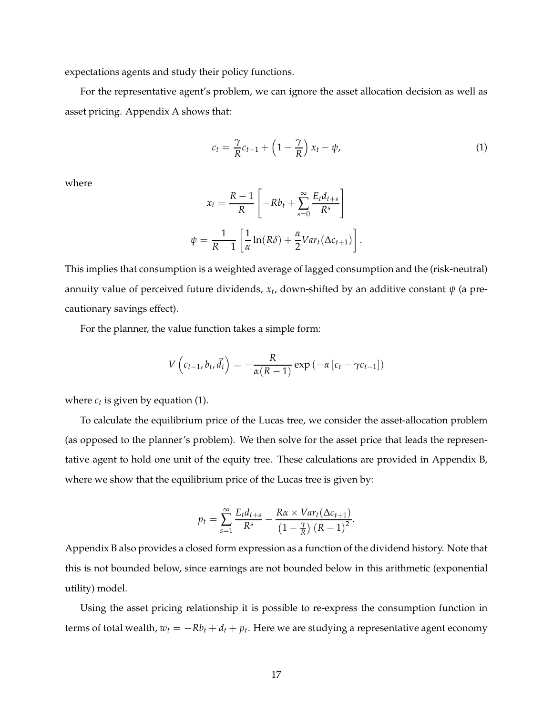expectations agents and study their policy functions.

For the representative agent's problem, we can ignore the asset allocation decision as well as asset pricing. Appendix A shows that:

$$
c_t = \frac{\gamma}{R}c_{t-1} + \left(1 - \frac{\gamma}{R}\right)x_t - \psi,
$$
\n(1)

where

$$
x_t = \frac{R-1}{R} \left[ -Rb_t + \sum_{s=0}^{\infty} \frac{E_t d_{t+s}}{R^s} \right]
$$

$$
\psi = \frac{1}{R-1} \left[ \frac{1}{\alpha} \ln(R\delta) + \frac{\alpha}{2} Var_t(\Delta c_{t+1}) \right].
$$

This implies that consumption is a weighted average of lagged consumption and the (risk-neutral) annuity value of perceived future dividends, *x<sup>t</sup>* , down-shifted by an additive constant *ψ* (a precautionary savings effect).

For the planner, the value function takes a simple form:

$$
V\left(c_{t-1}, b_t, \vec{d}_t\right) = -\frac{R}{\alpha(R-1)} \exp\left(-\alpha \left[c_t - \gamma c_{t-1}\right]\right)
$$

where  $c_t$  is given by equation (1).

To calculate the equilibrium price of the Lucas tree, we consider the asset-allocation problem (as opposed to the planner's problem). We then solve for the asset price that leads the representative agent to hold one unit of the equity tree. These calculations are provided in Appendix B, where we show that the equilibrium price of the Lucas tree is given by:

$$
p_t = \sum_{s=1}^{\infty} \frac{E_t d_{t+s}}{R^s} - \frac{R\alpha \times Var_t(\Delta c_{t+1})}{\left(1 - \frac{\gamma}{R}\right) (R-1)^2}.
$$

Appendix B also provides a closed form expression as a function of the dividend history. Note that this is not bounded below, since earnings are not bounded below in this arithmetic (exponential utility) model.

Using the asset pricing relationship it is possible to re-express the consumption function in terms of total wealth,  $w_t = -Rb_t + d_t + p_t$ . Here we are studying a representative agent economy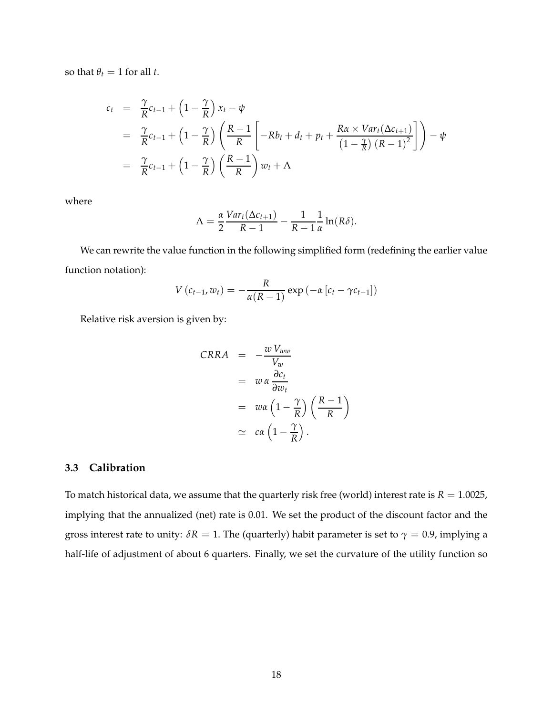so that  $\theta_t = 1$  for all *t*.

$$
c_{t} = \frac{\gamma}{R}c_{t-1} + \left(1 - \frac{\gamma}{R}\right)x_{t} - \psi
$$
  
=  $\frac{\gamma}{R}c_{t-1} + \left(1 - \frac{\gamma}{R}\right)\left(\frac{R-1}{R}\left[-Rb_{t} + d_{t} + p_{t} + \frac{R\alpha \times Var_{t}(\Delta c_{t+1})}{\left(1 - \frac{\gamma}{R}\right)(R-1)^{2}}\right]\right) - \psi$   
=  $\frac{\gamma}{R}c_{t-1} + \left(1 - \frac{\gamma}{R}\right)\left(\frac{R-1}{R}\right)w_{t} + \Lambda$ 

where

$$
\Lambda = \frac{\alpha}{2} \frac{Var_t(\Delta c_{t+1})}{R-1} - \frac{1}{R-1} \frac{1}{\alpha} \ln(R\delta).
$$

We can rewrite the value function in the following simplified form (redefining the earlier value function notation):

$$
V(c_{t-1}, w_t) = -\frac{R}{\alpha(R-1)} \exp(-\alpha [c_t - \gamma c_{t-1}])
$$

Relative risk aversion is given by:

$$
CRRA = -\frac{w V_{ww}}{V_w}
$$
  
=  $w \alpha \frac{\partial c_t}{\partial w_t}$   
=  $w \alpha \left(1 - \frac{\gamma}{R}\right) \left(\frac{R-1}{R}\right)$   
 $\approx c \alpha \left(1 - \frac{\gamma}{R}\right).$ 

### **3.3 Calibration**

To match historical data, we assume that the quarterly risk free (world) interest rate is  $R = 1.0025$ , implying that the annualized (net) rate is 0.01. We set the product of the discount factor and the gross interest rate to unity:  $\delta R = 1$ . The (quarterly) habit parameter is set to  $\gamma = 0.9$ , implying a half-life of adjustment of about 6 quarters. Finally, we set the curvature of the utility function so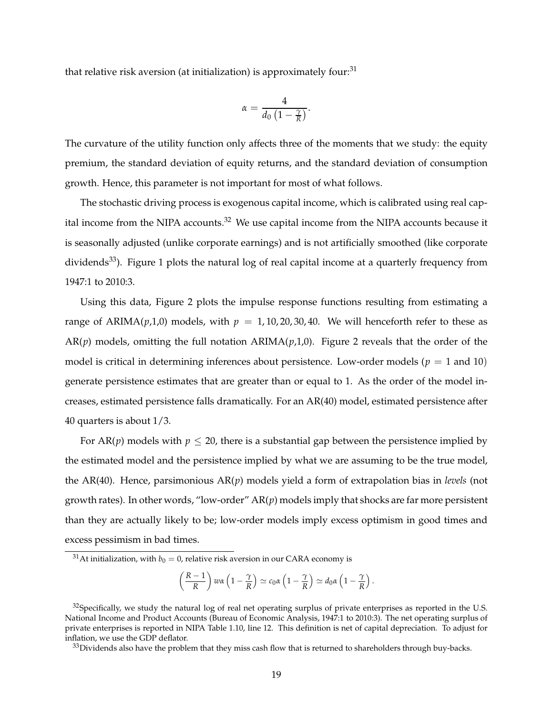that relative risk aversion (at initialization) is approximately four:<sup>31</sup>

$$
\alpha = \frac{4}{d_0\left(1-\frac{\gamma}{R}\right)}.
$$

The curvature of the utility function only affects three of the moments that we study: the equity premium, the standard deviation of equity returns, and the standard deviation of consumption growth. Hence, this parameter is not important for most of what follows.

The stochastic driving process is exogenous capital income, which is calibrated using real capital income from the NIPA accounts. $32$  We use capital income from the NIPA accounts because it is seasonally adjusted (unlike corporate earnings) and is not artificially smoothed (like corporate dividends<sup>33</sup>). Figure 1 plots the natural log of real capital income at a quarterly frequency from 1947:1 to 2010:3.

Using this data, Figure 2 plots the impulse response functions resulting from estimating a range of ARIMA( $p$ ,1,0) models, with  $p = 1, 10, 20, 30, 40$ . We will henceforth refer to these as  $AR(p)$  models, omitting the full notation  $ARIMA(p,1,0)$ . Figure 2 reveals that the order of the model is critical in determining inferences about persistence. Low-order models ( $p = 1$  and 10) generate persistence estimates that are greater than or equal to 1. As the order of the model increases, estimated persistence falls dramatically. For an AR(40) model, estimated persistence after 40 quarters is about 1/3.

For AR(*p*) models with  $p \le 20$ , there is a substantial gap between the persistence implied by the estimated model and the persistence implied by what we are assuming to be the true model, the AR(40). Hence, parsimonious AR(*p*) models yield a form of extrapolation bias in *levels* (not growth rates). In other words, "low-order" AR(*p*) models imply that shocks are far more persistent than they are actually likely to be; low-order models imply excess optimism in good times and excess pessimism in bad times.

$$
\left(\frac{R-1}{R}\right)w\alpha\left(1-\frac{\gamma}{R}\right)\simeq c_0\alpha\left(1-\frac{\gamma}{R}\right)\simeq d_0\alpha\left(1-\frac{\gamma}{R}\right).
$$

<sup>&</sup>lt;sup>31</sup>At initialization, with  $b_0 = 0$ , relative risk aversion in our CARA economy is

 $32$ Specifically, we study the natural log of real net operating surplus of private enterprises as reported in the U.S. National Income and Product Accounts (Bureau of Economic Analysis, 1947:1 to 2010:3). The net operating surplus of private enterprises is reported in NIPA Table 1.10, line 12. This definition is net of capital depreciation. To adjust for inflation, we use the GDP deflator.

 $33$ Dividends also have the problem that they miss cash flow that is returned to shareholders through buy-backs.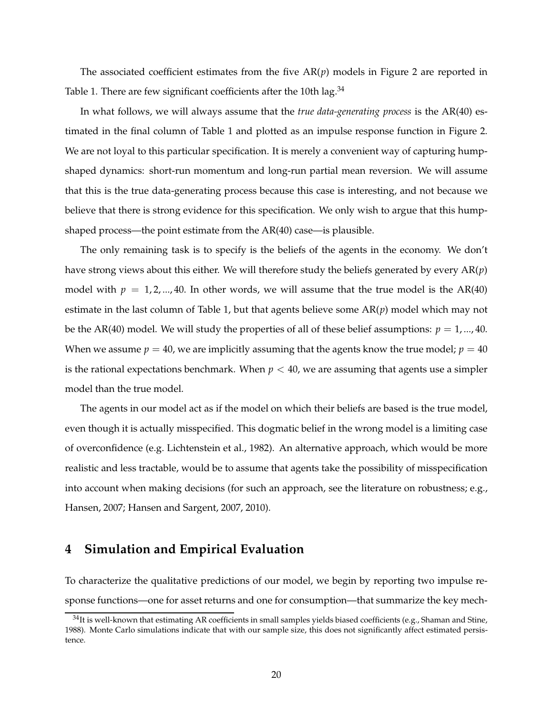The associated coefficient estimates from the five  $AR(p)$  models in Figure 2 are reported in Table 1. There are few significant coefficients after the 10th lag.  $34$ 

In what follows, we will always assume that the *true data-generating process* is the AR(40) estimated in the final column of Table 1 and plotted as an impulse response function in Figure 2. We are not loyal to this particular specification. It is merely a convenient way of capturing humpshaped dynamics: short-run momentum and long-run partial mean reversion. We will assume that this is the true data-generating process because this case is interesting, and not because we believe that there is strong evidence for this specification. We only wish to argue that this humpshaped process—the point estimate from the AR(40) case—is plausible.

The only remaining task is to specify is the beliefs of the agents in the economy. We don't have strong views about this either. We will therefore study the beliefs generated by every AR(*p*) model with  $p = 1, 2, ..., 40$ . In other words, we will assume that the true model is the AR(40) estimate in the last column of Table 1, but that agents believe some AR(*p*) model which may not be the AR(40) model. We will study the properties of all of these belief assumptions:  $p = 1, ..., 40$ . When we assume  $p = 40$ , we are implicitly assuming that the agents know the true model;  $p = 40$ is the rational expectations benchmark. When  $p < 40$ , we are assuming that agents use a simpler model than the true model.

The agents in our model act as if the model on which their beliefs are based is the true model, even though it is actually misspecified. This dogmatic belief in the wrong model is a limiting case of overconfidence (e.g. Lichtenstein et al., 1982). An alternative approach, which would be more realistic and less tractable, would be to assume that agents take the possibility of misspecification into account when making decisions (for such an approach, see the literature on robustness; e.g., Hansen, 2007; Hansen and Sargent, 2007, 2010).

# **4 Simulation and Empirical Evaluation**

To characterize the qualitative predictions of our model, we begin by reporting two impulse response functions—one for asset returns and one for consumption—that summarize the key mech-

 $34$ It is well-known that estimating AR coefficients in small samples yields biased coefficients (e.g., Shaman and Stine, 1988). Monte Carlo simulations indicate that with our sample size, this does not significantly affect estimated persistence.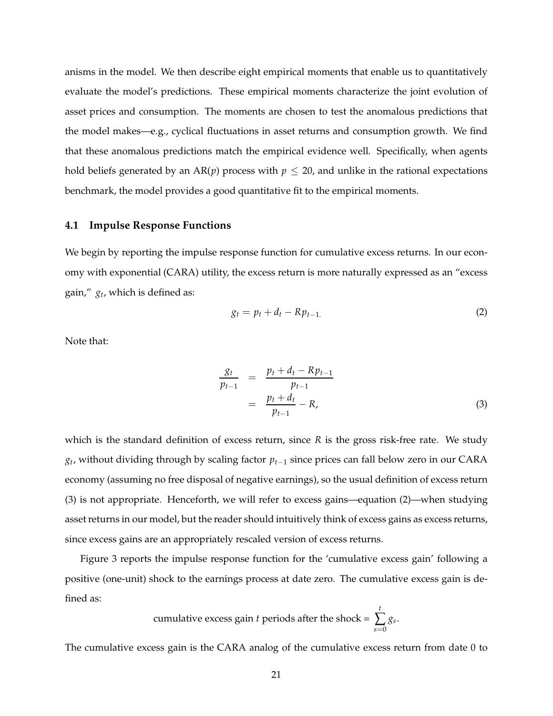anisms in the model. We then describe eight empirical moments that enable us to quantitatively evaluate the model's predictions. These empirical moments characterize the joint evolution of asset prices and consumption. The moments are chosen to test the anomalous predictions that the model makes—e.g., cyclical fluctuations in asset returns and consumption growth. We find that these anomalous predictions match the empirical evidence well. Specifically, when agents hold beliefs generated by an  $AR(p)$  process with  $p \le 20$ , and unlike in the rational expectations benchmark, the model provides a good quantitative fit to the empirical moments.

### **4.1 Impulse Response Functions**

We begin by reporting the impulse response function for cumulative excess returns. In our economy with exponential (CARA) utility, the excess return is more naturally expressed as an "excess gain," *g<sup>t</sup>* , which is defined as:

$$
g_t = p_t + d_t - R p_{t-1}.\tag{2}
$$

Note that:

$$
\frac{g_t}{p_{t-1}} = \frac{p_t + d_t - R p_{t-1}}{p_{t-1}}
$$
  
= 
$$
\frac{p_t + d_t}{p_{t-1}} - R,
$$
 (3)

which is the standard definition of excess return, since *R* is the gross risk-free rate. We study *gt* , without dividing through by scaling factor *pt*−<sup>1</sup> since prices can fall below zero in our CARA economy (assuming no free disposal of negative earnings), so the usual definition of excess return (3) is not appropriate. Henceforth, we will refer to excess gains—equation (2)—when studying asset returns in our model, but the reader should intuitively think of excess gains as excess returns, since excess gains are an appropriately rescaled version of excess returns.

Figure 3 reports the impulse response function for the 'cumulative excess gain' following a positive (one-unit) shock to the earnings process at date zero. The cumulative excess gain is defined as:

cumulative excess gain *t* periods after the shock = 
$$
\sum_{s=0}^{t} g_s
$$
.

The cumulative excess gain is the CARA analog of the cumulative excess return from date 0 to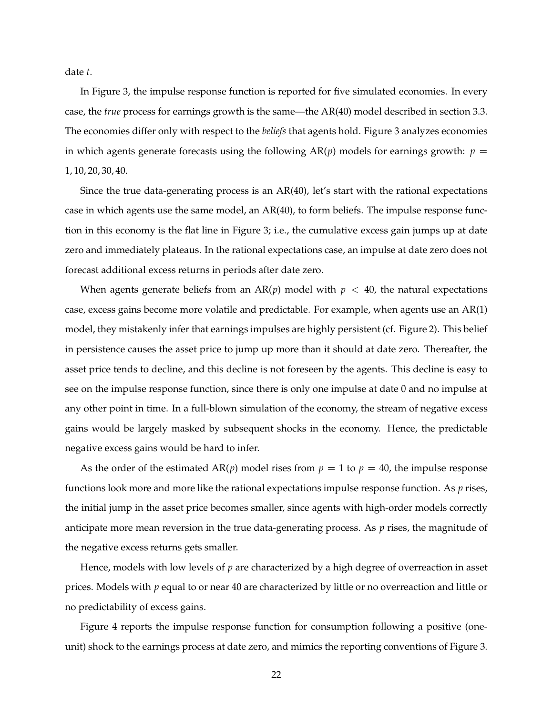date *t*.

In Figure 3, the impulse response function is reported for five simulated economies. In every case, the *true* process for earnings growth is the same—the AR(40) model described in section 3.3. The economies differ only with respect to the *beliefs* that agents hold. Figure 3 analyzes economies in which agents generate forecasts using the following  $AR(p)$  models for earnings growth:  $p =$ 1, 10, 20, 30, 40.

Since the true data-generating process is an AR(40), let's start with the rational expectations case in which agents use the same model, an AR(40), to form beliefs. The impulse response function in this economy is the flat line in Figure 3; i.e., the cumulative excess gain jumps up at date zero and immediately plateaus. In the rational expectations case, an impulse at date zero does not forecast additional excess returns in periods after date zero.

When agents generate beliefs from an  $AR(p)$  model with  $p < 40$ , the natural expectations case, excess gains become more volatile and predictable. For example, when agents use an AR(1) model, they mistakenly infer that earnings impulses are highly persistent (cf. Figure 2). This belief in persistence causes the asset price to jump up more than it should at date zero. Thereafter, the asset price tends to decline, and this decline is not foreseen by the agents. This decline is easy to see on the impulse response function, since there is only one impulse at date 0 and no impulse at any other point in time. In a full-blown simulation of the economy, the stream of negative excess gains would be largely masked by subsequent shocks in the economy. Hence, the predictable negative excess gains would be hard to infer.

As the order of the estimated  $AR(p)$  model rises from  $p = 1$  to  $p = 40$ , the impulse response functions look more and more like the rational expectations impulse response function. As *p* rises, the initial jump in the asset price becomes smaller, since agents with high-order models correctly anticipate more mean reversion in the true data-generating process. As *p* rises, the magnitude of the negative excess returns gets smaller.

Hence, models with low levels of *p* are characterized by a high degree of overreaction in asset prices. Models with *p* equal to or near 40 are characterized by little or no overreaction and little or no predictability of excess gains.

Figure 4 reports the impulse response function for consumption following a positive (oneunit) shock to the earnings process at date zero, and mimics the reporting conventions of Figure 3.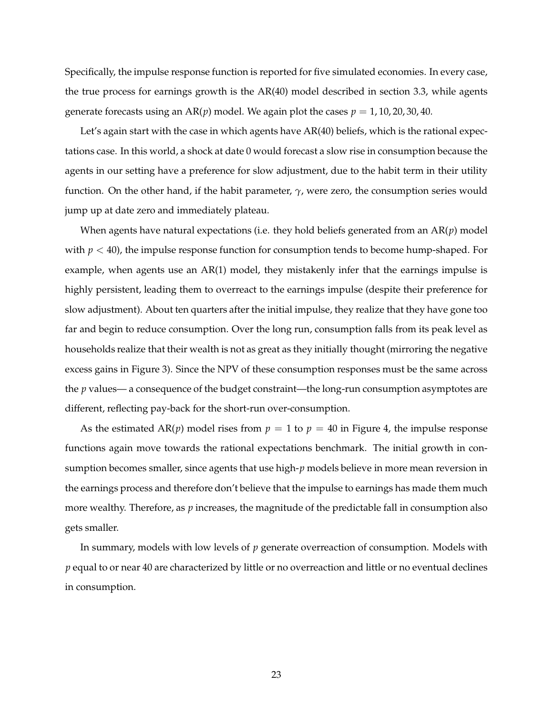Specifically, the impulse response function is reported for five simulated economies. In every case, the true process for earnings growth is the AR(40) model described in section 3.3, while agents generate forecasts using an  $AR(p)$  model. We again plot the cases  $p = 1, 10, 20, 30, 40$ .

Let's again start with the case in which agents have  $AR(40)$  beliefs, which is the rational expectations case. In this world, a shock at date 0 would forecast a slow rise in consumption because the agents in our setting have a preference for slow adjustment, due to the habit term in their utility function. On the other hand, if the habit parameter, *γ*, were zero, the consumption series would jump up at date zero and immediately plateau.

When agents have natural expectations (i.e. they hold beliefs generated from an AR(*p*) model with  $p < 40$ ), the impulse response function for consumption tends to become hump-shaped. For example, when agents use an AR(1) model, they mistakenly infer that the earnings impulse is highly persistent, leading them to overreact to the earnings impulse (despite their preference for slow adjustment). About ten quarters after the initial impulse, they realize that they have gone too far and begin to reduce consumption. Over the long run, consumption falls from its peak level as households realize that their wealth is not as great as they initially thought (mirroring the negative excess gains in Figure 3). Since the NPV of these consumption responses must be the same across the *p* values— a consequence of the budget constraint—the long-run consumption asymptotes are different, reflecting pay-back for the short-run over-consumption.

As the estimated  $AR(p)$  model rises from  $p = 1$  to  $p = 40$  in Figure 4, the impulse response functions again move towards the rational expectations benchmark. The initial growth in consumption becomes smaller, since agents that use high-*p* models believe in more mean reversion in the earnings process and therefore don't believe that the impulse to earnings has made them much more wealthy. Therefore, as *p* increases, the magnitude of the predictable fall in consumption also gets smaller.

In summary, models with low levels of *p* generate overreaction of consumption. Models with *p* equal to or near 40 are characterized by little or no overreaction and little or no eventual declines in consumption.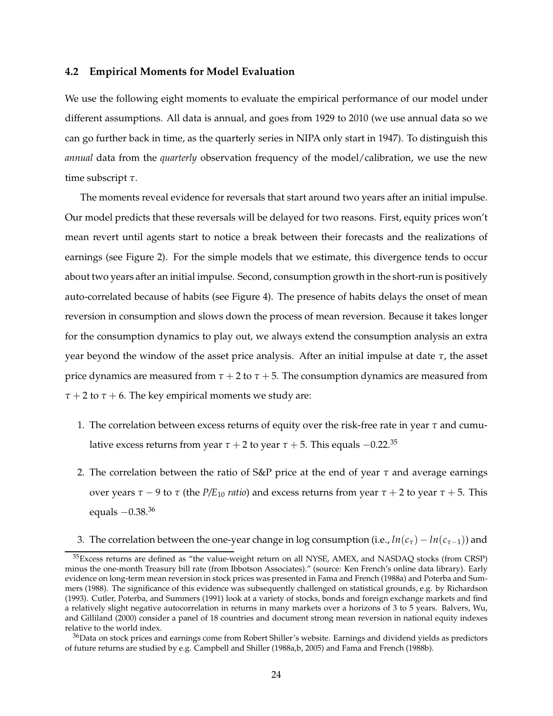#### **4.2 Empirical Moments for Model Evaluation**

We use the following eight moments to evaluate the empirical performance of our model under different assumptions. All data is annual, and goes from 1929 to 2010 (we use annual data so we can go further back in time, as the quarterly series in NIPA only start in 1947). To distinguish this *annual* data from the *quarterly* observation frequency of the model/calibration, we use the new time subscript *τ*.

The moments reveal evidence for reversals that start around two years after an initial impulse. Our model predicts that these reversals will be delayed for two reasons. First, equity prices won't mean revert until agents start to notice a break between their forecasts and the realizations of earnings (see Figure 2). For the simple models that we estimate, this divergence tends to occur about two years after an initial impulse. Second, consumption growth in the short-run is positively auto-correlated because of habits (see Figure 4). The presence of habits delays the onset of mean reversion in consumption and slows down the process of mean reversion. Because it takes longer for the consumption dynamics to play out, we always extend the consumption analysis an extra year beyond the window of the asset price analysis. After an initial impulse at date *τ*, the asset price dynamics are measured from  $\tau + 2$  to  $\tau + 5$ . The consumption dynamics are measured from  $\tau$  + 2 to  $\tau$  + 6. The key empirical moments we study are:

- 1. The correlation between excess returns of equity over the risk-free rate in year *τ* and cumulative excess returns from year  $\tau$  + 2 to year  $\tau$  + 5. This equals  $-0.22$ <sup>35</sup>
- 2. The correlation between the ratio of S&P price at the end of year *τ* and average earnings over years *τ* − 9 to *τ* (the *P/E*<sup>10</sup> *ratio*) and excess returns from year *τ* + 2 to year *τ* + 5. This equals  $-0.38$ <sup>36</sup>
- 3. The correlation between the one-year change in log consumption (i.e.,  $ln(c_{\tau}) ln(c_{\tau-1})$ ) and

<sup>&</sup>lt;sup>35</sup>Excess returns are defined as "the value-weight return on all NYSE, AMEX, and NASDAQ stocks (from CRSP) minus the one-month Treasury bill rate (from Ibbotson Associates)." (source: Ken French's online data library). Early evidence on long-term mean reversion in stock prices was presented in Fama and French (1988a) and Poterba and Summers (1988). The significance of this evidence was subsequently challenged on statistical grounds, e.g. by Richardson (1993). Cutler, Poterba, and Summers (1991) look at a variety of stocks, bonds and foreign exchange markets and find a relatively slight negative autocorrelation in returns in many markets over a horizons of 3 to 5 years. Balvers, Wu, and Gilliland (2000) consider a panel of 18 countries and document strong mean reversion in national equity indexes relative to the world index.

<sup>&</sup>lt;sup>36</sup>Data on stock prices and earnings come from Robert Shiller's website. Earnings and dividend yields as predictors of future returns are studied by e.g. Campbell and Shiller (1988a,b, 2005) and Fama and French (1988b).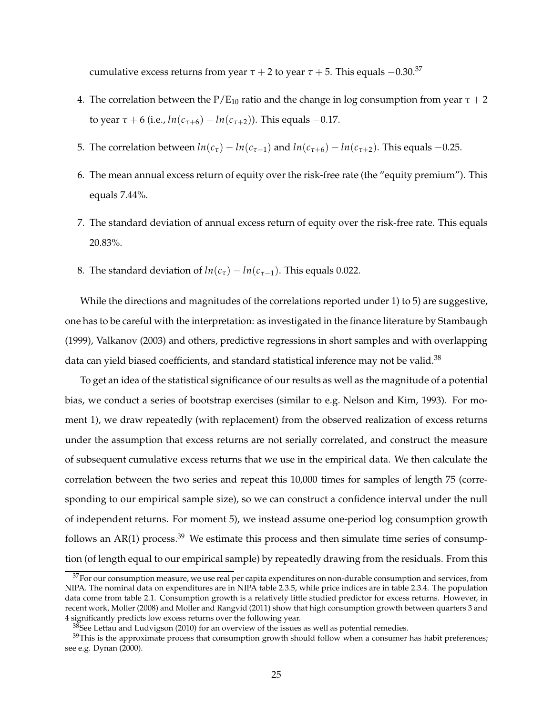cumulative excess returns from year  $\tau + 2$  to year  $\tau + 5$ . This equals  $-0.30$ <sup>37</sup>

- 4. The correlation between the  $P/E_{10}$  ratio and the change in log consumption from year  $\tau + 2$ to year *τ* + 6 (i.e., *ln*(*c*<sub>*τ*+6</sub>) − *ln*(*c*<sub>*τ*+2</sub>)). This equals −0.17.
- 5. The correlation between  $ln(c_{\tau}) ln(c_{\tau-1})$  and  $ln(c_{\tau+6}) ln(c_{\tau+2})$ . This equals -0.25.
- 6. The mean annual excess return of equity over the risk-free rate (the "equity premium"). This equals 7.44%.
- 7. The standard deviation of annual excess return of equity over the risk-free rate. This equals 20.83%.
- 8. The standard deviation of  $ln(c_{\tau}) ln(c_{\tau-1})$ . This equals 0.022.

While the directions and magnitudes of the correlations reported under 1) to 5) are suggestive, one has to be careful with the interpretation: as investigated in the finance literature by Stambaugh (1999), Valkanov (2003) and others, predictive regressions in short samples and with overlapping data can yield biased coefficients, and standard statistical inference may not be valid.<sup>38</sup>

To get an idea of the statistical significance of our results as well as the magnitude of a potential bias, we conduct a series of bootstrap exercises (similar to e.g. Nelson and Kim, 1993). For moment 1), we draw repeatedly (with replacement) from the observed realization of excess returns under the assumption that excess returns are not serially correlated, and construct the measure of subsequent cumulative excess returns that we use in the empirical data. We then calculate the correlation between the two series and repeat this 10,000 times for samples of length 75 (corresponding to our empirical sample size), so we can construct a confidence interval under the null of independent returns. For moment 5), we instead assume one-period log consumption growth follows an AR(1) process. $39$  We estimate this process and then simulate time series of consumption (of length equal to our empirical sample) by repeatedly drawing from the residuals. From this

 $37$  For our consumption measure, we use real per capita expenditures on non-durable consumption and services, from NIPA. The nominal data on expenditures are in NIPA table 2.3.5, while price indices are in table 2.3.4. The population data come from table 2.1. Consumption growth is a relatively little studied predictor for excess returns. However, in recent work, Moller (2008) and Moller and Rangvid (2011) show that high consumption growth between quarters 3 and 4 significantly predicts low excess returns over the following year.

 $38$ See Lettau and Ludvigson (2010) for an overview of the issues as well as potential remedies.

<sup>&</sup>lt;sup>39</sup>This is the approximate process that consumption growth should follow when a consumer has habit preferences; see e.g. Dynan (2000).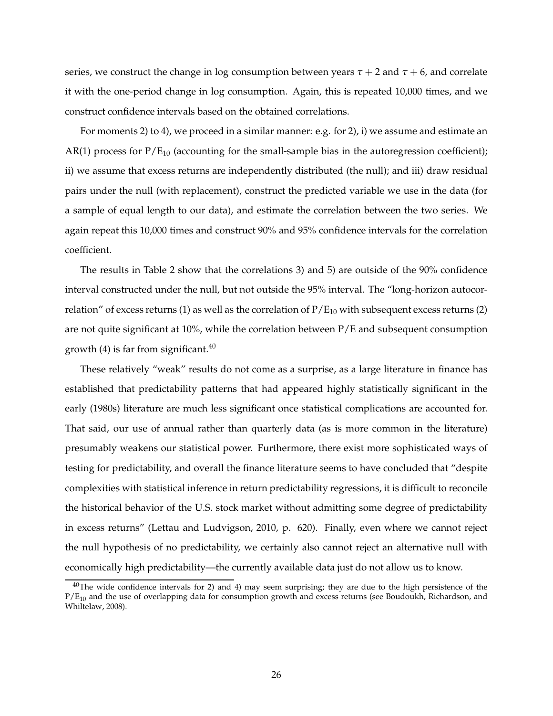series, we construct the change in log consumption between years  $\tau + 2$  and  $\tau + 6$ , and correlate it with the one-period change in log consumption. Again, this is repeated 10,000 times, and we construct confidence intervals based on the obtained correlations.

For moments 2) to 4), we proceed in a similar manner: e.g. for 2), i) we assume and estimate an AR(1) process for  $P/E_{10}$  (accounting for the small-sample bias in the autoregression coefficient); ii) we assume that excess returns are independently distributed (the null); and iii) draw residual pairs under the null (with replacement), construct the predicted variable we use in the data (for a sample of equal length to our data), and estimate the correlation between the two series. We again repeat this 10,000 times and construct 90% and 95% confidence intervals for the correlation coefficient.

The results in Table 2 show that the correlations 3) and 5) are outside of the 90% confidence interval constructed under the null, but not outside the 95% interval. The "long-horizon autocorrelation" of excess returns (1) as well as the correlation of  $P/E_{10}$  with subsequent excess returns (2) are not quite significant at 10%, while the correlation between  $P/E$  and subsequent consumption growth (4) is far from significant. $40$ 

These relatively "weak" results do not come as a surprise, as a large literature in finance has established that predictability patterns that had appeared highly statistically significant in the early (1980s) literature are much less significant once statistical complications are accounted for. That said, our use of annual rather than quarterly data (as is more common in the literature) presumably weakens our statistical power. Furthermore, there exist more sophisticated ways of testing for predictability, and overall the finance literature seems to have concluded that "despite complexities with statistical inference in return predictability regressions, it is difficult to reconcile the historical behavior of the U.S. stock market without admitting some degree of predictability in excess returns" (Lettau and Ludvigson, 2010, p. 620). Finally, even where we cannot reject the null hypothesis of no predictability, we certainly also cannot reject an alternative null with economically high predictability—the currently available data just do not allow us to know.

<sup>&</sup>lt;sup>40</sup>The wide confidence intervals for 2) and 4) may seem surprising; they are due to the high persistence of the  $P/E_{10}$  and the use of overlapping data for consumption growth and excess returns (see Boudoukh, Richardson, and Whiltelaw, 2008).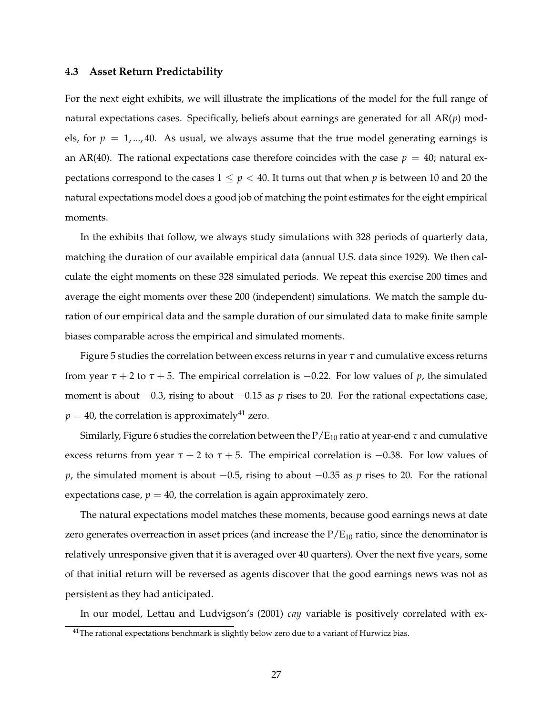#### **4.3 Asset Return Predictability**

For the next eight exhibits, we will illustrate the implications of the model for the full range of natural expectations cases. Specifically, beliefs about earnings are generated for all AR(*p*) models, for  $p = 1, \dots, 40$ . As usual, we always assume that the true model generating earnings is an AR(40). The rational expectations case therefore coincides with the case  $p = 40$ ; natural expectations correspond to the cases  $1 \leq p < 40$ . It turns out that when p is between 10 and 20 the natural expectations model does a good job of matching the point estimates for the eight empirical moments.

In the exhibits that follow, we always study simulations with 328 periods of quarterly data, matching the duration of our available empirical data (annual U.S. data since 1929). We then calculate the eight moments on these 328 simulated periods. We repeat this exercise 200 times and average the eight moments over these 200 (independent) simulations. We match the sample duration of our empirical data and the sample duration of our simulated data to make finite sample biases comparable across the empirical and simulated moments.

Figure 5 studies the correlation between excess returns in year *τ* and cumulative excess returns from year  $\tau$  + 2 to  $\tau$  + 5. The empirical correlation is −0.22. For low values of *p*, the simulated moment is about −0.3, rising to about −0.15 as *p* rises to 20. For the rational expectations case,  $p = 40$ , the correlation is approximately<sup>41</sup> zero.

Similarly, Figure 6 studies the correlation between the  $P/E_{10}$  ratio at year-end  $\tau$  and cumulative excess returns from year  $\tau + 2$  to  $\tau + 5$ . The empirical correlation is  $-0.38$ . For low values of *p*, the simulated moment is about −0.5, rising to about −0.35 as *p* rises to 20. For the rational expectations case,  $p = 40$ , the correlation is again approximately zero.

The natural expectations model matches these moments, because good earnings news at date zero generates overreaction in asset prices (and increase the  $P/E_{10}$  ratio, since the denominator is relatively unresponsive given that it is averaged over 40 quarters). Over the next five years, some of that initial return will be reversed as agents discover that the good earnings news was not as persistent as they had anticipated.

In our model, Lettau and Ludvigson's (2001) *cay* variable is positively correlated with ex-

 $41$ The rational expectations benchmark is slightly below zero due to a variant of Hurwicz bias.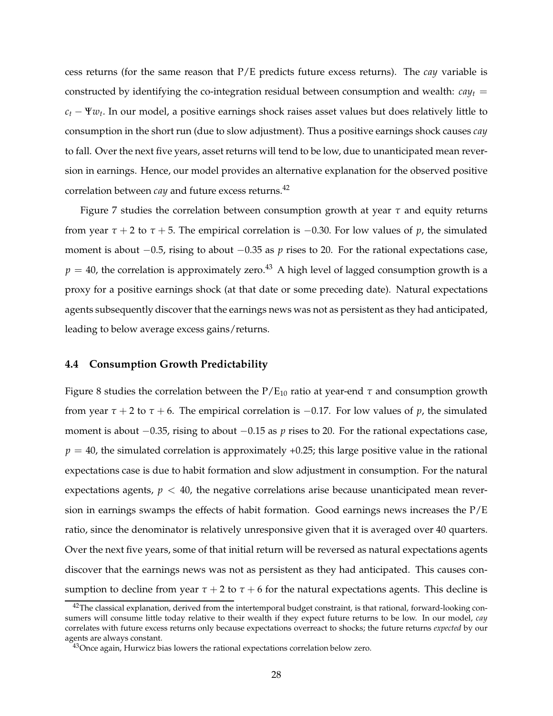cess returns (for the same reason that P/E predicts future excess returns). The *cay* variable is constructed by identifying the co-integration residual between consumption and wealth:  $cav_t$  = *<sup>c</sup><sup>t</sup>* <sup>−</sup> <sup>Ψ</sup>*w<sup>t</sup>* . In our model, a positive earnings shock raises asset values but does relatively little to consumption in the short run (due to slow adjustment). Thus a positive earnings shock causes *cay* to fall. Over the next five years, asset returns will tend to be low, due to unanticipated mean reversion in earnings. Hence, our model provides an alternative explanation for the observed positive correlation between *cay* and future excess returns.<sup>42</sup>

Figure 7 studies the correlation between consumption growth at year *τ* and equity returns from year  $\tau$  + 2 to  $\tau$  + 5. The empirical correlation is −0.30. For low values of *p*, the simulated moment is about −0.5, rising to about −0.35 as *p* rises to 20. For the rational expectations case,  $p = 40$ , the correlation is approximately zero.<sup>43</sup> A high level of lagged consumption growth is a proxy for a positive earnings shock (at that date or some preceding date). Natural expectations agents subsequently discover that the earnings news was not as persistent as they had anticipated, leading to below average excess gains/returns.

#### **4.4 Consumption Growth Predictability**

Figure 8 studies the correlation between the  $P/E_{10}$  ratio at year-end  $\tau$  and consumption growth from year  $\tau$  + 2 to  $\tau$  + 6. The empirical correlation is  $-0.17$ . For low values of *p*, the simulated moment is about −0.35, rising to about −0.15 as *p* rises to 20. For the rational expectations case,  $p = 40$ , the simulated correlation is approximately  $+0.25$ ; this large positive value in the rational expectations case is due to habit formation and slow adjustment in consumption. For the natural expectations agents,  $p < 40$ , the negative correlations arise because unanticipated mean reversion in earnings swamps the effects of habit formation. Good earnings news increases the  $P/E$ ratio, since the denominator is relatively unresponsive given that it is averaged over 40 quarters. Over the next five years, some of that initial return will be reversed as natural expectations agents discover that the earnings news was not as persistent as they had anticipated. This causes consumption to decline from year  $\tau$  + 2 to  $\tau$  + 6 for the natural expectations agents. This decline is

 $42$ The classical explanation, derived from the intertemporal budget constraint, is that rational, forward-looking consumers will consume little today relative to their wealth if they expect future returns to be low. In our model, *cay* correlates with future excess returns only because expectations overreact to shocks; the future returns *expected* by our agents are always constant.

<sup>&</sup>lt;sup>43</sup>Once again, Hurwicz bias lowers the rational expectations correlation below zero.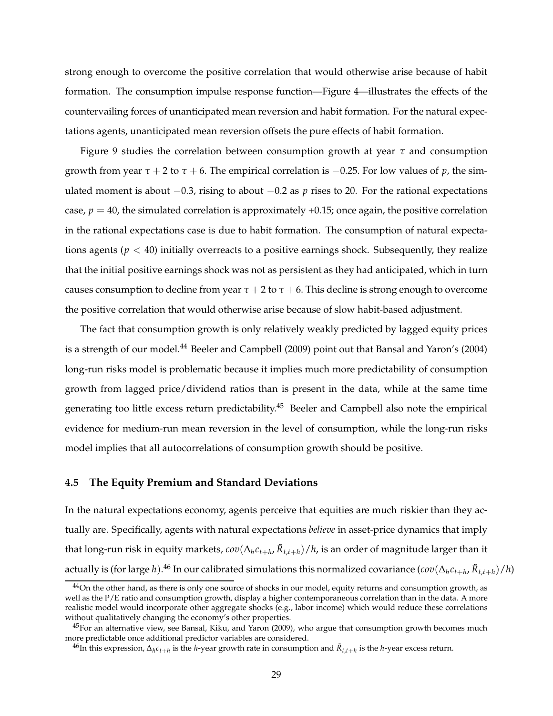strong enough to overcome the positive correlation that would otherwise arise because of habit formation. The consumption impulse response function—Figure 4—illustrates the effects of the countervailing forces of unanticipated mean reversion and habit formation. For the natural expectations agents, unanticipated mean reversion offsets the pure effects of habit formation.

Figure 9 studies the correlation between consumption growth at year *τ* and consumption growth from year  $\tau$  + 2 to  $\tau$  + 6. The empirical correlation is  $-0.25$ . For low values of *p*, the simulated moment is about  $-0.3$ , rising to about  $-0.2$  as *p* rises to 20. For the rational expectations case,  $p = 40$ , the simulated correlation is approximately +0.15; once again, the positive correlation in the rational expectations case is due to habit formation. The consumption of natural expectations agents ( $p < 40$ ) initially overreacts to a positive earnings shock. Subsequently, they realize that the initial positive earnings shock was not as persistent as they had anticipated, which in turn causes consumption to decline from year  $\tau$  + 2 to  $\tau$  + 6. This decline is strong enough to overcome the positive correlation that would otherwise arise because of slow habit-based adjustment.

The fact that consumption growth is only relatively weakly predicted by lagged equity prices is a strength of our model.<sup>44</sup> Beeler and Campbell (2009) point out that Bansal and Yaron's (2004) long-run risks model is problematic because it implies much more predictability of consumption growth from lagged price/dividend ratios than is present in the data, while at the same time generating too little excess return predictability.<sup>45</sup> Beeler and Campbell also note the empirical evidence for medium-run mean reversion in the level of consumption, while the long-run risks model implies that all autocorrelations of consumption growth should be positive.

### **4.5 The Equity Premium and Standard Deviations**

In the natural expectations economy, agents perceive that equities are much riskier than they actually are. Specifically, agents with natural expectations *believe* in asset-price dynamics that imply that long-run risk in equity markets*,*  $cov(\Delta_h c_{t+h}, \tilde{R}_{t,t+h})/h$ *,* is an order of magnitude larger than it actually is (for large *h*). $^{46}$  In our calibrated simulations this normalized covariance ( $cov(\Delta_h c_{t+h}, \tilde{R}_{t,t+h})/h$ )

 $44$ On the other hand, as there is only one source of shocks in our model, equity returns and consumption growth, as well as the P/E ratio and consumption growth, display a higher contemporaneous correlation than in the data. A more realistic model would incorporate other aggregate shocks (e.g., labor income) which would reduce these correlations without qualitatively changing the economy's other properties.

 $45$ For an alternative view, see Bansal, Kiku, and Yaron (2009), who argue that consumption growth becomes much more predictable once additional predictor variables are considered.

<sup>46</sup>In this expression, ∆*<sup>h</sup> ct*+*<sup>h</sup>* is the *h*-year growth rate in consumption and *R*˜ *t*,*t*+*h* is the *h*-year excess return.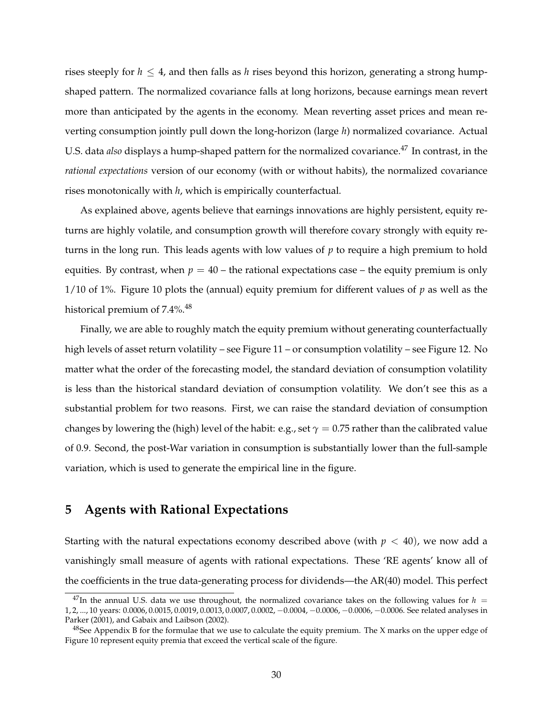rises steeply for  $h \leq 4$ , and then falls as *h* rises beyond this horizon, generating a strong humpshaped pattern. The normalized covariance falls at long horizons, because earnings mean revert more than anticipated by the agents in the economy. Mean reverting asset prices and mean reverting consumption jointly pull down the long-horizon (large *h*) normalized covariance. Actual U.S. data *also* displays a hump-shaped pattern for the normalized covariance.<sup>47</sup> In contrast, in the *rational expectations* version of our economy (with or without habits), the normalized covariance rises monotonically with *h*, which is empirically counterfactual.

As explained above, agents believe that earnings innovations are highly persistent, equity returns are highly volatile, and consumption growth will therefore covary strongly with equity returns in the long run. This leads agents with low values of *p* to require a high premium to hold equities. By contrast, when  $p = 40$  – the rational expectations case – the equity premium is only 1/10 of 1%. Figure 10 plots the (annual) equity premium for different values of *p* as well as the historical premium of  $7.4\%$ <sup>48</sup>

Finally, we are able to roughly match the equity premium without generating counterfactually high levels of asset return volatility – see Figure 11 – or consumption volatility – see Figure 12. No matter what the order of the forecasting model, the standard deviation of consumption volatility is less than the historical standard deviation of consumption volatility. We don't see this as a substantial problem for two reasons. First, we can raise the standard deviation of consumption changes by lowering the (high) level of the habit: e.g., set  $\gamma = 0.75$  rather than the calibrated value of 0.9. Second, the post-War variation in consumption is substantially lower than the full-sample variation, which is used to generate the empirical line in the figure.

# **5 Agents with Rational Expectations**

Starting with the natural expectations economy described above (with  $p < 40$ ), we now add a vanishingly small measure of agents with rational expectations. These 'RE agents' know all of the coefficients in the true data-generating process for dividends—the AR(40) model. This perfect

<sup>&</sup>lt;sup>47</sup>In the annual U.S. data we use throughout, the normalized covariance takes on the following values for  $h =$ 1, 2, ..., 10 years: 0.0006, 0.0015, 0.0019, 0.0013, 0.0007, 0.0002, −0.0004, −0.0006, −0.0006, −0.0006. See related analyses in Parker (2001), and Gabaix and Laibson (2002).

 $48$ See Appendix B for the formulae that we use to calculate the equity premium. The X marks on the upper edge of Figure 10 represent equity premia that exceed the vertical scale of the figure.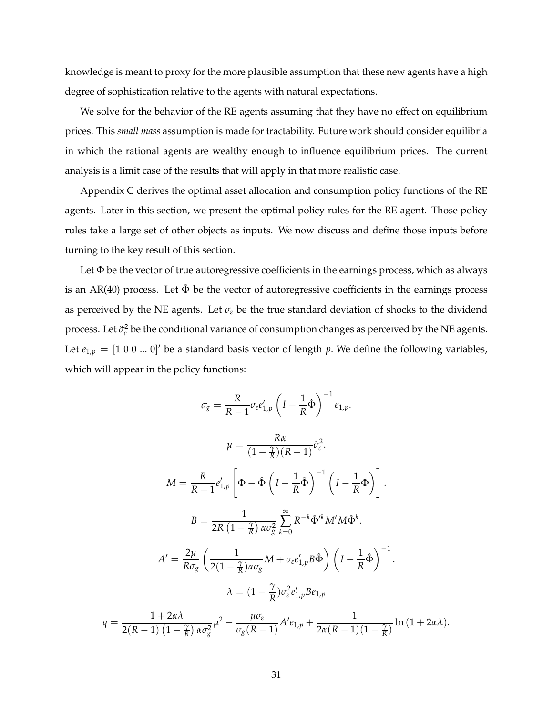knowledge is meant to proxy for the more plausible assumption that these new agents have a high degree of sophistication relative to the agents with natural expectations.

We solve for the behavior of the RE agents assuming that they have no effect on equilibrium prices. This *small mass* assumption is made for tractability. Future work should consider equilibria in which the rational agents are wealthy enough to influence equilibrium prices. The current analysis is a limit case of the results that will apply in that more realistic case.

Appendix C derives the optimal asset allocation and consumption policy functions of the RE agents. Later in this section, we present the optimal policy rules for the RE agent. Those policy rules take a large set of other objects as inputs. We now discuss and define those inputs before turning to the key result of this section.

Let  $\Phi$  be the vector of true autoregressive coefficients in the earnings process, which as always is an AR(40) process. Let  $\hat{\Phi}$  be the vector of autoregressive coefficients in the earnings process as perceived by the NE agents. Let  $\sigma_{\varepsilon}$  be the true standard deviation of shocks to the dividend process. Let  $\hat{\sigma}_{c}^{2}$  be the conditional variance of consumption changes as perceived by the NE agents. Let  $e_{1,p} = [1 \ 0 \ 0 \ ... \ 0]'$  be a standard basis vector of length  $p$ . We define the following variables, which will appear in the policy functions:

$$
\sigma_{g} = \frac{R}{R-1} \sigma_{\varepsilon} e'_{1,p} \left( I - \frac{1}{R} \hat{\Phi} \right)^{-1} e_{1,p}.
$$
\n
$$
\mu = \frac{R\alpha}{(1 - \frac{\gamma}{R})(R-1)} \hat{\sigma}_{c}^{2}.
$$
\n
$$
M = \frac{R}{R-1} e'_{1,p} \left[ \Phi - \hat{\Phi} \left( I - \frac{1}{R} \hat{\Phi} \right)^{-1} \left( I - \frac{1}{R} \Phi \right) \right].
$$
\n
$$
B = \frac{1}{2R \left( 1 - \frac{\gamma}{R} \right) \alpha \sigma_{g}^{2}} \sum_{k=0}^{\infty} R^{-k} \hat{\Phi}^{k} M^{t} M \hat{\Phi}^{k}.
$$
\n
$$
A' = \frac{2\mu}{R \sigma_{g}} \left( \frac{1}{2(1 - \frac{\gamma}{R}) \alpha \sigma_{g}} M + \sigma_{\varepsilon} e'_{1,p} B \hat{\Phi} \right) \left( I - \frac{1}{R} \hat{\Phi} \right)^{-1}.
$$
\n
$$
\lambda = (1 - \frac{\gamma}{R}) \sigma_{\varepsilon}^{2} e'_{1,p} B e_{1,p}
$$
\n
$$
q = \frac{1 + 2\alpha \lambda}{2(R-1) \left( 1 - \frac{\gamma}{R} \right) \alpha \sigma_{g}^{2}} \mu^{2} - \frac{\mu \sigma_{\varepsilon}}{\sigma_{g} (R-1)} A^{\prime} e_{1,p} + \frac{1}{2\alpha (R-1) (1 - \frac{\gamma}{R})} \ln \left( 1 + 2\alpha \lambda \right).
$$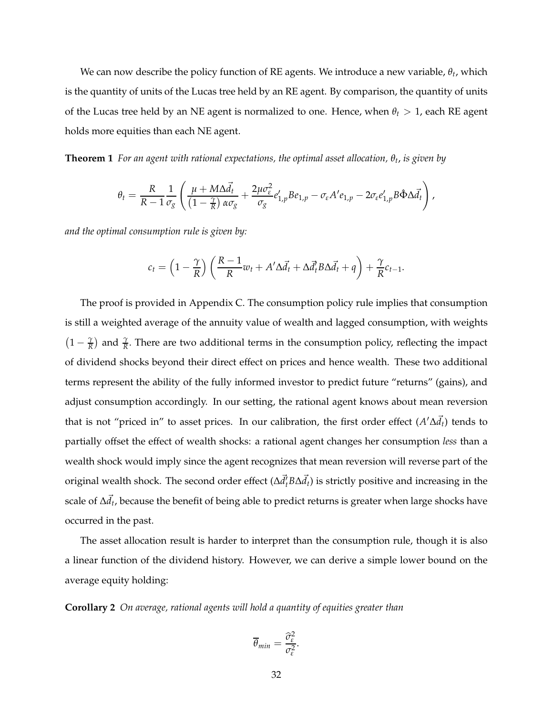We can now describe the policy function of RE agents. We introduce a new variable, *θ<sup>t</sup>* , which is the quantity of units of the Lucas tree held by an RE agent. By comparison, the quantity of units of the Lucas tree held by an NE agent is normalized to one. Hence, when *θ<sup>t</sup>* > 1, each RE agent holds more equities than each NE agent.

**Theorem 1** *For an agent with rational expectations, the optimal asset allocation, θ<sup>t</sup>* , *is given by*

$$
\theta_t = \frac{R}{R-1} \frac{1}{\sigma_g} \left( \frac{\mu + M \Delta \vec{d}_t}{\left(1 - \frac{\gamma}{R}\right) \alpha \sigma_g} + \frac{2 \mu \sigma_\varepsilon^2}{\sigma_g} e'_{1,p} B e_{1,p} - \sigma_\varepsilon A' e_{1,p} - 2 \sigma_\varepsilon e'_{1,p} B \hat{\Phi} \Delta \vec{d}_t \right),
$$

*and the optimal consumption rule is given by:*

$$
c_t = \left(1 - \frac{\gamma}{R}\right) \left(\frac{R-1}{R} w_t + A'\Delta \vec{d}_t + \Delta \vec{d}_t B \Delta \vec{d}_t + q\right) + \frac{\gamma}{R} c_{t-1}.
$$

The proof is provided in Appendix C. The consumption policy rule implies that consumption is still a weighted average of the annuity value of wealth and lagged consumption, with weights  $\left(1-\frac{\gamma}{R}\right)$  $\frac{\gamma}{R}$ ) and  $\frac{\gamma}{R}$ . There are two additional terms in the consumption policy, reflecting the impact of dividend shocks beyond their direct effect on prices and hence wealth. These two additional terms represent the ability of the fully informed investor to predict future "returns" (gains), and adjust consumption accordingly. In our setting, the rational agent knows about mean reversion that is not "priced in" to asset prices. In our calibration, the first order effect (*A* ′∆*d*~ *<sup>t</sup>*) tends to partially offset the effect of wealth shocks: a rational agent changes her consumption *less* than a wealth shock would imply since the agent recognizes that mean reversion will reverse part of the original wealth shock. The second order effect ( $\Delta \vec{d}_t' B \Delta \vec{d}_t$ ) is strictly positive and increasing in the scale of ∆*ḋ̃<sub>t</sub>,* because the benefit of being able to predict returns is greater when large shocks have occurred in the past.

The asset allocation result is harder to interpret than the consumption rule, though it is also a linear function of the dividend history. However, we can derive a simple lower bound on the average equity holding:

**Corollary 2** *On average, rational agents will hold a quantity of equities greater than*

$$
\overline{\theta}_{min} = \frac{\widehat{\sigma}_{\varepsilon}^2}{\sigma_{\varepsilon}^2}.
$$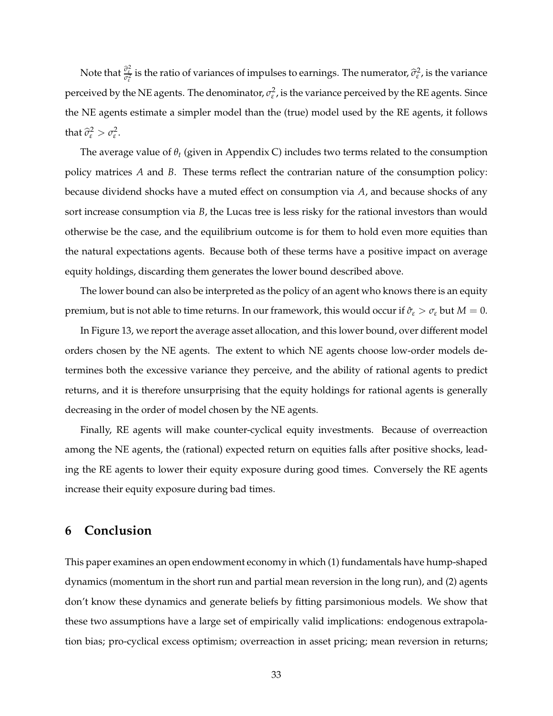Note that  $\frac{\widehat{\sigma}^2_\epsilon}{\sigma^2_\epsilon}$  is the ratio of variances of impulses to earnings. The numerator,  $\widehat{\sigma}^2_\epsilon$ , is the variance perceived by the NE agents. The denominator,  $\sigma_{\varepsilon}^2$ , is the variance perceived by the RE agents. Since the NE agents estimate a simpler model than the (true) model used by the RE agents, it follows that  $\widehat{\sigma}_{\varepsilon}^2 > \sigma_{\varepsilon}^2$ .

The average value of *θ<sup>t</sup>* (given in Appendix C) includes two terms related to the consumption policy matrices *A* and *B*. These terms reflect the contrarian nature of the consumption policy: because dividend shocks have a muted effect on consumption via *A*, and because shocks of any sort increase consumption via *B*, the Lucas tree is less risky for the rational investors than would otherwise be the case, and the equilibrium outcome is for them to hold even more equities than the natural expectations agents. Because both of these terms have a positive impact on average equity holdings, discarding them generates the lower bound described above.

The lower bound can also be interpreted as the policy of an agent who knows there is an equity premium, but is not able to time returns. In our framework, this would occur if  $\hat{\sigma}_{\varepsilon} > \sigma_{\varepsilon}$  but  $M = 0$ .

In Figure 13, we report the average asset allocation, and this lower bound, over different model orders chosen by the NE agents. The extent to which NE agents choose low-order models determines both the excessive variance they perceive, and the ability of rational agents to predict returns, and it is therefore unsurprising that the equity holdings for rational agents is generally decreasing in the order of model chosen by the NE agents.

Finally, RE agents will make counter-cyclical equity investments. Because of overreaction among the NE agents, the (rational) expected return on equities falls after positive shocks, leading the RE agents to lower their equity exposure during good times. Conversely the RE agents increase their equity exposure during bad times.

# **6 Conclusion**

This paper examines an open endowment economy in which (1) fundamentals have hump-shaped dynamics (momentum in the short run and partial mean reversion in the long run), and (2) agents don't know these dynamics and generate beliefs by fitting parsimonious models. We show that these two assumptions have a large set of empirically valid implications: endogenous extrapolation bias; pro-cyclical excess optimism; overreaction in asset pricing; mean reversion in returns;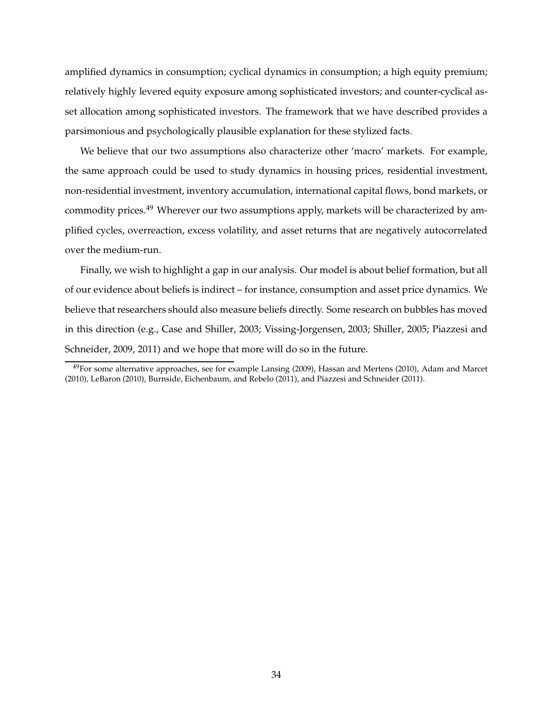amplified dynamics in consumption; cyclical dynamics in consumption; a high equity premium; relatively highly levered equity exposure among sophisticated investors; and counter-cyclical asset allocation among sophisticated investors. The framework that we have described provides a parsimonious and psychologically plausible explanation for these stylized facts.

We believe that our two assumptions also characterize other 'macro' markets. For example, the same approach could be used to study dynamics in housing prices, residential investment, non-residential investment, inventory accumulation, international capital flows, bond markets, or commodity prices.<sup>49</sup> Wherever our two assumptions apply, markets will be characterized by amplified cycles, overreaction, excess volatility, and asset returns that are negatively autocorrelated over the medium-run.

Finally, we wish to highlight a gap in our analysis. Our model is about belief formation, but all of our evidence about beliefs is indirect – for instance, consumption and asset price dynamics. We believe that researchers should also measure beliefs directly. Some research on bubbles has moved in this direction (e.g., Case and Shiller, 2003; Vissing-Jorgensen, 2003; Shiller, 2005; Piazzesi and Schneider, 2009, 2011) and we hope that more will do so in the future.

 $49$ For some alternative approaches, see for example Lansing (2009), Hassan and Mertens (2010), Adam and Marcet (2010), LeBaron (2010), Burnside, Eichenbaum, and Rebelo (2011), and Piazzesi and Schneider (2011).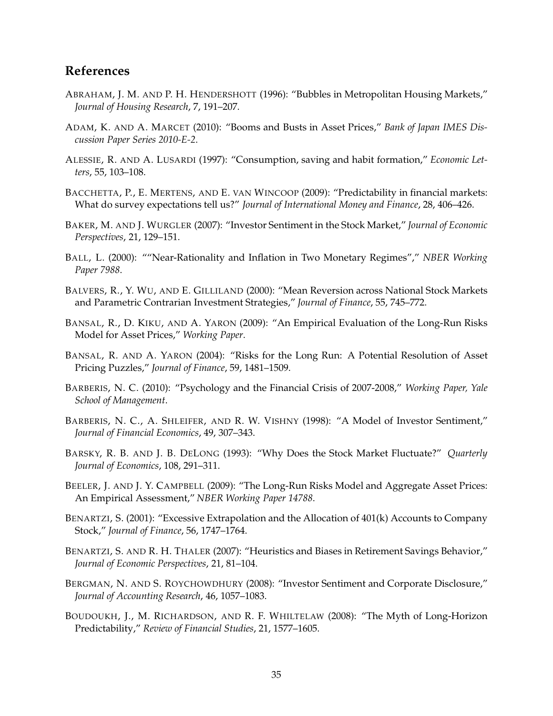# **References**

- ABRAHAM, J. M. AND P. H. HENDERSHOTT (1996): "Bubbles in Metropolitan Housing Markets," *Journal of Housing Research*, 7, 191–207.
- ADAM, K. AND A. MARCET (2010): "Booms and Busts in Asset Prices," *Bank of Japan IMES Discussion Paper Series 2010-E-2*.
- ALESSIE, R. AND A. LUSARDI (1997): "Consumption, saving and habit formation," *Economic Letters*, 55, 103–108.
- BACCHETTA, P., E. MERTENS, AND E. VAN WINCOOP (2009): "Predictability in financial markets: What do survey expectations tell us?" *Journal of International Money and Finance*, 28, 406–426.
- BAKER, M. AND J. WURGLER (2007): "Investor Sentiment in the Stock Market," *Journal of Economic Perspectives*, 21, 129–151.
- BALL, L. (2000): ""Near-Rationality and Inflation in Two Monetary Regimes"," *NBER Working Paper 7988*.
- BALVERS, R., Y. WU, AND E. GILLILAND (2000): "Mean Reversion across National Stock Markets and Parametric Contrarian Investment Strategies," *Journal of Finance*, 55, 745–772.
- BANSAL, R., D. KIKU, AND A. YARON (2009): "An Empirical Evaluation of the Long-Run Risks Model for Asset Prices," *Working Paper*.
- BANSAL, R. AND A. YARON (2004): "Risks for the Long Run: A Potential Resolution of Asset Pricing Puzzles," *Journal of Finance*, 59, 1481–1509.
- BARBERIS, N. C. (2010): "Psychology and the Financial Crisis of 2007-2008," *Working Paper, Yale School of Management*.
- BARBERIS, N. C., A. SHLEIFER, AND R. W. VISHNY (1998): "A Model of Investor Sentiment," *Journal of Financial Economics*, 49, 307–343.
- BARSKY, R. B. AND J. B. DELONG (1993): "Why Does the Stock Market Fluctuate?" *Quarterly Journal of Economics*, 108, 291–311.
- BEELER, J. AND J. Y. CAMPBELL (2009): "The Long-Run Risks Model and Aggregate Asset Prices: An Empirical Assessment," *NBER Working Paper 14788*.
- BENARTZI, S. (2001): "Excessive Extrapolation and the Allocation of 401(k) Accounts to Company Stock," *Journal of Finance*, 56, 1747–1764.
- BENARTZI, S. AND R. H. THALER (2007): "Heuristics and Biases in Retirement Savings Behavior," *Journal of Economic Perspectives*, 21, 81–104.
- BERGMAN, N. AND S. ROYCHOWDHURY (2008): "Investor Sentiment and Corporate Disclosure," *Journal of Accounting Research*, 46, 1057–1083.
- BOUDOUKH, J., M. RICHARDSON, AND R. F. WHILTELAW (2008): "The Myth of Long-Horizon Predictability," *Review of Financial Studies*, 21, 1577–1605.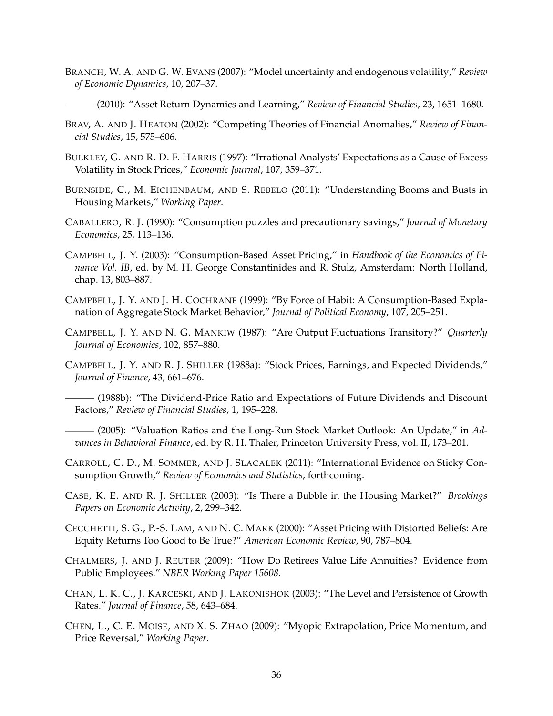- BRANCH, W. A. AND G. W. EVANS (2007): "Model uncertainty and endogenous volatility," *Review of Economic Dynamics*, 10, 207–37.
- ——— (2010): "Asset Return Dynamics and Learning," *Review of Financial Studies*, 23, 1651–1680.
- BRAV, A. AND J. HEATON (2002): "Competing Theories of Financial Anomalies," *Review of Financial Studies*, 15, 575–606.
- BULKLEY, G. AND R. D. F. HARRIS (1997): "Irrational Analysts' Expectations as a Cause of Excess Volatility in Stock Prices," *Economic Journal*, 107, 359–371.
- BURNSIDE, C., M. EICHENBAUM, AND S. REBELO (2011): "Understanding Booms and Busts in Housing Markets," *Working Paper*.
- CABALLERO, R. J. (1990): "Consumption puzzles and precautionary savings," *Journal of Monetary Economics*, 25, 113–136.
- CAMPBELL, J. Y. (2003): "Consumption-Based Asset Pricing," in *Handbook of the Economics of Finance Vol. IB*, ed. by M. H. George Constantinides and R. Stulz, Amsterdam: North Holland, chap. 13, 803–887.
- CAMPBELL, J. Y. AND J. H. COCHRANE (1999): "By Force of Habit: A Consumption-Based Explanation of Aggregate Stock Market Behavior," *Journal of Political Economy*, 107, 205–251.
- CAMPBELL, J. Y. AND N. G. MANKIW (1987): "Are Output Fluctuations Transitory?" *Quarterly Journal of Economics*, 102, 857–880.
- CAMPBELL, J. Y. AND R. J. SHILLER (1988a): "Stock Prices, Earnings, and Expected Dividends," *Journal of Finance*, 43, 661–676.
- (1988b): "The Dividend-Price Ratio and Expectations of Future Dividends and Discount Factors," *Review of Financial Studies*, 1, 195–228.
- $-$  (2005): "Valuation Ratios and the Long-Run Stock Market Outlook: An Update," in Ad*vances in Behavioral Finance*, ed. by R. H. Thaler, Princeton University Press, vol. II, 173–201.
- CARROLL, C. D., M. SOMMER, AND J. SLACALEK (2011): "International Evidence on Sticky Consumption Growth," *Review of Economics and Statistics*, forthcoming.
- CASE, K. E. AND R. J. SHILLER (2003): "Is There a Bubble in the Housing Market?" *Brookings Papers on Economic Activity*, 2, 299–342.
- CECCHETTI, S. G., P.-S. LAM, AND N. C. MARK (2000): "Asset Pricing with Distorted Beliefs: Are Equity Returns Too Good to Be True?" *American Economic Review*, 90, 787–804.
- CHALMERS, J. AND J. REUTER (2009): "How Do Retirees Value Life Annuities? Evidence from Public Employees." *NBER Working Paper 15608*.
- CHAN, L. K. C., J. KARCESKI, AND J. LAKONISHOK (2003): "The Level and Persistence of Growth Rates." *Journal of Finance*, 58, 643–684.
- CHEN, L., C. E. MOISE, AND X. S. ZHAO (2009): "Myopic Extrapolation, Price Momentum, and Price Reversal," *Working Paper*.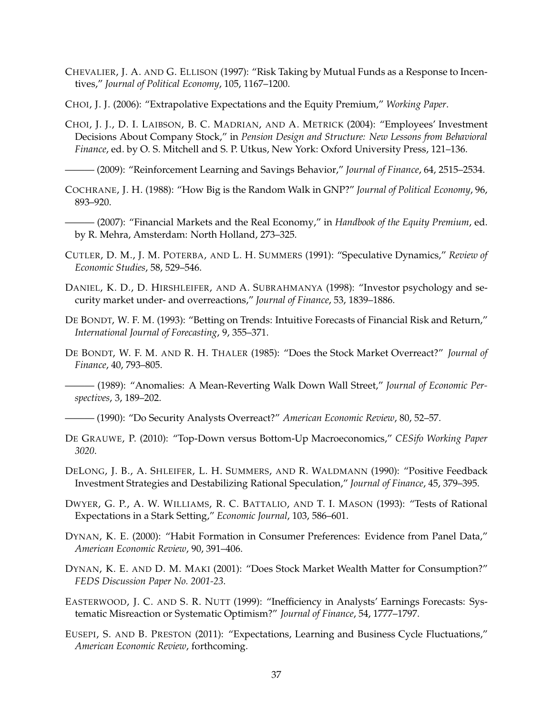- CHEVALIER, J. A. AND G. ELLISON (1997): "Risk Taking by Mutual Funds as a Response to Incentives," *Journal of Political Economy*, 105, 1167–1200.
- CHOI, J. J. (2006): "Extrapolative Expectations and the Equity Premium," *Working Paper*.
- CHOI, J. J., D. I. LAIBSON, B. C. MADRIAN, AND A. METRICK (2004): "Employees' Investment Decisions About Company Stock," in *Pension Design and Structure: New Lessons from Behavioral Finance*, ed. by O. S. Mitchell and S. P. Utkus, New York: Oxford University Press, 121–136.

——— (2009): "Reinforcement Learning and Savings Behavior," *Journal of Finance*, 64, 2515–2534.

- COCHRANE, J. H. (1988): "How Big is the Random Walk in GNP?" *Journal of Political Economy*, 96, 893–920.
- ——— (2007): "Financial Markets and the Real Economy," in *Handbook of the Equity Premium*, ed. by R. Mehra, Amsterdam: North Holland, 273–325.
- CUTLER, D. M., J. M. POTERBA, AND L. H. SUMMERS (1991): "Speculative Dynamics," *Review of Economic Studies*, 58, 529–546.
- DANIEL, K. D., D. HIRSHLEIFER, AND A. SUBRAHMANYA (1998): "Investor psychology and security market under- and overreactions," *Journal of Finance*, 53, 1839–1886.
- DE BONDT, W. F. M. (1993): "Betting on Trends: Intuitive Forecasts of Financial Risk and Return," *International Journal of Forecasting*, 9, 355–371.
- DE BONDT, W. F. M. AND R. H. THALER (1985): "Does the Stock Market Overreact?" *Journal of Finance*, 40, 793–805.
- ——— (1989): "Anomalies: A Mean-Reverting Walk Down Wall Street," *Journal of Economic Perspectives*, 3, 189–202.
- ——— (1990): "Do Security Analysts Overreact?" *American Economic Review*, 80, 52–57.
- DE GRAUWE, P. (2010): "Top-Down versus Bottom-Up Macroeconomics," *CESifo Working Paper 3020*.
- DELONG, J. B., A. SHLEIFER, L. H. SUMMERS, AND R. WALDMANN (1990): "Positive Feedback Investment Strategies and Destabilizing Rational Speculation," *Journal of Finance*, 45, 379–395.
- DWYER, G. P., A. W. WILLIAMS, R. C. BATTALIO, AND T. I. MASON (1993): "Tests of Rational Expectations in a Stark Setting," *Economic Journal*, 103, 586–601.
- DYNAN, K. E. (2000): "Habit Formation in Consumer Preferences: Evidence from Panel Data," *American Economic Review*, 90, 391–406.
- DYNAN, K. E. AND D. M. MAKI (2001): "Does Stock Market Wealth Matter for Consumption?" *FEDS Discussion Paper No. 2001-23*.
- EASTERWOOD, J. C. AND S. R. NUTT (1999): "Inefficiency in Analysts' Earnings Forecasts: Systematic Misreaction or Systematic Optimism?" *Journal of Finance*, 54, 1777–1797.
- EUSEPI, S. AND B. PRESTON (2011): "Expectations, Learning and Business Cycle Fluctuations," *American Economic Review*, forthcoming.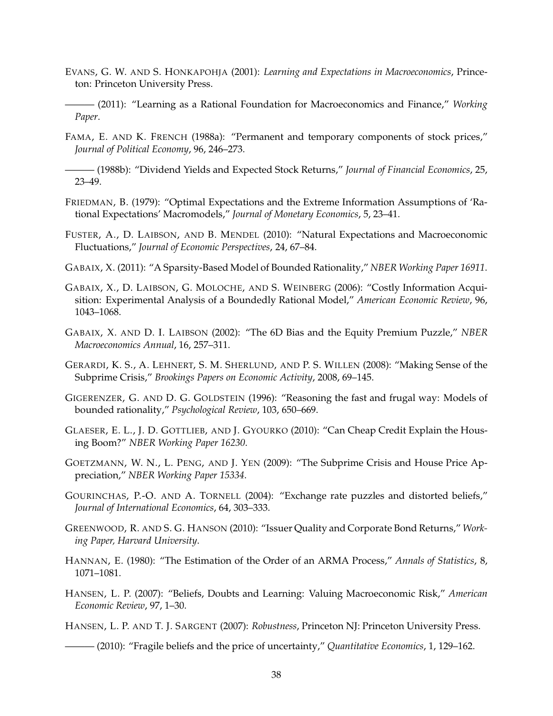- EVANS, G. W. AND S. HONKAPOHJA (2001): *Learning and Expectations in Macroeconomics*, Princeton: Princeton University Press.
- ——— (2011): "Learning as a Rational Foundation for Macroeconomics and Finance," *Working Paper*.
- FAMA, E. AND K. FRENCH (1988a): "Permanent and temporary components of stock prices," *Journal of Political Economy*, 96, 246–273.
- ——— (1988b): "Dividend Yields and Expected Stock Returns," *Journal of Financial Economics*, 25, 23–49.
- FRIEDMAN, B. (1979): "Optimal Expectations and the Extreme Information Assumptions of 'Rational Expectations' Macromodels," *Journal of Monetary Economics*, 5, 23–41.
- FUSTER, A., D. LAIBSON, AND B. MENDEL (2010): "Natural Expectations and Macroeconomic Fluctuations," *Journal of Economic Perspectives*, 24, 67–84.
- GABAIX, X. (2011): "A Sparsity-Based Model of Bounded Rationality," *NBER Working Paper 16911*.
- GABAIX, X., D. LAIBSON, G. MOLOCHE, AND S. WEINBERG (2006): "Costly Information Acquisition: Experimental Analysis of a Boundedly Rational Model," *American Economic Review*, 96, 1043–1068.
- GABAIX, X. AND D. I. LAIBSON (2002): "The 6D Bias and the Equity Premium Puzzle," *NBER Macroeconomics Annual*, 16, 257–311.
- GERARDI, K. S., A. LEHNERT, S. M. SHERLUND, AND P. S. WILLEN (2008): "Making Sense of the Subprime Crisis," *Brookings Papers on Economic Activity*, 2008, 69–145.
- GIGERENZER, G. AND D. G. GOLDSTEIN (1996): "Reasoning the fast and frugal way: Models of bounded rationality," *Psychological Review*, 103, 650–669.
- GLAESER, E. L., J. D. GOTTLIEB, AND J. GYOURKO (2010): "Can Cheap Credit Explain the Housing Boom?" *NBER Working Paper 16230*.
- GOETZMANN, W. N., L. PENG, AND J. YEN (2009): "The Subprime Crisis and House Price Appreciation," *NBER Working Paper 15334*.
- GOURINCHAS, P.-O. AND A. TORNELL (2004): "Exchange rate puzzles and distorted beliefs," *Journal of International Economics*, 64, 303–333.
- GREENWOOD, R. AND S. G. HANSON (2010): "Issuer Quality and Corporate Bond Returns," *Working Paper, Harvard University*.
- HANNAN, E. (1980): "The Estimation of the Order of an ARMA Process," *Annals of Statistics*, 8, 1071–1081.
- HANSEN, L. P. (2007): "Beliefs, Doubts and Learning: Valuing Macroeconomic Risk," *American Economic Review*, 97, 1–30.
- HANSEN, L. P. AND T. J. SARGENT (2007): *Robustness*, Princeton NJ: Princeton University Press.
- ——— (2010): "Fragile beliefs and the price of uncertainty," *Quantitative Economics*, 1, 129–162.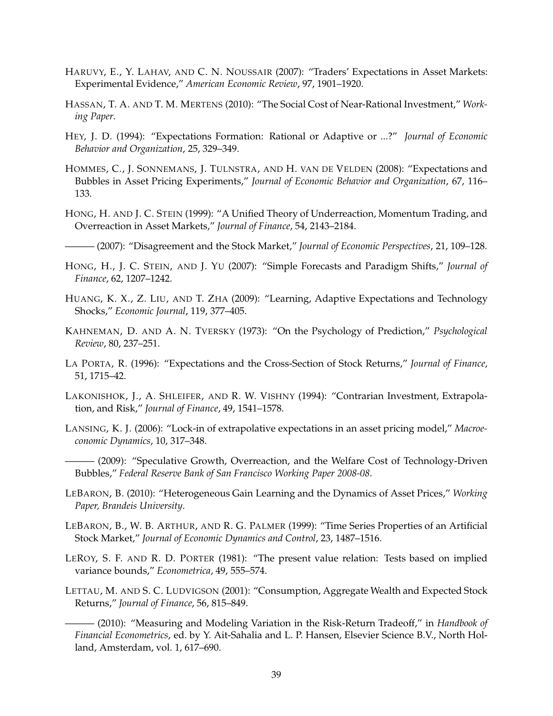- HARUVY, E., Y. LAHAV, AND C. N. NOUSSAIR (2007): "Traders' Expectations in Asset Markets: Experimental Evidence," *American Economic Review*, 97, 1901–1920.
- HASSAN, T. A. AND T. M. MERTENS (2010): "The Social Cost of Near-Rational Investment," *Working Paper*.
- HEY, J. D. (1994): "Expectations Formation: Rational or Adaptive or ...?" *Journal of Economic Behavior and Organization*, 25, 329–349.
- HOMMES, C., J. SONNEMANS, J. TULNSTRA, AND H. VAN DE VELDEN (2008): "Expectations and Bubbles in Asset Pricing Experiments," *Journal of Economic Behavior and Organization*, 67, 116– 133.
- HONG, H. AND J. C. STEIN (1999): "A Unified Theory of Underreaction, Momentum Trading, and Overreaction in Asset Markets," *Journal of Finance*, 54, 2143–2184.
- ——— (2007): "Disagreement and the Stock Market," *Journal of Economic Perspectives*, 21, 109–128.
- HONG, H., J. C. STEIN, AND J. YU (2007): "Simple Forecasts and Paradigm Shifts," *Journal of Finance*, 62, 1207–1242.
- HUANG, K. X., Z. LIU, AND T. ZHA (2009): "Learning, Adaptive Expectations and Technology Shocks," *Economic Journal*, 119, 377–405.
- KAHNEMAN, D. AND A. N. TVERSKY (1973): "On the Psychology of Prediction," *Psychological Review*, 80, 237–251.
- LA PORTA, R. (1996): "Expectations and the Cross-Section of Stock Returns," *Journal of Finance*, 51, 1715–42.
- LAKONISHOK, J., A. SHLEIFER, AND R. W. VISHNY (1994): "Contrarian Investment, Extrapolation, and Risk," *Journal of Finance*, 49, 1541–1578.
- LANSING, K. J. (2006): "Lock-in of extrapolative expectations in an asset pricing model," *Macroeconomic Dynamics*, 10, 317–348.
	- (2009): "Speculative Growth, Overreaction, and the Welfare Cost of Technology-Driven Bubbles," *Federal Reserve Bank of San Francisco Working Paper 2008-08*.
- LEBARON, B. (2010): "Heterogeneous Gain Learning and the Dynamics of Asset Prices," *Working Paper, Brandeis University*.
- LEBARON, B., W. B. ARTHUR, AND R. G. PALMER (1999): "Time Series Properties of an Artificial Stock Market," *Journal of Economic Dynamics and Control*, 23, 1487–1516.
- LEROY, S. F. AND R. D. PORTER (1981): "The present value relation: Tests based on implied variance bounds," *Econometrica*, 49, 555–574.
- LETTAU, M. AND S. C. LUDVIGSON (2001): "Consumption, Aggregate Wealth and Expected Stock Returns," *Journal of Finance*, 56, 815–849.
	- ——— (2010): "Measuring and Modeling Variation in the Risk-Return Tradeoff," in *Handbook of Financial Econometrics*, ed. by Y. Ait-Sahalia and L. P. Hansen, Elsevier Science B.V., North Holland, Amsterdam, vol. 1, 617–690.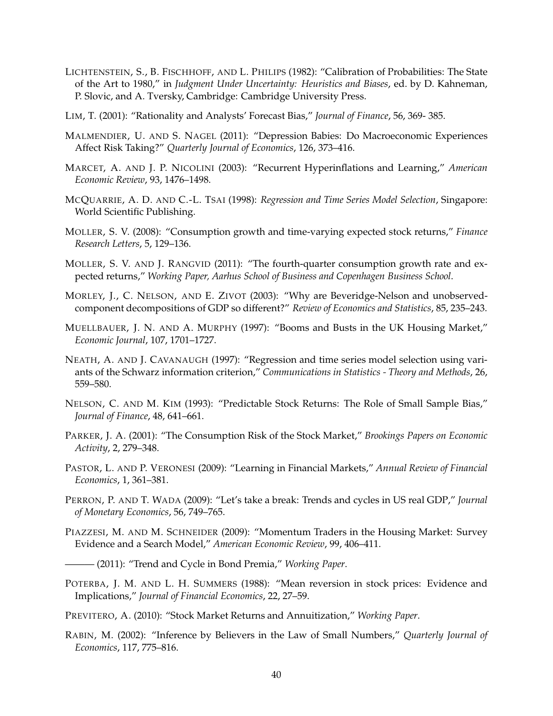- LICHTENSTEIN, S., B. FISCHHOFF, AND L. PHILIPS (1982): "Calibration of Probabilities: The State of the Art to 1980," in *Judgment Under Uncertainty: Heuristics and Biases*, ed. by D. Kahneman, P. Slovic, and A. Tversky, Cambridge: Cambridge University Press.
- LIM, T. (2001): "Rationality and Analysts' Forecast Bias," *Journal of Finance*, 56, 369- 385.
- MALMENDIER, U. AND S. NAGEL (2011): "Depression Babies: Do Macroeconomic Experiences Affect Risk Taking?" *Quarterly Journal of Economics*, 126, 373–416.
- MARCET, A. AND J. P. NICOLINI (2003): "Recurrent Hyperinflations and Learning," *American Economic Review*, 93, 1476–1498.
- MCQUARRIE, A. D. AND C.-L. TSAI (1998): *Regression and Time Series Model Selection*, Singapore: World Scientific Publishing.
- MOLLER, S. V. (2008): "Consumption growth and time-varying expected stock returns," *Finance Research Letters*, 5, 129–136.
- MOLLER, S. V. AND J. RANGVID (2011): "The fourth-quarter consumption growth rate and expected returns," *Working Paper, Aarhus School of Business and Copenhagen Business School*.
- MORLEY, J., C. NELSON, AND E. ZIVOT (2003): "Why are Beveridge-Nelson and unobservedcomponent decompositions of GDP so different?" *Review of Economics and Statistics*, 85, 235–243.
- MUELLBAUER, J. N. AND A. MURPHY (1997): "Booms and Busts in the UK Housing Market," *Economic Journal*, 107, 1701–1727.
- NEATH, A. AND J. CAVANAUGH (1997): "Regression and time series model selection using variants of the Schwarz information criterion," *Communications in Statistics - Theory and Methods*, 26, 559–580.
- NELSON, C. AND M. KIM (1993): "Predictable Stock Returns: The Role of Small Sample Bias," *Journal of Finance*, 48, 641–661.
- PARKER, J. A. (2001): "The Consumption Risk of the Stock Market," *Brookings Papers on Economic Activity*, 2, 279–348.
- PASTOR, L. AND P. VERONESI (2009): "Learning in Financial Markets," *Annual Review of Financial Economics*, 1, 361–381.
- PERRON, P. AND T. WADA (2009): "Let's take a break: Trends and cycles in US real GDP," *Journal of Monetary Economics*, 56, 749–765.
- PIAZZESI, M. AND M. SCHNEIDER (2009): "Momentum Traders in the Housing Market: Survey Evidence and a Search Model," *American Economic Review*, 99, 406–411.
	- ——— (2011): "Trend and Cycle in Bond Premia," *Working Paper*.
- POTERBA, J. M. AND L. H. SUMMERS (1988): "Mean reversion in stock prices: Evidence and Implications," *Journal of Financial Economics*, 22, 27–59.
- PREVITERO, A. (2010): "Stock Market Returns and Annuitization," *Working Paper*.
- RABIN, M. (2002): "Inference by Believers in the Law of Small Numbers," *Quarterly Journal of Economics*, 117, 775–816.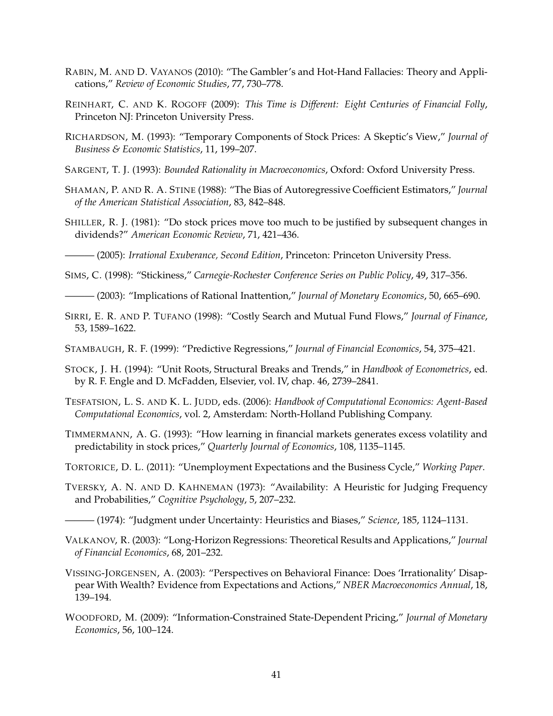- RABIN, M. AND D. VAYANOS (2010): "The Gambler's and Hot-Hand Fallacies: Theory and Applications," *Review of Economic Studies*, 77, 730–778.
- REINHART, C. AND K. ROGOFF (2009): *This Time is Different: Eight Centuries of Financial Folly*, Princeton NJ: Princeton University Press.
- RICHARDSON, M. (1993): "Temporary Components of Stock Prices: A Skeptic's View," *Journal of Business & Economic Statistics*, 11, 199–207.
- SARGENT, T. J. (1993): *Bounded Rationality in Macroeconomics*, Oxford: Oxford University Press.
- SHAMAN, P. AND R. A. STINE (1988): "The Bias of Autoregressive Coefficient Estimators," *Journal of the American Statistical Association*, 83, 842–848.
- SHILLER, R. J. (1981): "Do stock prices move too much to be justified by subsequent changes in dividends?" *American Economic Review*, 71, 421–436.
- ——— (2005): *Irrational Exuberance, Second Edition*, Princeton: Princeton University Press.
- SIMS, C. (1998): "Stickiness," *Carnegie-Rochester Conference Series on Public Policy*, 49, 317–356.
- ——— (2003): "Implications of Rational Inattention," *Journal of Monetary Economics*, 50, 665–690.
- SIRRI, E. R. AND P. TUFANO (1998): "Costly Search and Mutual Fund Flows," *Journal of Finance*, 53, 1589–1622.
- STAMBAUGH, R. F. (1999): "Predictive Regressions," *Journal of Financial Economics*, 54, 375–421.
- STOCK, J. H. (1994): "Unit Roots, Structural Breaks and Trends," in *Handbook of Econometrics*, ed. by R. F. Engle and D. McFadden, Elsevier, vol. IV, chap. 46, 2739–2841.
- TESFATSION, L. S. AND K. L. JUDD, eds. (2006): *Handbook of Computational Economics: Agent-Based Computational Economics*, vol. 2, Amsterdam: North-Holland Publishing Company.
- TIMMERMANN, A. G. (1993): "How learning in financial markets generates excess volatility and predictability in stock prices," *Quarterly Journal of Economics*, 108, 1135–1145.
- TORTORICE, D. L. (2011): "Unemployment Expectations and the Business Cycle," *Working Paper*.
- TVERSKY, A. N. AND D. KAHNEMAN (1973): "Availability: A Heuristic for Judging Frequency and Probabilities," *Cognitive Psychology*, 5, 207–232.
- ——— (1974): "Judgment under Uncertainty: Heuristics and Biases," *Science*, 185, 1124–1131.
- VALKANOV, R. (2003): "Long-Horizon Regressions: Theoretical Results and Applications," *Journal of Financial Economics*, 68, 201–232.
- VISSING-JORGENSEN, A. (2003): "Perspectives on Behavioral Finance: Does 'Irrationality' Disappear With Wealth? Evidence from Expectations and Actions," *NBER Macroeconomics Annual*, 18, 139–194.
- WOODFORD, M. (2009): "Information-Constrained State-Dependent Pricing," *Journal of Monetary Economics*, 56, 100–124.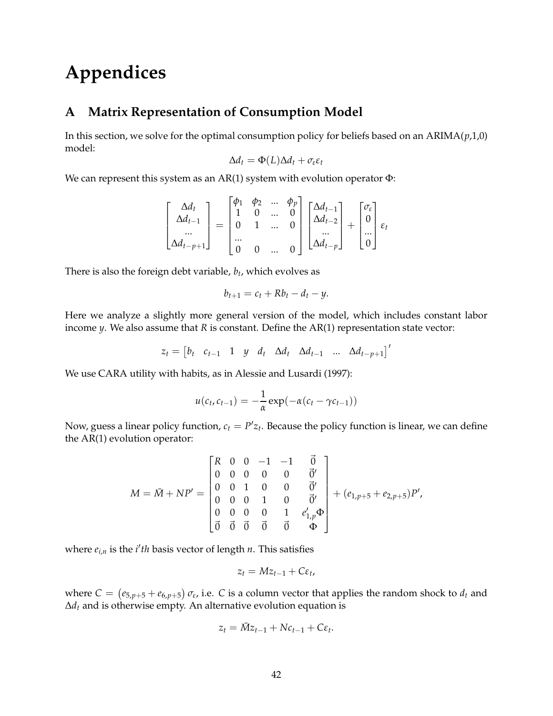# **Appendices**

# **A Matrix Representation of Consumption Model**

In this section, we solve for the optimal consumption policy for beliefs based on an ARIMA(*p*,1,0) model:

$$
\Delta d_t = \Phi(L)\Delta d_t + \sigma_{\varepsilon}\varepsilon_t
$$

We can represent this system as an  $AR(1)$  system with evolution operator  $\Phi$ :

$$
\begin{bmatrix}\n\Delta d_t \\
\Delta d_{t-1} \\
\vdots \\
\Delta d_{t-p+1}\n\end{bmatrix} = \begin{bmatrix}\n\phi_1 & \phi_2 & \dots & \phi_p \\
1 & 0 & \dots & 0 \\
0 & 1 & \dots & 0 \\
\vdots & \vdots & \ddots & \vdots \\
0 & 0 & \dots & 0\n\end{bmatrix} \begin{bmatrix}\n\Delta d_{t-1} \\
\Delta d_{t-2} \\
\vdots \\
\Delta d_{t-p}\n\end{bmatrix} + \begin{bmatrix}\n\sigma_{\varepsilon} \\
0 \\
\vdots \\
0\n\end{bmatrix} \varepsilon_t
$$

There is also the foreign debt variable, *b<sup>t</sup>* , which evolves as

$$
b_{t+1}=c_t+Rb_t-d_t-y.
$$

Here we analyze a slightly more general version of the model, which includes constant labor income *y*. We also assume that *R* is constant. Define the AR(1) representation state vector:

$$
z_t = \begin{bmatrix} b_t & c_{t-1} & 1 & y & d_t & \Delta d_t & \Delta d_{t-1} & \dots & \Delta d_{t-p+1} \end{bmatrix}^T
$$

We use CARA utility with habits, as in Alessie and Lusardi (1997):

$$
u(c_t, c_{t-1}) = -\frac{1}{\alpha} \exp(-\alpha(c_t - \gamma c_{t-1}))
$$

Now, guess a linear policy function,  $c_t = P'z_t$ . Because the policy function is linear, we can define the AR(1) evolution operator:

$$
M = \bar{M} + NP' = \begin{bmatrix} R & 0 & 0 & -1 & -1 & \vec{0} \\ 0 & 0 & 0 & 0 & 0 & \vec{0}' \\ 0 & 0 & 1 & 0 & 0 & \vec{0}' \\ 0 & 0 & 0 & 1 & 0 & \vec{0}' \\ 0 & 0 & 0 & 0 & 1 & e'_{1,p} \Phi \\ \vec{0} & \vec{0} & \vec{0} & \vec{0} & \vec{0} & \Phi \end{bmatrix} + (e_{1,p+5} + e_{2,p+5})P',
$$

where  $e_{i,n}$  is the *i'th* basis vector of length *n*. This satisfies

$$
z_t = Mz_{t-1} + C\varepsilon_t,
$$

where  $C = (e_{5,p+5} + e_{6,p+5}) \sigma_{\epsilon}$ , i.e. *C* is a column vector that applies the random shock to  $d_t$  and ∆*d<sup>t</sup>* and is otherwise empty. An alternative evolution equation is

$$
z_t = \bar{M}z_{t-1} + Nc_{t-1} + C\varepsilon_t.
$$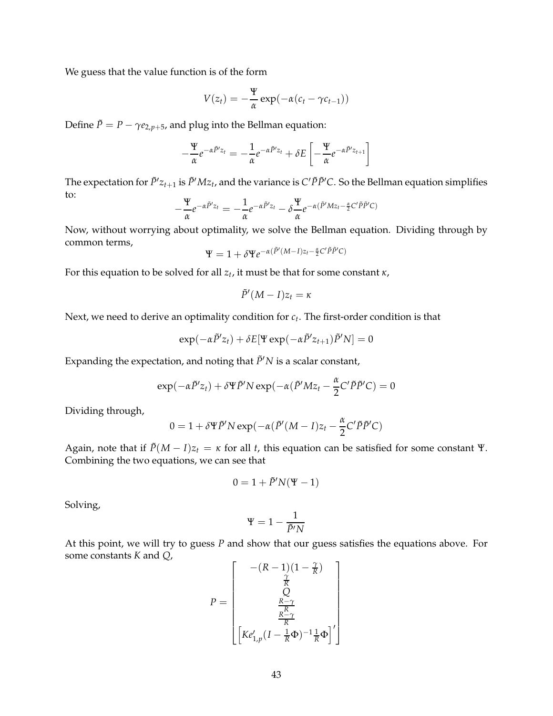We guess that the value function is of the form

$$
V(z_t) = -\frac{\Psi}{\alpha} \exp(-\alpha (c_t - \gamma c_{t-1}))
$$

Define  $\tilde{P} = P - \gamma e_{2, p+5}$ , and plug into the Bellman equation:

$$
-\frac{\Psi}{\alpha}e^{-\alpha\tilde{P}^{t}z_{t}}=-\frac{1}{\alpha}e^{-\alpha\tilde{P}^{t}z_{t}}+\delta E\left[-\frac{\Psi}{\alpha}e^{-\alpha\tilde{P}^{t}z_{t+1}}\right]
$$

The expectation for  $\tilde{P}'z_{t+1}$  is  $\tilde{P}'Mz_t$ , and the variance is  $C'\tilde{P}\tilde{P}'C$ . So the Bellman equation simplifies to:

$$
-\frac{\Psi}{\alpha}e^{-\alpha\tilde{P}'z_t}=-\frac{1}{\alpha}e^{-\alpha\tilde{P}'z_t}-\delta\frac{\Psi}{\alpha}e^{-\alpha(\tilde{P}'Mz_t-\frac{\alpha}{2}C'\tilde{P}\tilde{P}'C)}
$$

Now, without worrying about optimality, we solve the Bellman equation. Dividing through by common terms,

$$
\Psi = 1 + \delta \Psi e^{-\alpha (\tilde{P}'(M-I)z_t - \frac{\alpha}{2}C'\tilde{P}\tilde{P}'C)}
$$

For this equation to be solved for all *z<sup>t</sup>* , it must be that for some constant *κ*,

$$
\tilde{P}'(M-I)z_t=\kappa
$$

Next, we need to derive an optimality condition for *c<sup>t</sup>* . The first-order condition is that

$$
\exp(-\alpha \tilde{P}' z_t) + \delta E[\Psi \exp(-\alpha \tilde{P}' z_{t+1}) \tilde{P}' N] = 0
$$

Expanding the expectation, and noting that  $\tilde{P}'N$  is a scalar constant,

$$
\exp(-\alpha \tilde{P}'z_t) + \delta \Psi \tilde{P}' N \exp(-\alpha (\tilde{P}' M z_t - \frac{\alpha}{2} C' \tilde{P} \tilde{P}' C) = 0
$$

Dividing through,

$$
0 = 1 + \delta \Psi \tilde{P}' N \exp(-\alpha (\tilde{P}'(M - I)z_t - \frac{\alpha}{2} C' \tilde{P} \tilde{P}' C))
$$

Again, note that if  $\tilde{P}(M - I)z_t = \kappa$  for all *t*, this equation can be satisfied for some constant Ψ. Combining the two equations, we can see that

$$
0 = 1 + \tilde{P}'N(\Psi - 1)
$$

Solving,

$$
\Psi=1-\frac{1}{\tilde{P}'N}
$$

At this point, we will try to guess *P* and show that our guess satisfies the equations above. For some constants *K* and *Q*,

$$
P = \begin{bmatrix} -(R-1)(1-\frac{\gamma}{R}) \\ \frac{\gamma}{R} \\ Q \\ \frac{R-\gamma}{R} \\ \left[Ke_{1,p}'(I-\frac{1}{R}\Phi)^{-1}\frac{1}{R}\Phi\right]'\end{bmatrix}
$$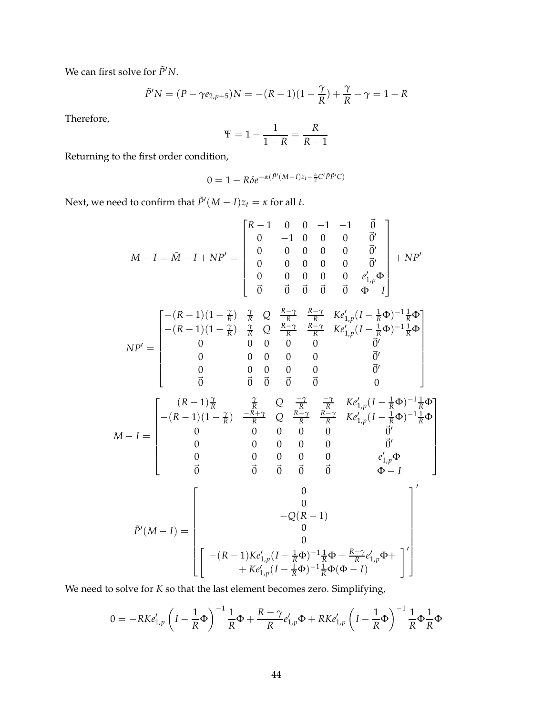We can first solve for  $\tilde{P}'N$ .

$$
\tilde{P}'N = (P - \gamma e_{2,p+5})N = -(R-1)(1 - \frac{\gamma}{R}) + \frac{\gamma}{R} - \gamma = 1 - R
$$

Therefore,

$$
\Psi = 1 - \frac{1}{1 - R} = \frac{R}{R - 1}
$$

Returning to the first order condition,

$$
0 = 1 - R\delta e^{-\alpha(\tilde{P}'(M-I)z_t - \frac{\alpha}{2}C'\tilde{P}\tilde{P}'C)}
$$

Next, we need to confirm that  $\tilde{P}'(M-I)z_t = \kappa$  for all *t*.

$$
M - I = \bar{M} - I + NP' = \begin{bmatrix} R - 1 & 0 & 0 & -1 & -1 & \vec{0} \\ 0 & -1 & 0 & 0 & 0 & \vec{0}' \\ 0 & 0 & 0 & 0 & 0 & \vec{0}' \\ 0 & 0 & 0 & 0 & 0 & \vec{0}' \\ 0 & 0 & 0 & 0 & 0 & e'_{1,p}\Phi \\ \vec{0} & \vec{0} & \vec{0} & \vec{0} & \vec{0} & \Phi - I \end{bmatrix} + NP'
$$

$$
NP' = \begin{bmatrix} -(R-1)(1-\frac{\gamma}{R}) & \frac{\gamma}{R} & Q & \frac{R-\gamma}{R} & K e'_{1,p}(I-\frac{1}{R}\Phi)^{-1}\frac{1}{R}\Phi \\ -(R-1)(1-\frac{\gamma}{R}) & \frac{\gamma}{R} & Q & \frac{R-\gamma}{R} & \frac{R-\gamma}{R} & K e'_{1,p}(I-\frac{1}{R}\Phi)^{-1}\frac{1}{R}\Phi \\ 0 & 0 & 0 & 0 & 0 & 0 \\ 0 & 0 & 0 & 0 & 0 & 0 \\ 0 & 0 & 0 & 0 & 0 & 0 \\ 0 & 0 & 0 & 0 & 0 & 0 \\ 0 & 0 & 0 & 0 & 0 & 0 \\ 0 & 0 & 0 & 0 & 0 & 0 \end{bmatrix}
$$
  

$$
M - I = \begin{bmatrix} (R-1)\frac{\gamma}{R} & \frac{\gamma}{R} & Q & \frac{-\gamma}{R} & \frac{-\gamma}{R} & K e'_{1,p}(I-\frac{1}{R}\Phi)^{-1}\frac{1}{R}\Phi \\ -(R-1)(1-\frac{\gamma}{R}) & \frac{-R+\gamma}{R} & Q & \frac{R-\gamma}{R} & \frac{R-\gamma}{R} & K e'_{1,p}(I-\frac{1}{R}\Phi)^{-1}\frac{1}{R}\Phi \\ 0 & 0 & 0 & 0 & 0 & 0 \\ 0 & 0 & 0 & 0 & 0 & 0 \\ 0 & 0 & 0 & 0 & 0 & e'_{1,p}\Phi \\ 0 & 0 & 0 & 0 & 0 & e'_{1,p}\Phi \\ 0 & -Q(R-1) & 0 & -Q(R-1) \end{bmatrix}
$$
  

$$
\tilde{P}'(M - I) = \begin{bmatrix} 0 & -Q(R-1) \\ 0 & -Q(R-1) \\ 0 & -Q(R-1) \\ 0 & -\frac{1}{R}\Phi + \frac{R-\gamma}{R}e'_{1,p}\Phi + \frac{1}{R}\Phi'_{1,p}\Phi + \frac{1}{R}\Phi'_{1,p}\Phi \\ + K e'_{1,p}(I-\frac{1}{R}\Phi)^{-1}\frac{1}{R}\Phi + \frac{R-\gamma}{R}e'_{1,p}\Phi + \frac{1}{R}\Phi'_{1,p}\Phi + \frac{1}{R}\Phi'_{1,p}\Phi + \frac{1}{R}\Phi'_{1,p}\Phi + \frac{1}{R}\Phi'_{1,p}\Phi + \frac{1}{R}\Phi'_{1,p}\
$$

We need to solve for *K* so that the last element becomes zero. Simplifying,

$$
0 = -RKe'_{1,p}\left(I - \frac{1}{R}\Phi\right)^{-1}\frac{1}{R}\Phi + \frac{R-\gamma}{R}e'_{1,p}\Phi + RKe'_{1,p}\left(I - \frac{1}{R}\Phi\right)^{-1}\frac{1}{R}\Phi\frac{1}{R}\Phi
$$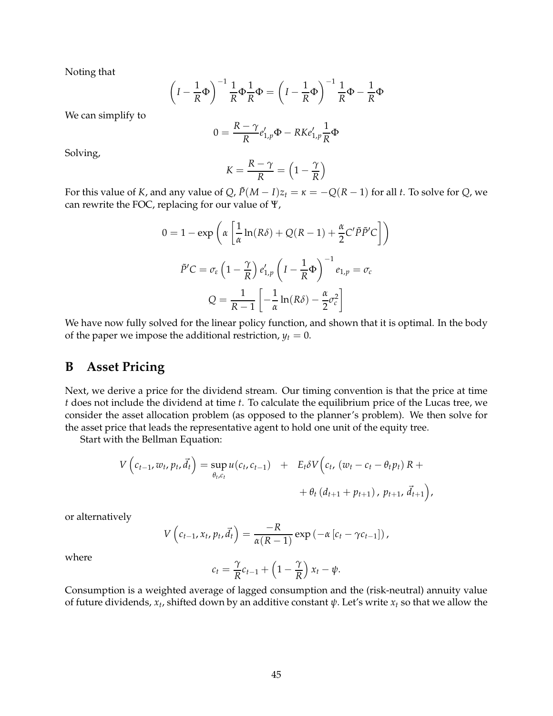Noting that

$$
\left(I - \frac{1}{R}\Phi\right)^{-1} \frac{1}{R}\Phi \frac{1}{R}\Phi = \left(I - \frac{1}{R}\Phi\right)^{-1} \frac{1}{R}\Phi - \frac{1}{R}\Phi
$$

We can simplify to

$$
0 = \frac{R - \gamma}{R} e'_{1,p} \Phi - RKe'_{1,p} \frac{1}{R} \Phi
$$

Solving,

$$
K = \frac{R - \gamma}{R} = \left(1 - \frac{\gamma}{R}\right)
$$

For this value of *K*, and any value of *Q*,  $\tilde{P}(M - I)z_t = \kappa = -Q(R - 1)$  for all *t*. To solve for *Q*, we can rewrite the FOC, replacing for our value of Ψ,

$$
0 = 1 - \exp\left(\alpha \left[\frac{1}{\alpha} \ln(R\delta) + Q(R-1) + \frac{\alpha}{2} C' \tilde{P} \tilde{P}' C\right]\right)
$$

$$
\tilde{P}'C = \sigma_{\varepsilon} \left(1 - \frac{\gamma}{R}\right) e'_{1,p} \left(I - \frac{1}{R} \Phi\right)^{-1} e_{1,p} = \sigma_{c}
$$

$$
Q = \frac{1}{R-1} \left[-\frac{1}{\alpha} \ln(R\delta) - \frac{\alpha}{2} \sigma_{c}^{2}\right]
$$

We have now fully solved for the linear policy function, and shown that it is optimal. In the body of the paper we impose the additional restriction,  $y_t = 0$ .

## **B Asset Pricing**

Next, we derive a price for the dividend stream. Our timing convention is that the price at time *t* does not include the dividend at time *t*. To calculate the equilibrium price of the Lucas tree, we consider the asset allocation problem (as opposed to the planner's problem). We then solve for the asset price that leads the representative agent to hold one unit of the equity tree.

Start with the Bellman Equation:

$$
V\left(c_{t-1}, w_t, p_t, \vec{d}_t\right) = \sup_{\theta_t, c_t} u(c_t, c_{t-1}) + E_t \delta V\left(c_t, (w_t - c_t - \theta_t p_t) R ++ \theta_t \left(d_{t+1} + p_{t+1}\right), p_{t+1}, \vec{d}_{t+1}\right),
$$

or alternatively

$$
V\left(c_{t-1}, x_t, p_t, \vec{d}_t\right) = \frac{-R}{\alpha(R-1)} \exp\left(-\alpha \left[c_t - \gamma c_{t-1}\right]\right),
$$

where

$$
c_t = \frac{\gamma}{R}c_{t-1} + \left(1 - \frac{\gamma}{R}\right)x_t - \psi.
$$

Consumption is a weighted average of lagged consumption and the (risk-neutral) annuity value of future dividends, *x<sup>t</sup>* , shifted down by an additive constant *ψ*. Let's write *x<sup>t</sup>* so that we allow the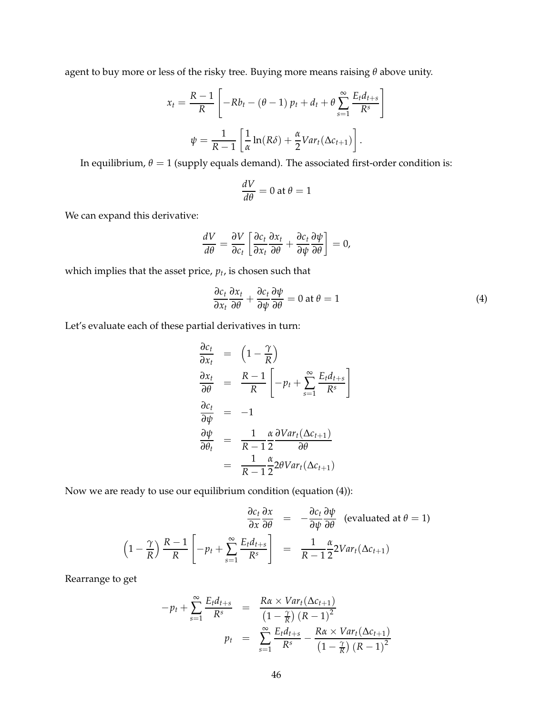agent to buy more or less of the risky tree. Buying more means raising *θ* above unity.

$$
x_t = \frac{R-1}{R} \left[ -Rb_t - (\theta - 1) p_t + d_t + \theta \sum_{s=1}^{\infty} \frac{E_t d_{t+s}}{R^s} \right]
$$

$$
\psi = \frac{1}{R-1} \left[ \frac{1}{\alpha} \ln(R\delta) + \frac{\alpha}{2} Var_t(\Delta c_{t+1}) \right].
$$

In equilibrium,  $\theta = 1$  (supply equals demand). The associated first-order condition is:

$$
\frac{dV}{d\theta} = 0 \text{ at } \theta = 1
$$

We can expand this derivative:

$$
\frac{dV}{d\theta} = \frac{\partial V}{\partial c_t} \left[ \frac{\partial c_t}{\partial x_t} \frac{\partial x_t}{\partial \theta} + \frac{\partial c_t}{\partial \psi} \frac{\partial \psi}{\partial \theta} \right] = 0,
$$

which implies that the asset price, *p<sup>t</sup>* , is chosen such that

$$
\frac{\partial c_t}{\partial x_t} \frac{\partial x_t}{\partial \theta} + \frac{\partial c_t}{\partial \psi} \frac{\partial \psi}{\partial \theta} = 0 \text{ at } \theta = 1
$$
 (4)

Let's evaluate each of these partial derivatives in turn:

$$
\frac{\partial c_t}{\partial x_t} = \left(1 - \frac{\gamma}{R}\right)
$$
\n
$$
\frac{\partial x_t}{\partial \theta} = \frac{R - 1}{R} \left[-p_t + \sum_{s=1}^{\infty} \frac{E_t d_{t+s}}{R^s}\right]
$$
\n
$$
\frac{\partial c_t}{\partial \theta_t} = -1
$$
\n
$$
\frac{\partial \psi}{\partial \theta_t} = \frac{1}{R - 1} \frac{\alpha}{2} \frac{\partial Var_t(\Delta c_{t+1})}{\partial \theta}
$$
\n
$$
= \frac{1}{R - 1} \frac{\alpha}{2} 2\theta Var_t(\Delta c_{t+1})
$$

Now we are ready to use our equilibrium condition (equation (4)):

$$
\frac{\partial c_t}{\partial x} \frac{\partial x}{\partial \theta} = -\frac{\partial c_t}{\partial \psi} \frac{\partial \psi}{\partial \theta} \text{ (evaluated at } \theta = 1)
$$

$$
\left(1 - \frac{\gamma}{R}\right) \frac{R - 1}{R} \left[-p_t + \sum_{s=1}^{\infty} \frac{E_t d_{t+s}}{R^s}\right] = \frac{1}{R - 1} \frac{\alpha}{2} 2Var_t(\Delta c_{t+1})
$$

Rearrange to get

$$
-p_t + \sum_{s=1}^{\infty} \frac{E_t d_{t+s}}{R^s} = \frac{R\alpha \times Var_t(\Delta c_{t+1})}{\left(1 - \frac{\gamma}{R}\right) \left(R - 1\right)^2}
$$

$$
p_t = \sum_{s=1}^{\infty} \frac{E_t d_{t+s}}{R^s} - \frac{R\alpha \times Var_t(\Delta c_{t+1})}{\left(1 - \frac{\gamma}{R}\right) \left(R - 1\right)^2}
$$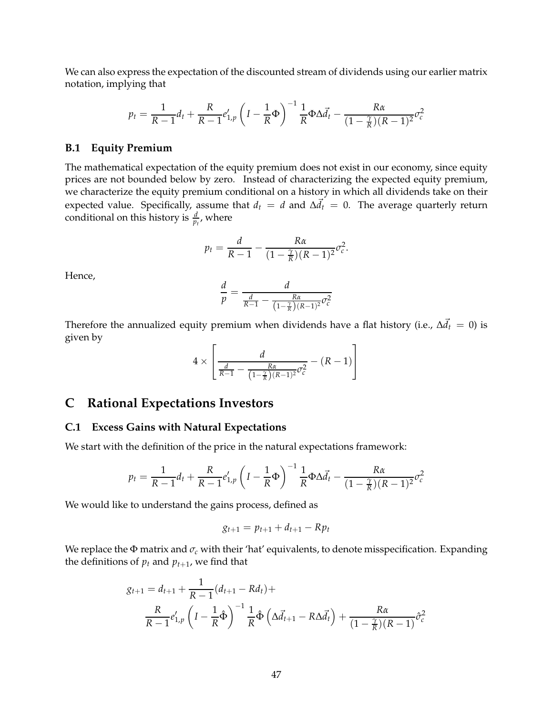We can also express the expectation of the discounted stream of dividends using our earlier matrix notation, implying that

$$
p_t = \frac{1}{R-1}d_t + \frac{R}{R-1}e'_{1,p}\left(I - \frac{1}{R}\Phi\right)^{-1}\frac{1}{R}\Phi\Delta\vec{d}_t - \frac{R\alpha}{(1-\frac{\gamma}{R})(R-1)^2}\sigma_c^2
$$

#### **B.1 Equity Premium**

The mathematical expectation of the equity premium does not exist in our economy, since equity prices are not bounded below by zero. Instead of characterizing the expected equity premium, we characterize the equity premium conditional on a history in which all dividends take on their expected value. Specifically, assume that  $d_t = d$  and  $\Delta d_t = 0$ . The average quarterly return conditional on this history is  $\frac{d}{p_t}$ , where

$$
p_t = \frac{d}{R-1} - \frac{R\alpha}{(1-\frac{\gamma}{R})(R-1)^2}\sigma_c^2.
$$

Hence,

$$
\frac{d}{p} = \frac{d}{\frac{d}{R-1} - \frac{R\alpha}{\left(1-\frac{\gamma}{R}\right)(R-1)^2}\sigma_c^2}
$$

Therefore the annualized equity premium when dividends have a flat history (i.e.,  $\Delta \vec{d}_t \, = \, 0$ ) is given by  $\overline{a}$ 

$$
4 \times \left[ \frac{d}{\frac{d}{R-1} - \frac{R\alpha}{\left(1 - \frac{\gamma}{R}\right)(R-1)^2} \sigma_c^2} - (R-1) \right]
$$

# **C Rational Expectations Investors**

#### **C.1 Excess Gains with Natural Expectations**

We start with the definition of the price in the natural expectations framework:

$$
p_t = \frac{1}{R-1}d_t + \frac{R}{R-1}e'_{1,p}\left(I - \frac{1}{R}\Phi\right)^{-1}\frac{1}{R}\Phi\Delta\vec{d}_t - \frac{R\alpha}{(1-\frac{\gamma}{R})(R-1)^2}\sigma_c^2
$$

We would like to understand the gains process, defined as

$$
g_{t+1} = p_{t+1} + d_{t+1} - Rp_t
$$

We replace the Φ matrix and *σ<sup>c</sup>* with their 'hat' equivalents, to denote misspecification. Expanding the definitions of  $p_t$  and  $p_{t+1}$ , we find that

$$
g_{t+1} = d_{t+1} + \frac{1}{R-1}(d_{t+1} - Rd_t) +
$$
  

$$
\frac{R}{R-1}e_{1,p}'\left(I - \frac{1}{R}\hat{\Phi}\right)^{-1}\frac{1}{R}\hat{\Phi}\left(\Delta\vec{d}_{t+1} - R\Delta\vec{d}_{t}\right) + \frac{R\alpha}{(1-\frac{\gamma}{R})(R-1)}\hat{\sigma}_c^2
$$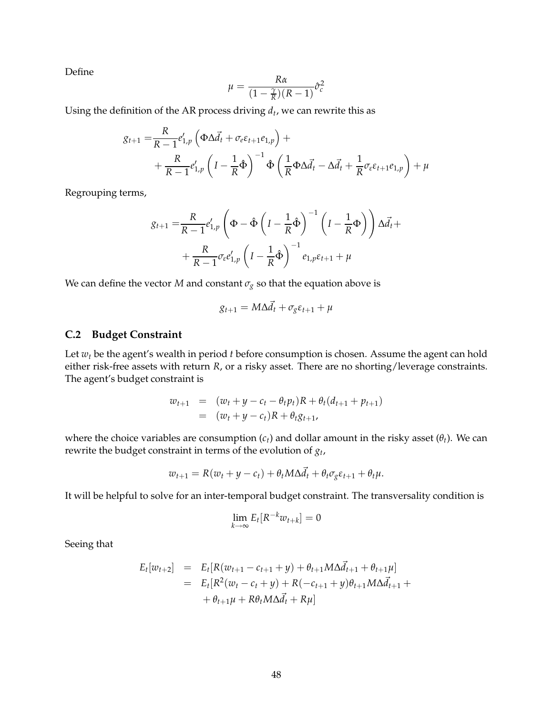Define

$$
\mu = \frac{R\alpha}{(1 - \frac{\gamma}{R})(R - 1)}\hat{\sigma}_c^2
$$

Using the definition of the AR process driving *d<sup>t</sup>* , we can rewrite this as

$$
g_{t+1} = \frac{R}{R-1} e'_{1,p} \left( \Phi \Delta \vec{d}_t + \sigma_e \varepsilon_{t+1} e_{1,p} \right) + + \frac{R}{R-1} e'_{1,p} \left( I - \frac{1}{R} \hat{\Phi} \right)^{-1} \hat{\Phi} \left( \frac{1}{R} \Phi \Delta \vec{d}_t - \Delta \vec{d}_t + \frac{1}{R} \sigma_e \varepsilon_{t+1} e_{1,p} \right) + \mu
$$

Regrouping terms,

$$
g_{t+1} = \frac{R}{R-1} e'_{1,p} \left( \Phi - \hat{\Phi} \left( I - \frac{1}{R} \hat{\Phi} \right)^{-1} \left( I - \frac{1}{R} \Phi \right) \right) \Delta \vec{d}_t +
$$

$$
+ \frac{R}{R-1} \sigma_{\varepsilon} e'_{1,p} \left( I - \frac{1}{R} \hat{\Phi} \right)^{-1} e_{1,p} \varepsilon_{t+1} + \mu
$$

We can define the vector *M* and constant  $\sigma_g$  so that the equation above is

$$
g_{t+1} = M\Delta \vec{d}_t + \sigma_g \varepsilon_{t+1} + \mu
$$

#### **C.2 Budget Constraint**

Let *w<sup>t</sup>* be the agent's wealth in period *t* before consumption is chosen. Assume the agent can hold either risk-free assets with return *R*, or a risky asset. There are no shorting/leverage constraints. The agent's budget constraint is

$$
w_{t+1} = (w_t + y - c_t - \theta_t p_t)R + \theta_t(d_{t+1} + p_{t+1})
$$
  
= 
$$
(w_t + y - c_t)R + \theta_t g_{t+1},
$$

where the choice variables are consumption (*ct*) and dollar amount in the risky asset (*θt*). We can rewrite the budget constraint in terms of the evolution of *g<sup>t</sup>* ,

$$
w_{t+1} = R(w_t + y - c_t) + \theta_t M \Delta \vec{d}_t + \theta_t \sigma_g \varepsilon_{t+1} + \theta_t \mu.
$$

It will be helpful to solve for an inter-temporal budget constraint. The transversality condition is

$$
\lim_{k \to \infty} E_t[R^{-k}w_{t+k}] = 0
$$

Seeing that

$$
E_t[w_{t+2}] = E_t[R(w_{t+1} - c_{t+1} + y) + \theta_{t+1}M\Delta \vec{d}_{t+1} + \theta_{t+1}\mu]
$$
  
= 
$$
E_t[R^2(w_t - c_t + y) + R(-c_{t+1} + y)\theta_{t+1}M\Delta \vec{d}_{t+1} + \theta_{t+1}\mu + R\theta_tM\Delta \vec{d}_t + R\mu]
$$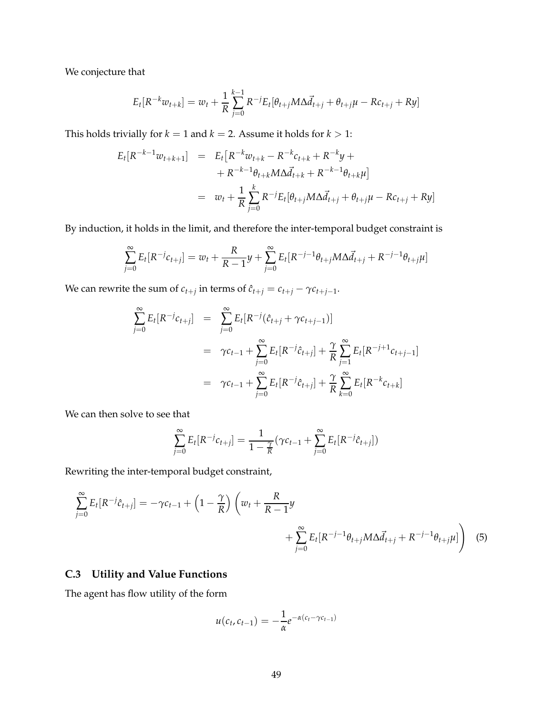We conjecture that

$$
E_t[R^{-k}w_{t+k}] = w_t + \frac{1}{R}\sum_{j=0}^{k-1}R^{-j}E_t[\theta_{t+j}M\Delta \vec{d}_{t+j} + \theta_{t+j}\mu - Rc_{t+j} + Ry]
$$

This holds trivially for  $k = 1$  and  $k = 2$ . Assume it holds for  $k > 1$ :

$$
E_t[R^{-k-1}w_{t+k+1}] = E_t[R^{-k}w_{t+k} - R^{-k}c_{t+k} + R^{-k}y +
$$
  
+  $R^{-k-1}\theta_{t+k}M\Delta \vec{d}_{t+k} + R^{-k-1}\theta_{t+k}\mu]$   
=  $w_t + \frac{1}{R}\sum_{j=0}^k R^{-j}E_t[\theta_{t+j}M\Delta \vec{d}_{t+j} + \theta_{t+j}\mu - Rc_{t+j} + Ry]$ 

By induction, it holds in the limit, and therefore the inter-temporal budget constraint is

$$
\sum_{j=0}^{\infty} E_t[R^{-j}c_{t+j}] = w_t + \frac{R}{R-1}y + \sum_{j=0}^{\infty} E_t[R^{-j-1}\theta_{t+j}M\Delta \vec{d}_{t+j} + R^{-j-1}\theta_{t+j}\mu]
$$

We can rewrite the sum of  $c_{t+j}$  in terms of  $\hat{c}_{t+j} = c_{t+j} - \gamma c_{t+j-1}$ .

$$
\sum_{j=0}^{\infty} E_t[R^{-j}c_{t+j}] = \sum_{j=0}^{\infty} E_t[R^{-j}(\hat{c}_{t+j} + \gamma c_{t+j-1})]
$$
  

$$
= \gamma c_{t-1} + \sum_{j=0}^{\infty} E_t[R^{-j}\hat{c}_{t+j}] + \frac{\gamma}{R} \sum_{j=1}^{\infty} E_t[R^{-j+1}c_{t+j-1}]
$$
  

$$
= \gamma c_{t-1} + \sum_{j=0}^{\infty} E_t[R^{-j}\hat{c}_{t+j}] + \frac{\gamma}{R} \sum_{k=0}^{\infty} E_t[R^{-k}c_{t+k}]
$$

We can then solve to see that

$$
\sum_{j=0}^{\infty} E_t[R^{-j}c_{t+j}] = \frac{1}{1-\frac{\gamma}{R}}(\gamma c_{t-1} + \sum_{j=0}^{\infty} E_t[R^{-j}\hat{c}_{t+j}])
$$

Rewriting the inter-temporal budget constraint,

$$
\sum_{j=0}^{\infty} E_t[R^{-j}\hat{c}_{t+j}] = -\gamma c_{t-1} + \left(1 - \frac{\gamma}{R}\right) \left(w_t + \frac{R}{R-1}y + \sum_{j=0}^{\infty} E_t[R^{-j-1}\theta_{t+j}M\Delta \vec{d}_{t+j} + R^{-j-1}\theta_{t+j}\mu]\right)
$$
(5)

# **C.3 Utility and Value Functions**

The agent has flow utility of the form

$$
u(c_t, c_{t-1}) = -\frac{1}{\alpha}e^{-\alpha(c_t - \gamma c_{t-1})}
$$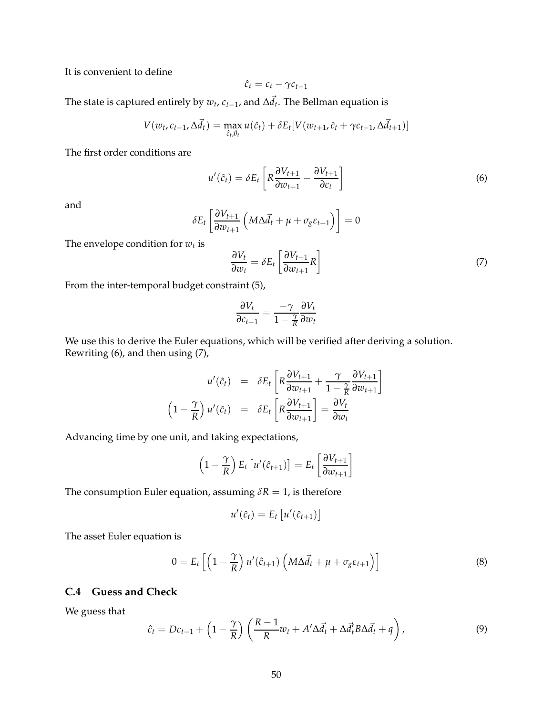It is convenient to define

$$
\hat{c}_t = c_t - \gamma c_{t-1}
$$

The state is captured entirely by  $w_t$ ,  $c_{t-1}$ , and  $\Delta \vec{d}_t$ . The Bellman equation is

$$
V(w_t, c_{t-1}, \Delta \vec{d}_t) = \max_{\hat{c}_t, \theta_t} u(\hat{c}_t) + \delta E_t [V(w_{t+1}, \hat{c}_t + \gamma c_{t-1}, \Delta \vec{d}_{t+1})]
$$

The first order conditions are

$$
u'(\hat{c}_t) = \delta E_t \left[ R \frac{\partial V_{t+1}}{\partial w_{t+1}} - \frac{\partial V_{t+1}}{\partial c_t} \right]
$$
 (6)

and

$$
\delta E_t \left[ \frac{\partial V_{t+1}}{\partial w_{t+1}} \left( M \Delta \vec{d}_t + \mu + \sigma_g \varepsilon_{t+1} \right) \right] = 0
$$

The envelope condition for *w<sup>t</sup>* is

$$
\frac{\partial V_t}{\partial w_t} = \delta E_t \left[ \frac{\partial V_{t+1}}{\partial w_{t+1}} R \right]
$$
 (7)

From the inter-temporal budget constraint (5),

$$
\frac{\partial V_t}{\partial c_{t-1}} = \frac{-\gamma}{1 - \frac{\gamma}{R}} \frac{\partial V_t}{\partial w_t}
$$

We use this to derive the Euler equations, which will be verified after deriving a solution. Rewriting (6), and then using (7),

$$
u'(\hat{c}_t) = \delta E_t \left[ R \frac{\partial V_{t+1}}{\partial w_{t+1}} + \frac{\gamma}{1 - \frac{\gamma}{R}} \frac{\partial V_{t+1}}{\partial w_{t+1}} \right]
$$

$$
\left( 1 - \frac{\gamma}{R} \right) u'(\hat{c}_t) = \delta E_t \left[ R \frac{\partial V_{t+1}}{\partial w_{t+1}} \right] = \frac{\partial V_t}{\partial w_t}
$$

Advancing time by one unit, and taking expectations,

$$
\left(1 - \frac{\gamma}{R}\right) E_t \left[ u'(\hat{c}_{t+1}) \right] = E_t \left[ \frac{\partial V_{t+1}}{\partial w_{t+1}} \right]
$$

The consumption Euler equation, assuming  $\delta R = 1$ , is therefore

$$
u'(\hat{c}_t) = E_t \left[ u'(\hat{c}_{t+1}) \right]
$$

The asset Euler equation is

$$
0 = E_t \left[ \left( 1 - \frac{\gamma}{R} \right) u'(\hat{c}_{t+1}) \left( M \Delta \vec{d}_t + \mu + \sigma_g \varepsilon_{t+1} \right) \right]
$$
(8)

## **C.4 Guess and Check**

We guess that

$$
\hat{c}_t = Dc_{t-1} + \left(1 - \frac{\gamma}{R}\right) \left(\frac{R-1}{R}w_t + A'\Delta \vec{d}_t + \Delta \vec{d}_t' B \Delta \vec{d}_t + q\right),\tag{9}
$$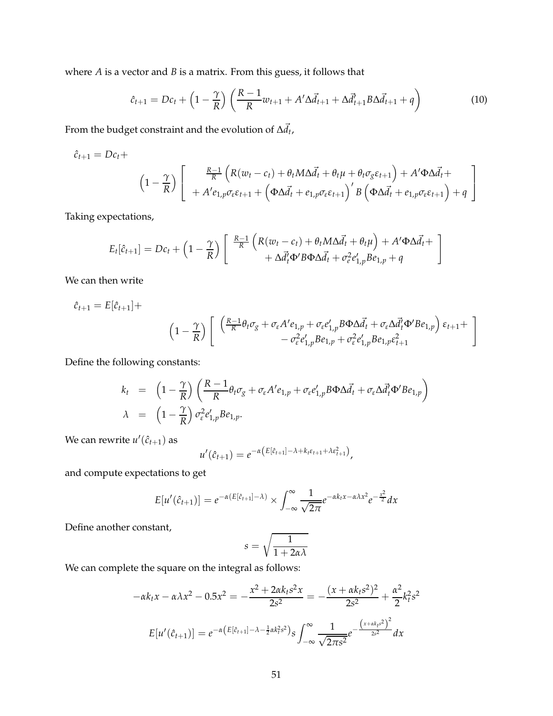where *A* is a vector and *B* is a matrix. From this guess, it follows that

$$
\hat{c}_{t+1} = Dc_t + \left(1 - \frac{\gamma}{R}\right) \left(\frac{R-1}{R} w_{t+1} + A'\Delta \vec{d}_{t+1} + \Delta \vec{d}_{t+1}' B \Delta \vec{d}_{t+1} + q\right)
$$
(10)

From the budget constraint and the evolution of  $\Delta \vec{d}_{t}$  ,

$$
\hat{c}_{t+1} = Dc_t +
$$
\n
$$
\left(1 - \frac{\gamma}{R}\right) \left[\begin{array}{c} \frac{R-1}{R} \left( R(w_t - c_t) + \theta_t M \Delta \vec{d}_t + \theta_t \mu + \theta_t \sigma_g \varepsilon_{t+1} \right) + A' \Phi \Delta \vec{d}_t + \\ + A' e_{1,p} \sigma_\varepsilon \varepsilon_{t+1} + \left( \Phi \Delta \vec{d}_t + e_{1,p} \sigma_\varepsilon \varepsilon_{t+1} \right)' B \left( \Phi \Delta \vec{d}_t + e_{1,p} \sigma_\varepsilon \varepsilon_{t+1} \right) + q \end{array}\right]
$$

Taking expectations,

$$
E_t[\hat{c}_{t+1}] = Dc_t + \left(1 - \frac{\gamma}{R}\right) \left[ \begin{array}{c} \frac{R-1}{R} \left( R(w_t - c_t) + \theta_t M \Delta \vec{d}_t + \theta_t \mu \right) + A' \Phi \Delta \vec{d}_t + \\ + \Delta \vec{d}_t' \Phi' B \Phi \Delta \vec{d}_t + \sigma_e^2 e'_{1,p} B e_{1,p} + q \end{array} \right]
$$

We can then write

$$
\hat{c}_{t+1} = E[\hat{c}_{t+1}] +
$$
\n
$$
\left(1 - \frac{\gamma}{R}\right) \left[ \begin{array}{cc} \left(\frac{R-1}{R}\theta_t\sigma_g + \sigma_{\varepsilon}A'e_{1,p} + \sigma_{\varepsilon}e'_{1,p}B\Phi\Delta\vec{d}_t + \sigma_{\varepsilon}\Delta\vec{d}_t'\Phi'Be_{1,p}\right)\varepsilon_{t+1} + \\ -\sigma_{\varepsilon}^2e'_{1,p}Be_{1,p} + \sigma_{\varepsilon}^2e'_{1,p}Be_{1,p}\varepsilon_{t+1}^2 \end{array}\right]
$$

Define the following constants:

$$
k_t = \left(1 - \frac{\gamma}{R}\right) \left(\frac{R-1}{R} \theta_t \sigma_g + \sigma_{\varepsilon} A' e_{1,p} + \sigma_{\varepsilon} e'_{1,p} B \Phi \Delta \vec{d}_t + \sigma_{\varepsilon} \Delta \vec{d}_t' \Phi' B e_{1,p}\right)
$$
  

$$
\lambda = \left(1 - \frac{\gamma}{R}\right) \sigma_{\varepsilon}^2 e'_{1,p} B e_{1,p}.
$$

We can rewrite  $u'(\hat{c}_{t+1})$  as

$$
u'(\hat{c}_{t+1})=e^{-\alpha(E[\hat{c}_{t+1}]-\lambda+k_t\epsilon_{t+1}+\lambda\epsilon_{t+1}^2)},
$$

and compute expectations to get

$$
E[u'(\hat{c}_{t+1})] = e^{-\alpha(E[\hat{c}_{t+1}] - \lambda)} \times \int_{-\infty}^{\infty} \frac{1}{\sqrt{2\pi}} e^{-\alpha k_t x - \alpha \lambda x^2} e^{-\frac{x^2}{2}} dx
$$

Define another constant,

$$
s=\sqrt{\frac{1}{1+2\alpha\lambda}}
$$

We can complete the square on the integral as follows:

$$
-\alpha k_t x - \alpha \lambda x^2 - 0.5x^2 = -\frac{x^2 + 2\alpha k_t s^2 x}{2s^2} = -\frac{(x + \alpha k_t s^2)^2}{2s^2} + \frac{\alpha^2}{2} k_t^2 s^2
$$

$$
E[u'(\hat{c}_{t+1})] = e^{-\alpha (E[\hat{c}_{t+1}] - \lambda - \frac{1}{2}\alpha k_t^2 s^2)} s \int_{-\infty}^{\infty} \frac{1}{\sqrt{2\pi s^2}} e^{-\frac{(x + \alpha k_t s^2)^2}{2s^2}} dx
$$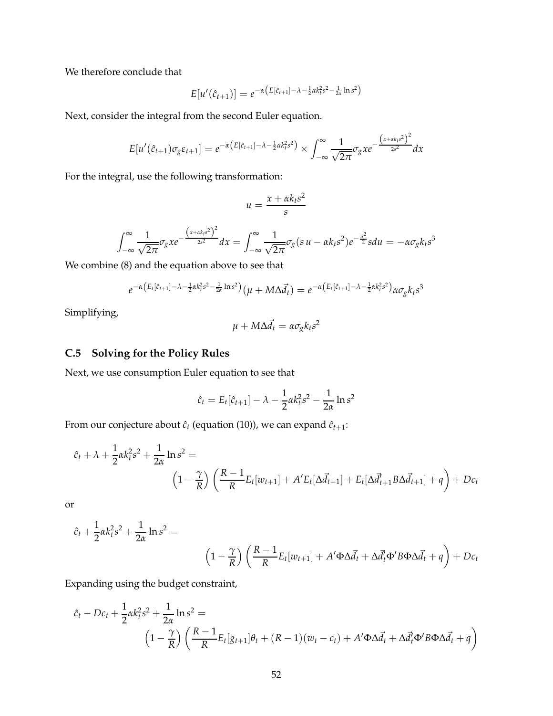We therefore conclude that

$$
E[u'(\hat{c}_{t+1})] = e^{-\alpha \left(E[\hat{c}_{t+1}] - \lambda - \frac{1}{2}\alpha k_t^2 s^2 - \frac{1}{2\alpha} \ln s^2\right)}
$$

Next, consider the integral from the second Euler equation.

$$
E[u'(\hat{c}_{t+1})\sigma_g \varepsilon_{t+1}] = e^{-\alpha \left( E[\hat{c}_{t+1}] - \lambda - \frac{1}{2}\alpha k_t^2 s^2 \right)} \times \int_{-\infty}^{\infty} \frac{1}{\sqrt{2\pi}} \sigma_g x e^{-\frac{\left( x + \alpha k_t s^2 \right)^2}{2s^2}} dx
$$

For the integral, use the following transformation:

$$
u = \frac{x + \alpha k_t s^2}{s}
$$

$$
\int_{-\infty}^{\infty} \frac{1}{\sqrt{2\pi}} \sigma_g x e^{-\frac{(x + \alpha k s^2)^2}{2s^2}} dx = \int_{-\infty}^{\infty} \frac{1}{\sqrt{2\pi}} \sigma_g (s u - \alpha k s^2) e^{-\frac{u^2}{2}} s du = -\alpha \sigma_g k s^3
$$

We combine (8) and the equation above to see that

$$
e^{-\alpha \left(E_t[\hat{c}_{t+1}] - \lambda - \frac{1}{2}\alpha k_t^2 s^2 - \frac{1}{2\alpha}\ln s^2\right)}(\mu + M\Delta \vec{d}_t) = e^{-\alpha \left(E_t[\hat{c}_{t+1}] - \lambda - \frac{1}{2}\alpha k_t^2 s^2\right)}\alpha \sigma_g k_t s^3
$$

Simplifying,

$$
\mu + M\Delta \vec{d}_t = \alpha \sigma_g k_t s^2
$$

## **C.5 Solving for the Policy Rules**

Next, we use consumption Euler equation to see that

$$
\hat{c}_t = E_t[\hat{c}_{t+1}] - \lambda - \frac{1}{2}\alpha k_t^2 s^2 - \frac{1}{2\alpha} \ln s^2
$$

From our conjecture about  $\hat{c}_t$  (equation (10)), we can expand  $\hat{c}_{t+1}$ :

$$
\hat{c}_t + \lambda + \frac{1}{2} \alpha k_t^2 s^2 + \frac{1}{2\alpha} \ln s^2 =
$$
\n
$$
\left(1 - \frac{\gamma}{R}\right) \left(\frac{R - 1}{R} E_t[w_{t+1}] + A' E_t[\Delta \vec{d}_{t+1}] + E_t[\Delta \vec{d}_{t+1}^{\dagger} B \Delta \vec{d}_{t+1}] + q\right) + Dc_t
$$

or

$$
\hat{c}_t + \frac{1}{2} \alpha k_t^2 s^2 + \frac{1}{2\alpha} \ln s^2 =
$$
\n
$$
\left(1 - \frac{\gamma}{R}\right) \left(\frac{R - 1}{R} E_t[w_{t+1}] + A' \Phi \Delta \vec{d}_t + \Delta \vec{d}_t' \Phi' B \Phi \Delta \vec{d}_t + q\right) + Dc_t
$$

Expanding using the budget constraint,

$$
\hat{c}_t - Dc_t + \frac{1}{2} \alpha k_t^2 s^2 + \frac{1}{2\alpha} \ln s^2 =
$$
\n
$$
\left(1 - \frac{\gamma}{R}\right) \left(\frac{R - 1}{R} E_t[g_{t+1}]\theta_t + (R - 1)(w_t - c_t) + A' \Phi \Delta \vec{d}_t + \Delta \vec{d}_t' \Phi' B \Phi \Delta \vec{d}_t + q\right)
$$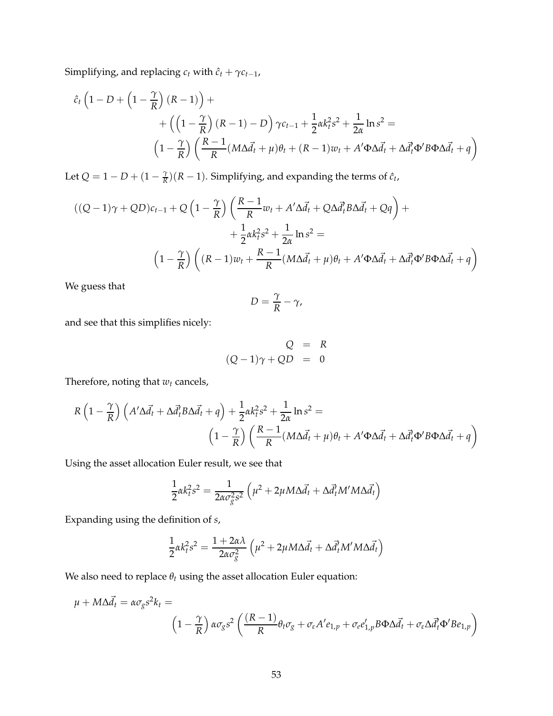Simplifying, and replacing  $c_t$  with  $\hat{c}_t + \gamma c_{t-1}$ ,

$$
\hat{c}_t \left(1 - D + \left(1 - \frac{\gamma}{R}\right)(R - 1)\right) + \left(\left(1 - \frac{\gamma}{R}\right)(R - 1) - D\right)\gamma c_{t-1} + \frac{1}{2}\alpha k_t^2 s^2 + \frac{1}{2\alpha}\ln s^2 =
$$
\n
$$
\left(1 - \frac{\gamma}{R}\right)\left(\frac{R - 1}{R}(M\Delta \vec{d}_t + \mu)\theta_t + (R - 1)w_t + A'\Phi\Delta \vec{d}_t + \Delta \vec{d}_t'\Phi'B\Phi\Delta \vec{d}_t + q\right)
$$

Let  $Q = 1 - D + (1 - \frac{\gamma}{R})$  $\frac{\gamma}{R}$ )(*R* − 1). Simplifying, and expanding the terms of  $\hat{c}_t$ ,

$$
((Q-1)\gamma + QD)c_{t-1} + Q\left(1 - \frac{\gamma}{R}\right)\left(\frac{R-1}{R}w_t + A'\Delta\vec{d}_t + Q\Delta\vec{d}_tB\Delta\vec{d}_t + Qq\right) +
$$
  
+ 
$$
\frac{1}{2}\alpha k_t^2 s^2 + \frac{1}{2\alpha}\ln s^2 =
$$
  

$$
\left(1 - \frac{\gamma}{R}\right)\left((R-1)w_t + \frac{R-1}{R}(M\Delta\vec{d}_t + \mu)\theta_t + A'\Phi\Delta\vec{d}_t + \Delta\vec{d}_t'\Phi'B\Phi\Delta\vec{d}_t + q\right)
$$

We guess that

$$
D=\frac{\gamma}{R}-\gamma,
$$

and see that this simplifies nicely:

$$
Q = R
$$
  

$$
(Q-1)\gamma + QD = 0
$$

Therefore, noting that  $w_t$  cancels,

$$
R\left(1-\frac{\gamma}{R}\right)\left(A'\Delta\vec{d}_t+\Delta\vec{d}_t'B\Delta\vec{d}_t+q\right)+\frac{1}{2}\alpha k_t^2s^2+\frac{1}{2\alpha}\ln s^2=\\ \left(1-\frac{\gamma}{R}\right)\left(\frac{R-1}{R}(M\Delta\vec{d}_t+\mu)\theta_t+A'\Phi\Delta\vec{d}_t+\Delta\vec{d}_t'\Phi'B\Phi\Delta\vec{d}_t+q\right)
$$

Using the asset allocation Euler result, we see that

$$
\frac{1}{2}\alpha k_t^2 s^2 = \frac{1}{2\alpha \sigma_g^2 s^2} \left( \mu^2 + 2\mu M \Delta \vec{d}_t + \Delta \vec{d}_t^2 M' M \Delta \vec{d}_t \right)
$$

Expanding using the definition of *s*,

$$
\frac{1}{2}\alpha k_t^2 s^2 = \frac{1+2\alpha\lambda}{2\alpha \sigma_s^2} \left(\mu^2 + 2\mu M \Delta \vec{d}_t + \Delta \vec{d}_t^2 M' M \Delta \vec{d}_t\right)
$$

We also need to replace  $\theta_t$  using the asset allocation Euler equation:

$$
\mu + M\Delta \vec{d}_t = \alpha \sigma_g s^2 k_t =
$$
\n
$$
\left(1 - \frac{\gamma}{R}\right) \alpha \sigma_g s^2 \left(\frac{(R-1)}{R} \theta_t \sigma_g + \sigma_\varepsilon A' e_{1,p} + \sigma_e e'_{1,p} B \Phi \Delta \vec{d}_t + \sigma_\varepsilon \Delta \vec{d}_t \Phi' B e_{1,p}\right)
$$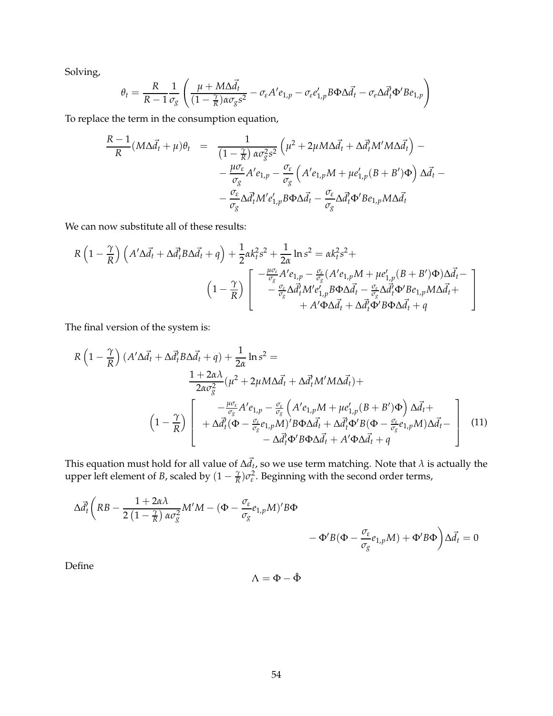Solving,

$$
\theta_t = \frac{R}{R-1} \frac{1}{\sigma_g} \left( \frac{\mu + M \Delta \vec{d}_t}{(1 - \frac{\gamma}{R}) \alpha \sigma_g s^2} - \sigma_{\varepsilon} A' e_{1,p} - \sigma_{\varepsilon} e'_{1,p} B \Phi \Delta \vec{d}_t - \sigma_{\varepsilon} \Delta \vec{d}_t' \Phi' B e_{1,p} \right)
$$

To replace the term in the consumption equation,

$$
\frac{R-1}{R}(M\Delta \vec{d}_t + \mu)\theta_t = \frac{1}{(1-\frac{\gamma}{R}) \alpha \sigma_{\tilde{g}}^2 s^2} \left(\mu^2 + 2\mu M \Delta \vec{d}_t + \Delta \vec{d}_t^T M' M \Delta \vec{d}_t\right) -
$$

$$
-\frac{\mu \sigma_{\varepsilon}}{\sigma_{g}} A' e_{1,p} - \frac{\sigma_{\varepsilon}}{\sigma_{g}} \left(A' e_{1,p} M + \mu e'_{1,p} (B + B') \Phi\right) \Delta \vec{d}_t -
$$

$$
-\frac{\sigma_{\varepsilon}}{\sigma_{g}} \Delta \vec{d}_t^T M' e'_{1,p} B \Phi \Delta \vec{d}_t - \frac{\sigma_{\varepsilon}}{\sigma_{g}} \Delta \vec{d}_t^T \Phi' B e_{1,p} M \Delta \vec{d}_t
$$

We can now substitute all of these results:

$$
R\left(1-\frac{\gamma}{R}\right)\left(A'\Delta\vec{d}_{t}+\Delta\vec{d}_{t}'B\Delta\vec{d}_{t}+q\right)+\frac{1}{2}\alpha k_{t}^{2}s^{2}+\frac{1}{2\alpha}\ln s^{2}=\alpha k_{t}^{2}s^{2}+\left(1-\frac{\gamma}{\sigma_{g}}\right)\left[\begin{array}{c} -\frac{\mu\sigma_{\varepsilon}}{\sigma_{g}}A'e_{1,p}-\frac{\sigma_{\varepsilon}}{\sigma_{g}}(A'e_{1,p}M+\mu e'_{1,p}(B+B')\Phi)\Delta\vec{d}_{t}-\\ -\frac{\sigma_{\varepsilon}}{\sigma_{g}}\Delta\vec{d}_{t}'M'e'_{1,p}B\Phi\Delta\vec{d}_{t}-\frac{\sigma_{\varepsilon}}{\sigma_{g}}\Delta\vec{d}_{t}'\Phi'Be_{1,p}M\Delta\vec{d}_{t}+\\\ +A'\Phi\Delta\vec{d}_{t}+\Delta\vec{d}_{t}'\Phi'B\Phi\Delta\vec{d}_{t}+q\end{array}\right]
$$

The final version of the system is:

$$
R\left(1-\frac{\gamma}{R}\right)\left(A'\Delta\vec{d}_{t}+\Delta\vec{d}_{t}^{T}B\Delta\vec{d}_{t}+q\right)+\frac{1}{2\alpha}\ln s^{2} =
$$
\n
$$
\frac{1+2\alpha\lambda}{2\alpha\sigma_{g}^{2}}(\mu^{2}+2\mu M\Delta\vec{d}_{t}+\Delta\vec{d}_{t}^{T}M'M\Delta\vec{d}_{t})+
$$
\n
$$
\left(1-\frac{\gamma}{R}\right)\left[\begin{array}{c}-\frac{\mu\sigma_{\varepsilon}}{\sigma_{g}}A'e_{1,p}-\frac{\sigma_{\varepsilon}}{\sigma_{g}}\left(A'e_{1,p}M+\mu e'_{1,p}(B+B')\Phi\right)\Delta\vec{d}_{t}+\\+\Delta\vec{d}_{t}^{T}(\Phi-\frac{\sigma_{\varepsilon}}{\sigma_{g}}e_{1,p}M)'B\Phi\Delta\vec{d}_{t}+\Delta\vec{d}_{t}^{T}\Phi'B(\Phi-\frac{\sigma_{\varepsilon}}{\sigma_{g}}e_{1,p}M)\Delta\vec{d}_{t}-\\-\Delta\vec{d}_{t}^{T}\Phi'B\Phi\Delta\vec{d}_{t}+A'\Phi\Delta\vec{d}_{t}+q\end{array}\right]
$$
\n(11)

This equation must hold for all value of  $\Delta \vec{d}_t$ , so we use term matching. Note that  $\lambda$  is actually the upper left element of *B*, scaled by  $(1 - \frac{\gamma}{R})$  $\frac{\gamma}{R}$ ) $\sigma_\varepsilon^2$ . Beginning with the second order terms,

$$
\Delta \vec{d}_{t} \left( RB - \frac{1 + 2\alpha \lambda}{2\left(1 - \frac{\gamma}{R}\right) \alpha \sigma_{g}^{2}} M'M - \left(\Phi - \frac{\sigma_{\varepsilon}}{\sigma_{g}} e_{1,p} M\right)' B\Phi - \Phi' B(\Phi - \frac{\sigma_{\varepsilon}}{\sigma_{g}} e_{1,p} M) + \Phi' B\Phi \right) \Delta \vec{d}_{t} = 0
$$

Define

$$
\Lambda = \Phi - \hat{\Phi}
$$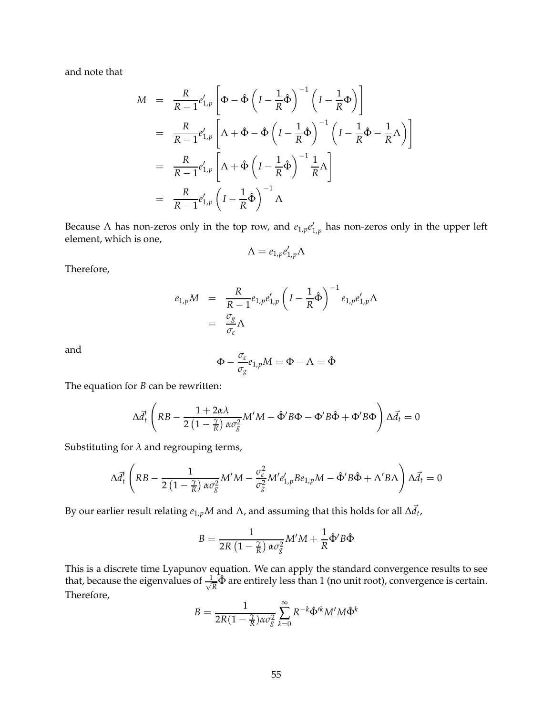and note that

$$
M = \frac{R}{R-1} e'_{1,p} \left[ \Phi - \hat{\Phi} \left( I - \frac{1}{R} \hat{\Phi} \right)^{-1} \left( I - \frac{1}{R} \Phi \right) \right]
$$
  
\n
$$
= \frac{R}{R-1} e'_{1,p} \left[ \Lambda + \hat{\Phi} - \hat{\Phi} \left( I - \frac{1}{R} \hat{\Phi} \right)^{-1} \left( I - \frac{1}{R} \hat{\Phi} - \frac{1}{R} \Lambda \right) \right]
$$
  
\n
$$
= \frac{R}{R-1} e'_{1,p} \left[ \Lambda + \hat{\Phi} \left( I - \frac{1}{R} \hat{\Phi} \right)^{-1} \frac{1}{R} \Lambda \right]
$$
  
\n
$$
= \frac{R}{R-1} e'_{1,p} \left( I - \frac{1}{R} \hat{\Phi} \right)^{-1} \Lambda
$$

Because  $\Lambda$  has non-zeros only in the top row, and  $e_{1,p}e_{1,p}'$  has non-zeros only in the upper left element, which is one,

$$
\Lambda = e_{1,p}e_{1,p}'\Lambda
$$

Therefore,

$$
e_{1,p}M = \frac{R}{R-1}e_{1,p}e'_{1,p}\left(I - \frac{1}{R}\hat{\Phi}\right)^{-1}e_{1,p}e'_{1,p}\Lambda
$$
  
= 
$$
\frac{\sigma_g}{\sigma_{\varepsilon}}\Lambda
$$

and

$$
\Phi - \frac{\sigma_{\varepsilon}}{\sigma_{g}} e_{1,p} M = \Phi - \Lambda = \hat{\Phi}
$$

The equation for *B* can be rewritten:

$$
\Delta \vec{d}_t' \left( RB - \frac{1 + 2\alpha \lambda}{2\left(1 - \frac{\gamma}{R}\right) \alpha \sigma_s^2} M'M - \hat{\Phi}' B \Phi - \Phi' B \hat{\Phi} + \Phi' B \Phi \right) \Delta \vec{d}_t = 0
$$

Substituting for  $\lambda$  and regrouping terms,

 $\overline{ }$ 

$$
\Delta \vec{d}_t' \left( RB - \frac{1}{2\left(1 - \frac{\gamma}{R}\right) \alpha \sigma_g^2} M'M - \frac{\sigma_\varepsilon^2}{\sigma_g^2} M' e'_{1,p} B e_{1,p} M - \hat{\Phi}' B \hat{\Phi} + \Lambda' B \Lambda \right) \Delta \vec{d}_t = 0
$$

By our earlier result relating  $e_{1,p}M$  and  $\Lambda$ , and assuming that this holds for all  $\Delta \vec{d}_t$ ,

$$
B = \frac{1}{2R\left(1 - \frac{\gamma}{R}\right)\alpha\sigma_{g}^{2}}M'M + \frac{1}{R}\hat{\Phi}'B\hat{\Phi}
$$

This is a discrete time Lyapunov equation. We can apply the standard convergence results to see that, because the eigenvalues of  $\frac{1}{\sqrt{2}}$  $\frac{1}{R}$  $\hat{\Phi}$  are entirely less than 1 (no unit root), convergence is certain. Therefore,

$$
B = \frac{1}{2R(1 - \frac{\gamma}{R})\alpha \sigma_{g}^{2}} \sum_{k=0}^{\infty} R^{-k} \hat{\Phi}^{\prime k} M^{\prime} M \hat{\Phi}^{k}
$$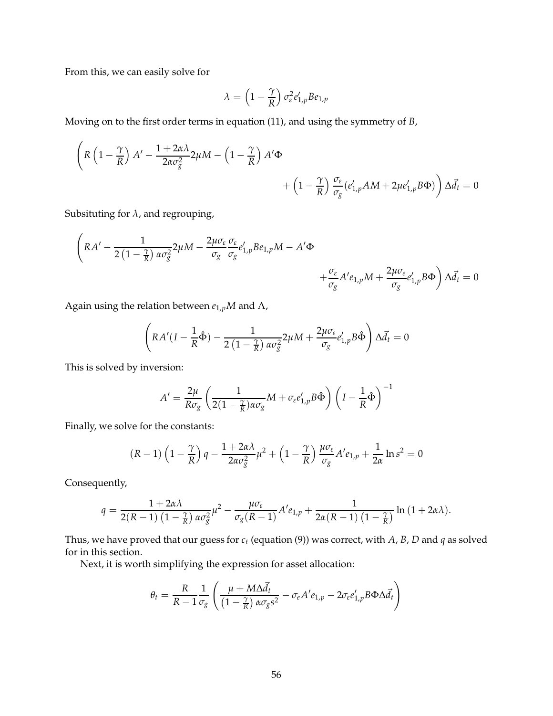From this, we can easily solve for

$$
\lambda = \left(1 - \frac{\gamma}{R}\right) \sigma_{\varepsilon}^2 e'_{1,p} B e_{1,p}
$$

Moving on to the first order terms in equation (11), and using the symmetry of *B*,

$$
\begin{aligned}\n\left(R\left(1-\frac{\gamma}{R}\right)A'-\frac{1+2\alpha\lambda}{2\alpha\sigma_g^2}2\mu M-\left(1-\frac{\gamma}{R}\right)A'\Phi\right) &\quad+\left(1-\frac{\gamma}{R}\right)\frac{\sigma_{\varepsilon}}{\sigma_g}(e'_{1,p}AM+2\mu e'_{1,p}B\Phi)\right)\Delta\vec{d}_t=0\n\end{aligned}
$$

Subsituting for *λ*, and regrouping,

$$
\left(RA' - \frac{1}{2(1-\frac{\gamma}{R})\alpha\sigma_{g}^{2}}2\mu M - \frac{2\mu\sigma_{\varepsilon}}{\sigma_{g}}\frac{\sigma_{\varepsilon}}{\sigma_{g}}e'_{1,p}Be_{1,p}M - A'\Phi + \frac{\sigma_{\varepsilon}}{\sigma_{g}}A'e_{1,p}M + \frac{2\mu\sigma_{\varepsilon}}{\sigma_{g}}e'_{1,p}B\Phi\right)\Delta\vec{d}_{t} = 0
$$

Again using the relation between  $e_{1,p}M$  and  $\Lambda$ ,

$$
\left(RA'(I - \frac{1}{R}\hat{\Phi}) - \frac{1}{2(1 - \frac{\gamma}{R})\alpha\sigma_{g}^{2}}2\mu M + \frac{2\mu\sigma_{\varepsilon}}{\sigma_{g}}e'_{1,p}B\hat{\Phi}\right)\Delta\vec{d}_{t} = 0
$$

This is solved by inversion:

$$
A' = \frac{2\mu}{R\sigma_g} \left( \frac{1}{2(1 - \frac{\gamma}{R})\alpha \sigma_g} M + \sigma_{\varepsilon} e'_{1,p} B \hat{\Phi} \right) \left( I - \frac{1}{R} \hat{\Phi} \right)^{-1}
$$

Finally, we solve for the constants:

$$
(R-1)\left(1-\frac{\gamma}{R}\right)q-\frac{1+2\alpha\lambda}{2\alpha\sigma_g^2}\mu^2+\left(1-\frac{\gamma}{R}\right)\frac{\mu\sigma_{\varepsilon}}{\sigma_g}A'e_{1,p}+\frac{1}{2\alpha}\ln s^2=0
$$

Consequently,

$$
q = \frac{1+2\alpha\lambda}{2(R-1)\left(1-\frac{\gamma}{R}\right)\alpha\sigma_{g}^{2}}\mu^{2} - \frac{\mu\sigma_{\varepsilon}}{\sigma_{g}(R-1)}A'e_{1,p} + \frac{1}{2\alpha(R-1)\left(1-\frac{\gamma}{R}\right)}\ln\left(1+2\alpha\lambda\right).
$$

Thus, we have proved that our guess for *c<sup>t</sup>* (equation (9)) was correct, with *A*, *B*, *D* and *q* as solved for in this section.

Next, it is worth simplifying the expression for asset allocation:

$$
\theta_t = \frac{R}{R-1} \frac{1}{\sigma_g} \left( \frac{\mu + M \Delta \vec{d}_t}{\left(1 - \frac{\gamma}{R}\right) \alpha \sigma_g s^2} - \sigma_e A' e_{1,p} - 2 \sigma_e e'_{1,p} B \Phi \Delta \vec{d}_t \right)
$$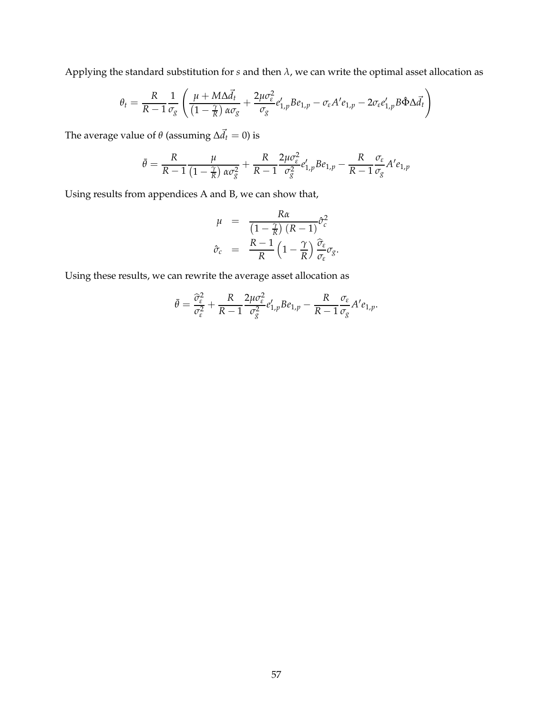Applying the standard substitution for *s* and then *λ*, we can write the optimal asset allocation as

$$
\theta_t = \frac{R}{R-1} \frac{1}{\sigma_g} \left( \frac{\mu + M \Delta \vec{d}_t}{\left(1 - \frac{\gamma}{R}\right) \alpha \sigma_g} + \frac{2 \mu \sigma_\varepsilon^2}{\sigma_g} e'_{1,p} B e_{1,p} - \sigma_\varepsilon A' e_{1,p} - 2 \sigma_\varepsilon e'_{1,p} B \hat{\Phi} \Delta \vec{d}_t \right)
$$

The average value of  $\theta$  (assuming  $\Delta \vec{d}_t = 0$ ) is

$$
\bar{\theta} = \frac{R}{R-1} \frac{\mu}{\left(1 - \frac{\gamma}{R}\right) \alpha \sigma_g^2} + \frac{R}{R-1} \frac{2\mu \sigma_\varepsilon^2}{\sigma_g^2} e'_{1,p} B e_{1,p} - \frac{R}{R-1} \frac{\sigma_\varepsilon}{\sigma_g} A' e_{1,p}
$$

Using results from appendices A and B, we can show that,

$$
\mu = \frac{R\alpha}{\left(1 - \frac{\gamma}{R}\right)(R - 1)} \hat{\sigma}_c^2
$$
\n
$$
\hat{\sigma}_c = \frac{R - 1}{R} \left(1 - \frac{\gamma}{R}\right) \frac{\hat{\sigma}_e}{\sigma_\varepsilon} \sigma_g.
$$

Using these results, we can rewrite the average asset allocation as

$$
\bar{\theta} = \frac{\widehat{\sigma}_{\varepsilon}^2}{\sigma_{\varepsilon}^2} + \frac{R}{R-1} \frac{2\mu \sigma_{\varepsilon}^2}{\sigma_{g}^2} e'_{1,p} B e_{1,p} - \frac{R}{R-1} \frac{\sigma_{\varepsilon}}{\sigma_{g}} A' e_{1,p}.
$$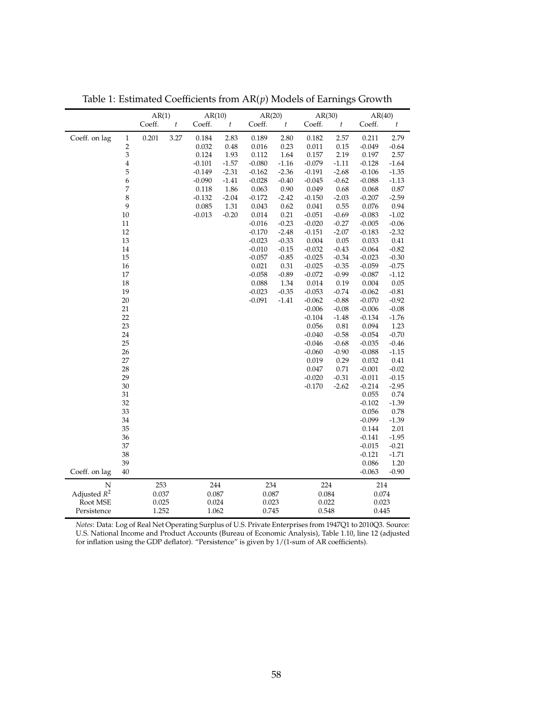|                |                         | AR(1)  |                  | AR(10)   |         | AR(20)   |                  | AR(30)   |                  | AR(40)   |                  |
|----------------|-------------------------|--------|------------------|----------|---------|----------|------------------|----------|------------------|----------|------------------|
|                |                         | Coeff. | $\boldsymbol{t}$ | Coeff.   | t       | Coeff.   | $\boldsymbol{t}$ | Coeff.   | $\boldsymbol{t}$ | Coeff.   | $\boldsymbol{t}$ |
| Coeff. on lag  | $\,1\,$                 | 0.201  | 3.27             | 0.184    | 2.83    | 0.189    | 2.80             | 0.182    | 2.57             | 0.211    | 2.79             |
|                | $\overline{\mathbf{c}}$ |        |                  | 0.032    | 0.48    | 0.016    | 0.23             | 0.011    | 0.15             | $-0.049$ | $-0.64$          |
|                | 3                       |        |                  | 0.124    | 1.93    | 0.112    | 1.64             | 0.157    | 2.19             | 0.197    | 2.57             |
|                | $\overline{4}$          |        |                  | $-0.101$ | $-1.57$ | $-0.080$ | $-1.16$          | $-0.079$ | $-1.11$          | $-0.128$ | $-1.64$          |
|                | 5                       |        |                  | $-0.149$ | $-2.31$ | $-0.162$ | $-2.36$          | $-0.191$ | $-2.68$          | $-0.106$ | $-1.35$          |
|                | 6                       |        |                  | $-0.090$ | $-1.41$ | $-0.028$ | $-0.40$          | $-0.045$ | $-0.62$          | $-0.088$ | $-1.13$          |
|                | 7                       |        |                  | 0.118    | 1.86    | 0.063    | 0.90             | 0.049    | 0.68             | 0.068    | 0.87             |
|                | 8                       |        |                  | $-0.132$ | $-2.04$ | $-0.172$ | $-2.42$          | $-0.150$ | $-2.03$          | $-0.207$ | $-2.59$          |
|                | 9                       |        |                  | 0.085    | 1.31    | 0.043    | 0.62             | 0.041    | 0.55             | 0.076    | 0.94             |
|                | 10                      |        |                  | $-0.013$ | $-0.20$ | 0.014    | 0.21             | $-0.051$ | $-0.69$          | $-0.083$ | $-1.02$          |
|                | 11                      |        |                  |          |         | $-0.016$ | $-0.23$          | $-0.020$ | $-0.27$          | $-0.005$ | $-0.06$          |
|                | 12                      |        |                  |          |         | $-0.170$ | $-2.48$          | $-0.151$ | $-2.07$          | $-0.183$ | $-2.32$          |
|                | 13                      |        |                  |          |         | $-0.023$ | $-0.33$          | 0.004    | 0.05             | 0.033    | 0.41             |
|                | 14                      |        |                  |          |         | $-0.010$ | $-0.15$          | $-0.032$ | $-0.43$          | $-0.064$ | $-0.82$          |
|                | 15                      |        |                  |          |         | $-0.057$ | $-0.85$          | $-0.025$ | $-0.34$          | $-0.023$ | $-0.30$          |
|                | 16                      |        |                  |          |         | 0.021    | 0.31             | $-0.025$ | $-0.35$          | $-0.059$ | $-0.75$          |
|                | 17                      |        |                  |          |         | $-0.058$ | $-0.89$          | $-0.072$ | $-0.99$          | $-0.087$ | $-1.12$          |
|                | 18                      |        |                  |          |         | 0.088    | 1.34             | 0.014    | 0.19             | 0.004    | 0.05             |
|                | 19                      |        |                  |          |         | $-0.023$ | $-0.35$          | $-0.053$ | $-0.74$          | $-0.062$ | $-0.81$          |
|                | 20                      |        |                  |          |         | $-0.091$ | $-1.41$          | $-0.062$ | $-0.88$          | $-0.070$ | $-0.92$          |
|                | 21                      |        |                  |          |         |          |                  | $-0.006$ | $-0.08$          | $-0.006$ | $-0.08$          |
|                | 22                      |        |                  |          |         |          |                  | $-0.104$ | $-1.48$          | $-0.134$ | $-1.76$          |
|                | 23                      |        |                  |          |         |          |                  | 0.056    | 0.81             | 0.094    | 1.23             |
|                | 24                      |        |                  |          |         |          |                  | $-0.040$ | $-0.58$          | $-0.054$ | $-0.70$          |
|                | 25                      |        |                  |          |         |          |                  | $-0.046$ | $-0.68$          | $-0.035$ | $-0.46$          |
|                | 26                      |        |                  |          |         |          |                  | $-0.060$ | $-0.90$          | $-0.088$ | $-1.15$          |
|                | 27                      |        |                  |          |         |          |                  | 0.019    | 0.29             | 0.032    | 0.41             |
|                | 28                      |        |                  |          |         |          |                  | 0.047    | 0.71             | $-0.001$ | $-0.02$          |
|                | 29                      |        |                  |          |         |          |                  | $-0.020$ | $-0.31$          | $-0.011$ | $-0.15$          |
|                | 30                      |        |                  |          |         |          |                  | $-0.170$ | $-2.62$          | $-0.214$ | $-2.95$          |
|                | 31                      |        |                  |          |         |          |                  |          |                  | 0.055    | 0.74             |
|                | 32                      |        |                  |          |         |          |                  |          |                  | $-0.102$ | $-1.39$          |
|                | 33                      |        |                  |          |         |          |                  |          |                  | 0.056    | 0.78             |
|                | 34                      |        |                  |          |         |          |                  |          |                  | $-0.099$ | $-1.39$          |
|                | 35                      |        |                  |          |         |          |                  |          |                  | 0.144    | 2.01             |
|                | 36                      |        |                  |          |         |          |                  |          |                  | $-0.141$ | $-1.95$          |
|                | 37                      |        |                  |          |         |          |                  |          |                  | $-0.015$ | $-0.21$          |
|                | 38                      |        |                  |          |         |          |                  |          |                  | $-0.121$ | $-1.71$          |
|                | 39                      |        |                  |          |         |          |                  |          |                  | 0.086    | 1.20             |
| Coeff. on lag  | 40                      |        |                  |          |         |          |                  |          |                  | $-0.063$ | $-0.90$          |
| ${\bf N}$      |                         | 253    |                  | 244      |         | 234      |                  | 224      |                  | 214      |                  |
| Adjusted $R^2$ |                         | 0.037  |                  | 0.087    |         | 0.087    |                  | 0.084    |                  | 0.074    |                  |
| Root MSE       |                         | 0.025  |                  | 0.024    |         | 0.023    |                  | 0.022    |                  | 0.023    |                  |
| Persistence    |                         | 1.252  |                  | 1.062    |         | 0.745    |                  | 0.548    |                  | 0.445    |                  |
|                |                         |        |                  |          |         |          |                  |          |                  |          |                  |

Table 1: Estimated Coefficients from AR(*p*) Models of Earnings Growth

*Notes*: Data: Log of Real Net Operating Surplus of U.S. Private Enterprises from 1947Q1 to 2010Q3. Source: U.S. National Income and Product Accounts (Bureau of Economic Analysis), Table 1.10, line 12 (adjusted for inflation using the GDP deflator). "Persistence" is given by 1/(1-sum of AR coefficients).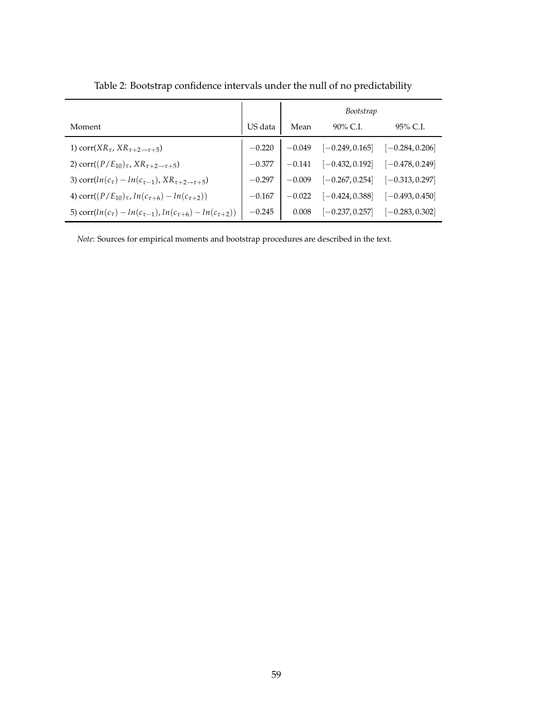|                                                                            |          | Bootstrap |                   |                   |  |  |
|----------------------------------------------------------------------------|----------|-----------|-------------------|-------------------|--|--|
| Moment                                                                     | US data  | Mean      | 90% C.I.          | 95% C.I.          |  |  |
| 1) corr( $XR_{\tau}$ , $XR_{\tau+2\rightarrow\tau+5}$ )                    | $-0.220$ | $-0.049$  | $[-0.249, 0.165]$ | $[-0.284, 0.206]$ |  |  |
| 2) corr( $(P/E_{10})_{\tau}$ , $XR_{\tau+2\to\tau+5}$ )                    | $-0.377$ | $-0.141$  | $[-0.432, 0.192]$ | $[-0.478, 0.249]$ |  |  |
| 3) corr $(ln(c_{\tau}) - ln(c_{\tau-1}), KR_{\tau+2 \to \tau+5})$          | $-0.297$ | $-0.009$  | $[-0.267, 0.254]$ | $[-0.313, 0.297]$ |  |  |
| 4) corr( $(P/E_{10})_{\tau}$ , $ln(c_{\tau+6}) - ln(c_{\tau+2})$ )         | $-0.167$ | $-0.022$  | $[-0.424, 0.388]$ | $[-0.493, 0.450]$ |  |  |
| 5) corr $(ln(c_{\tau}) - ln(c_{\tau-1}), ln(c_{\tau+6}) - ln(c_{\tau+2}))$ | $-0.245$ | 0.008     | $[-0.237, 0.257]$ | $[-0.283, 0.302]$ |  |  |

Table 2: Bootstrap confidence intervals under the null of no predictability

*Note*: Sources for empirical moments and bootstrap procedures are described in the text.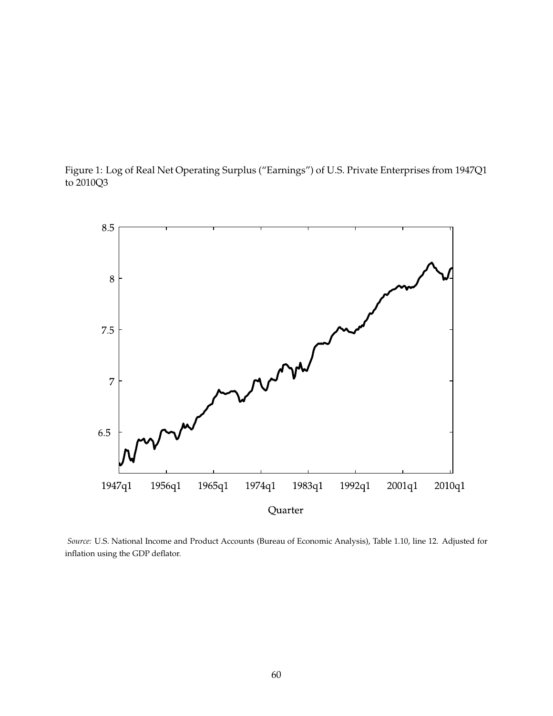



*Source:* U.S. National Income and Product Accounts (Bureau of Economic Analysis), Table 1.10, line 12. Adjusted for inflation using the GDP deflator.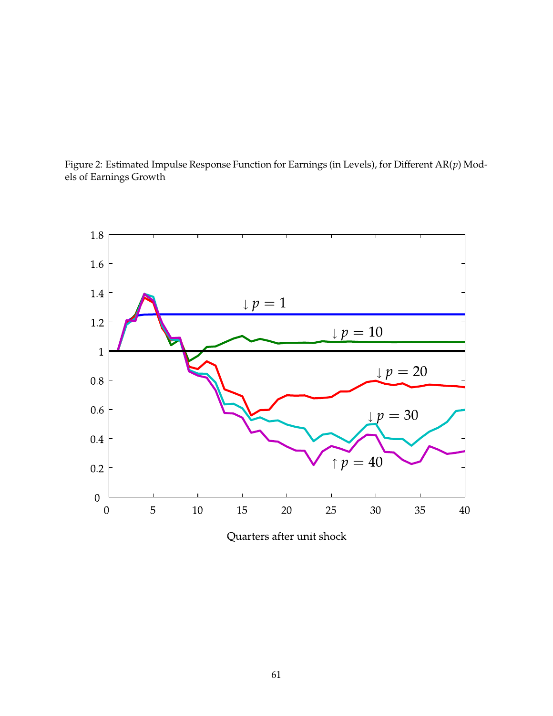



Quarters after unit shock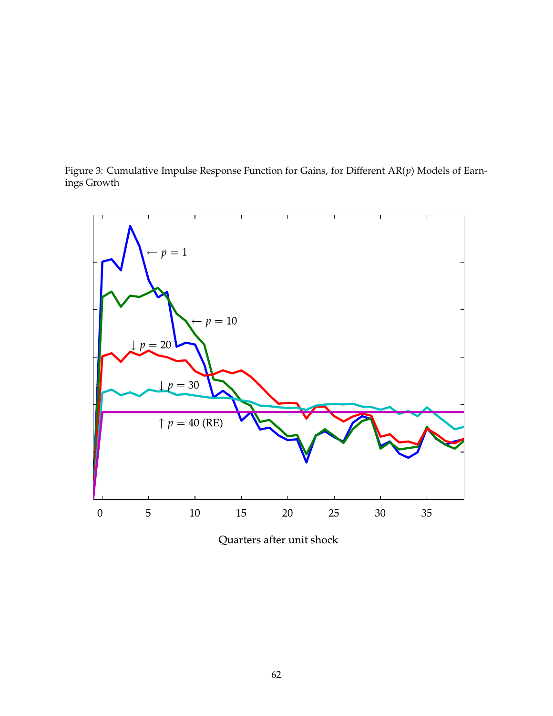Figure 3: Cumulative Impulse Response Function for Gains, for Different AR(*p*) Models of Earnings Growth



Quarters after unit shock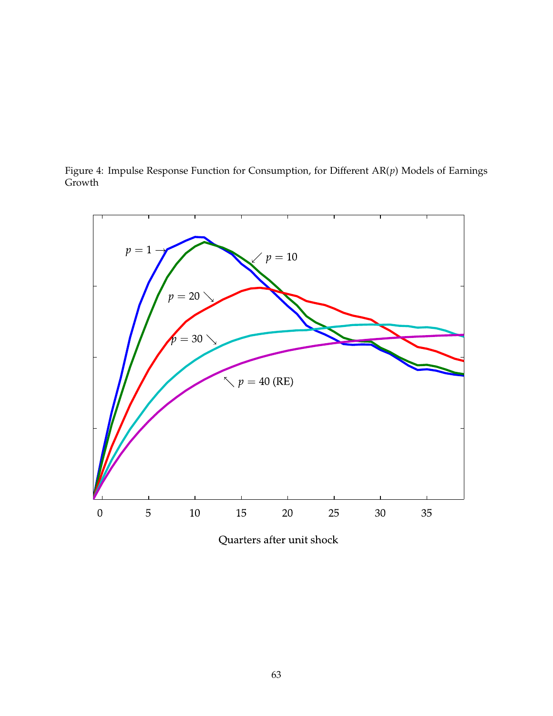



Quarters after unit shock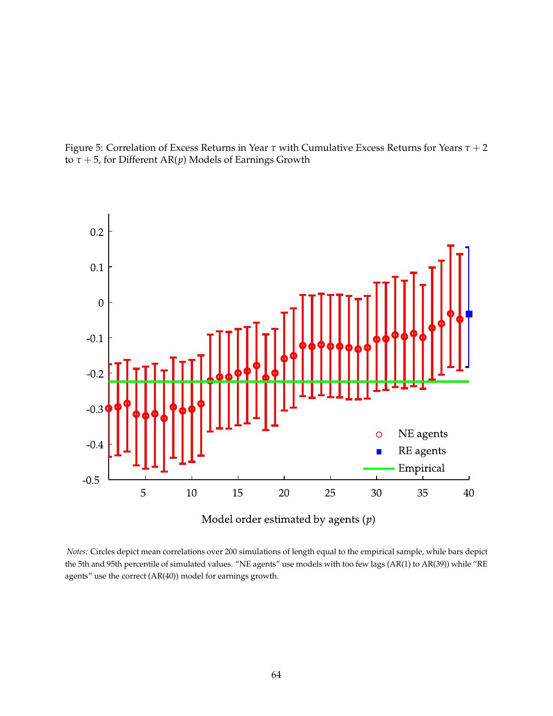

Figure 5: Correlation of Excess Returns in Year *τ* with Cumulative Excess Returns for Years *τ* + 2 to *τ* + 5, for Different AR(*p*) Models of Earnings Growth

*Notes:* Circles depict mean correlations over 200 simulations of length equal to the empirical sample, while bars depict the 5th and 95th percentile of simulated values. "NE agents" use models with too few lags (AR(1) to AR(39)) while "RE agents" use the correct (AR(40)) model for earnings growth.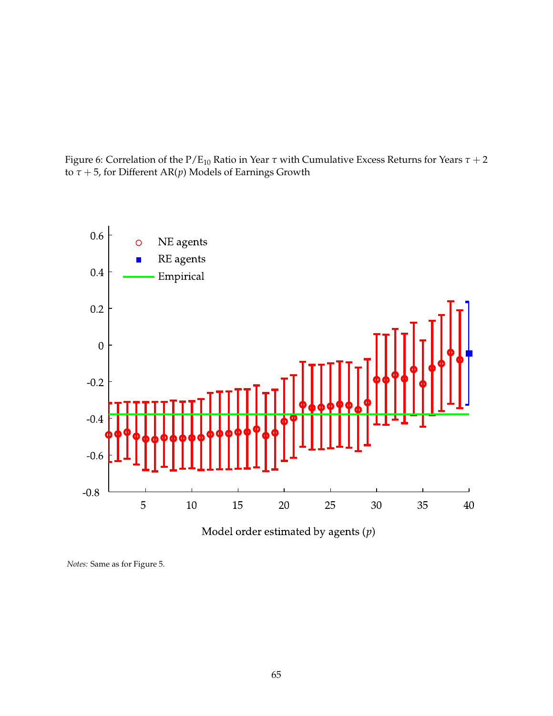Figure 6: Correlation of the P/E<sup>10</sup> Ratio in Year *τ* with Cumulative Excess Returns for Years *τ* + 2 to *τ* + 5, for Different AR(*p*) Models of Earnings Growth

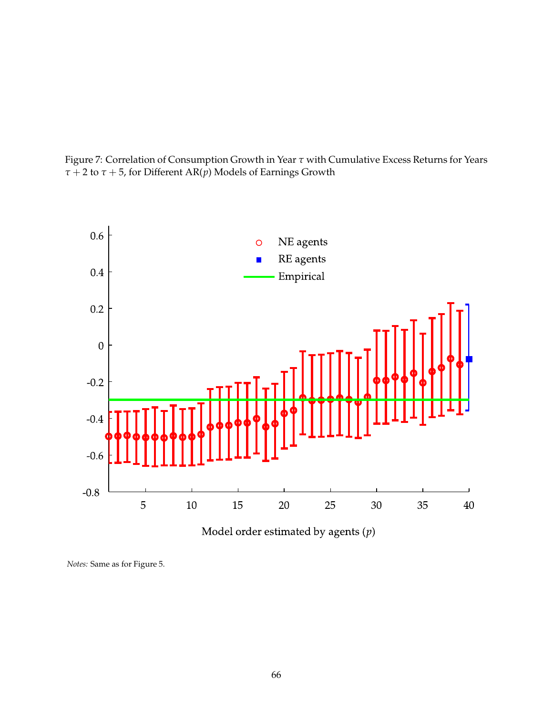

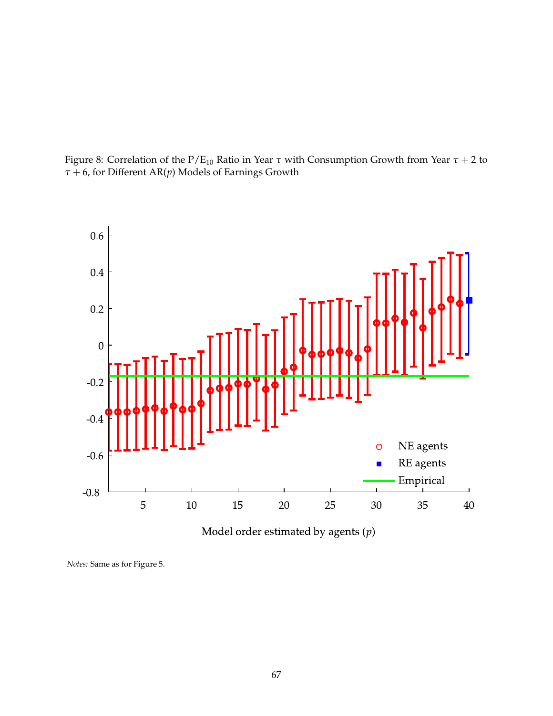



Model order estimated by agents  $(p)$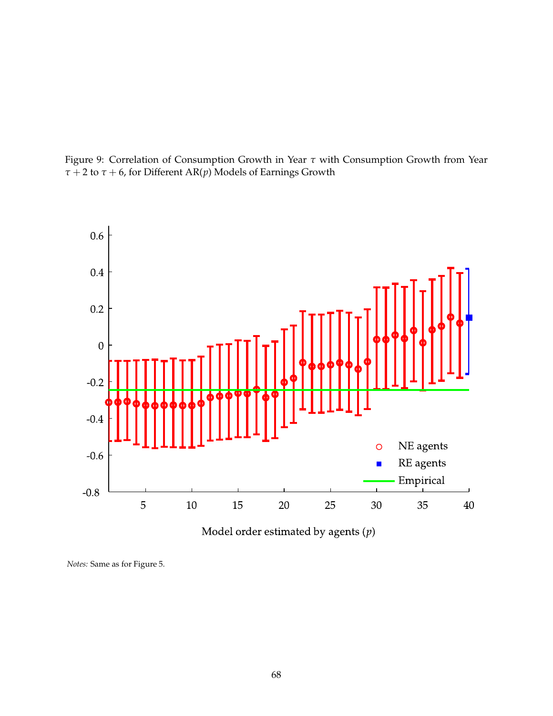



Model order estimated by agents  $(p)$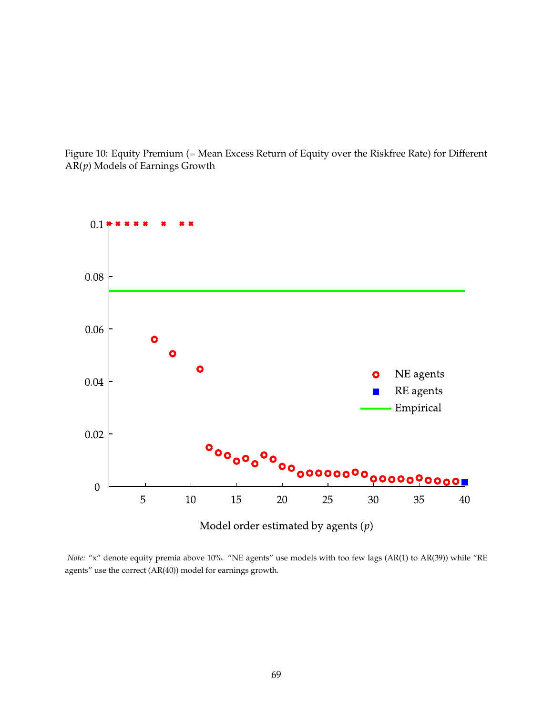

Figure 10: Equity Premium (= Mean Excess Return of Equity over the Riskfree Rate) for Different AR(*p*) Models of Earnings Growth

*Note:* "x" denote equity premia above 10%. "NE agents" use models with too few lags (AR(1) to AR(39)) while "RE agents" use the correct (AR(40)) model for earnings growth.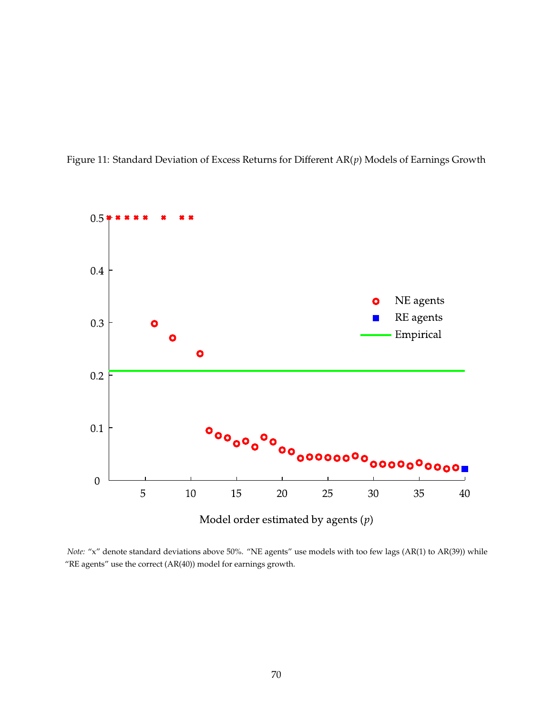

Figure 11: Standard Deviation of Excess Returns for Different AR(*p*) Models of Earnings Growth

*Note:* "x" denote standard deviations above 50%. "NE agents" use models with too few lags (AR(1) to AR(39)) while "RE agents" use the correct (AR(40)) model for earnings growth.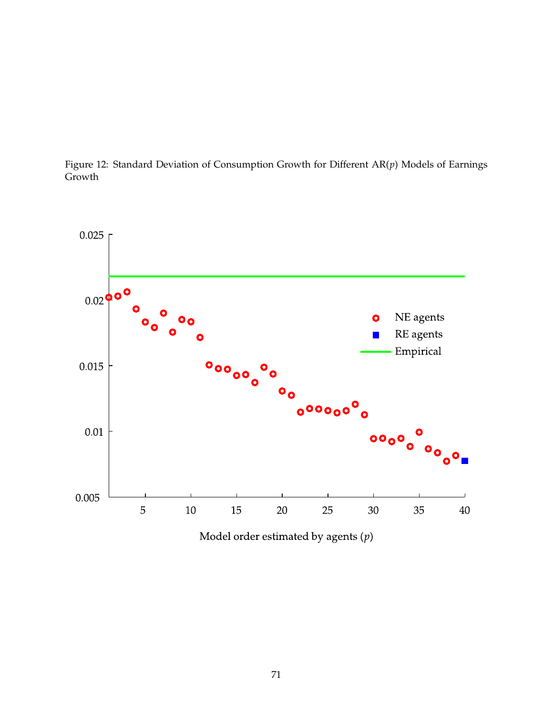Figure 12: Standard Deviation of Consumption Growth for Different AR(*p*) Models of Earnings Growth



Model order estimated by agents  $(p)$